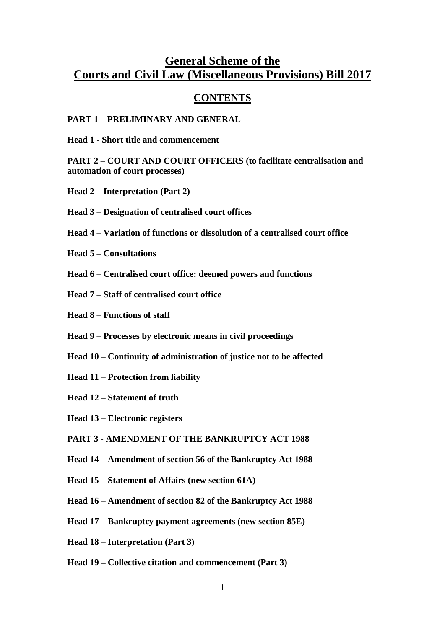# **General Scheme of the Courts and Civil Law (Miscellaneous Provisions) Bill 2017**

# **CONTENTS**

#### **PART 1 – PRELIMINARY AND GENERAL**

**Head 1 - Short title and commencement**

**PART 2 – COURT AND COURT OFFICERS (to facilitate centralisation and automation of court processes)**

- **Head 2 – Interpretation (Part 2)**
- **Head 3 – Designation of centralised court offices**
- **Head 4 – Variation of functions or dissolution of a centralised court office**
- **Head 5 – Consultations**
- **Head 6 – Centralised court office: deemed powers and functions**
- **Head 7 – Staff of centralised court office**
- **Head 8 – Functions of staff**
- **Head 9 – Processes by electronic means in civil proceedings**
- **Head 10 – Continuity of administration of justice not to be affected**
- **Head 11 – Protection from liability**
- **Head 12 – Statement of truth**
- **Head 13 – Electronic registers**
- **PART 3 - AMENDMENT OF THE BANKRUPTCY ACT 1988**
- **Head 14 – Amendment of section 56 of the Bankruptcy Act 1988**
- **Head 15 – Statement of Affairs (new section 61A)**
- **Head 16 – Amendment of section 82 of the Bankruptcy Act 1988**
- **Head 17 – Bankruptcy payment agreements (new section 85E)**
- **Head 18 – Interpretation (Part 3)**
- **Head 19 – Collective citation and commencement (Part 3)**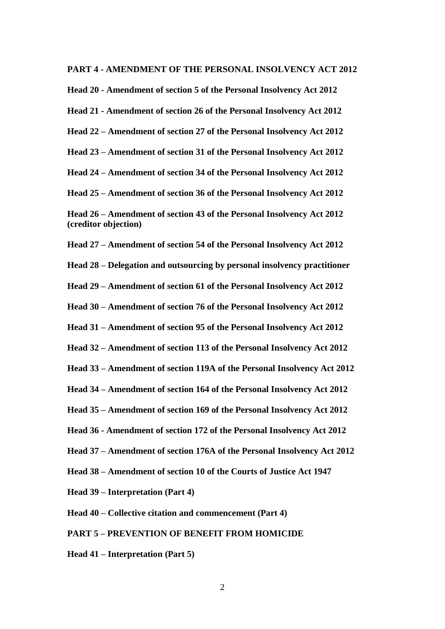#### **PART 4 - AMENDMENT OF THE PERSONAL INSOLVENCY ACT 2012**

**Head 20 - Amendment of section 5 of the Personal Insolvency Act 2012**

**Head 21 - Amendment of section 26 of the Personal Insolvency Act 2012**

**Head 22 – Amendment of section 27 of the Personal Insolvency Act 2012**

**Head 23 – Amendment of section 31 of the Personal Insolvency Act 2012**

**Head 24 – Amendment of section 34 of the Personal Insolvency Act 2012**

**Head 25 – Amendment of section 36 of the Personal Insolvency Act 2012**

**Head 26 – Amendment of section 43 of the Personal Insolvency Act 2012 (creditor objection)**

**Head 27 – Amendment of section 54 of the Personal Insolvency Act 2012**

**Head 28 – Delegation and outsourcing by personal insolvency practitioner**

**Head 29 – Amendment of section 61 of the Personal Insolvency Act 2012**

**Head 30 – Amendment of section 76 of the Personal Insolvency Act 2012**

**Head 31 – Amendment of section 95 of the Personal Insolvency Act 2012**

**Head 32 – Amendment of section 113 of the Personal Insolvency Act 2012**

**Head 33 – Amendment of section 119A of the Personal Insolvency Act 2012**

**Head 34 – Amendment of section 164 of the Personal Insolvency Act 2012**

**Head 35 – Amendment of section 169 of the Personal Insolvency Act 2012**

**Head 36 - Amendment of section 172 of the Personal Insolvency Act 2012**

**Head 37 – Amendment of section 176A of the Personal Insolvency Act 2012**

**Head 38 – Amendment of section 10 of the Courts of Justice Act 1947**

**Head 39 – Interpretation (Part 4)**

**Head 40 – Collective citation and commencement (Part 4)**

**PART 5 – PREVENTION OF BENEFIT FROM HOMICIDE**

**Head 41 – Interpretation (Part 5)**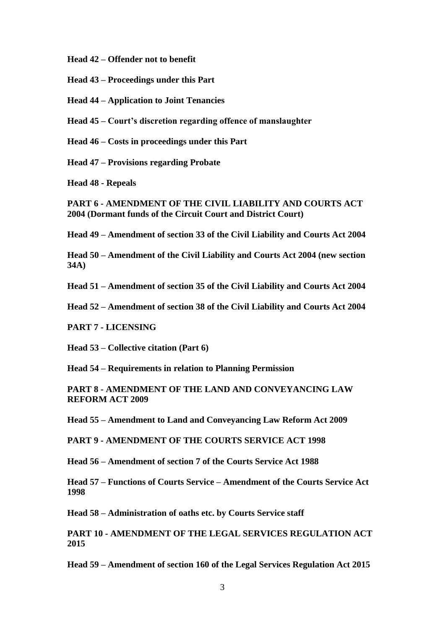**Head 42 – Offender not to benefit**

**Head 43 – Proceedings under this Part**

**Head 44 – Application to Joint Tenancies**

**Head 45 – Court's discretion regarding offence of manslaughter**

**Head 46 – Costs in proceedings under this Part**

**Head 47 – Provisions regarding Probate**

**Head 48 - Repeals**

**PART 6 - AMENDMENT OF THE CIVIL LIABILITY AND COURTS ACT 2004 (Dormant funds of the Circuit Court and District Court)**

**Head 49 – Amendment of section 33 of the Civil Liability and Courts Act 2004**

**Head 50 – Amendment of the Civil Liability and Courts Act 2004 (new section 34A)**

**Head 51 – Amendment of section 35 of the Civil Liability and Courts Act 2004**

**Head 52 – Amendment of section 38 of the Civil Liability and Courts Act 2004**

**PART 7 - LICENSING**

**Head 53 – Collective citation (Part 6)**

**Head 54 – Requirements in relation to Planning Permission**

**PART 8 - AMENDMENT OF THE LAND AND CONVEYANCING LAW REFORM ACT 2009**

**Head 55 – Amendment to Land and Conveyancing Law Reform Act 2009**

**PART 9 - AMENDMENT OF THE COURTS SERVICE ACT 1998**

**Head 56 – Amendment of section 7 of the Courts Service Act 1988**

**Head 57 – Functions of Courts Service – Amendment of the Courts Service Act 1998**

**Head 58 – Administration of oaths etc. by Courts Service staff**

**PART 10 - AMENDMENT OF THE LEGAL SERVICES REGULATION ACT 2015**

**Head 59 – Amendment of section 160 of the Legal Services Regulation Act 2015**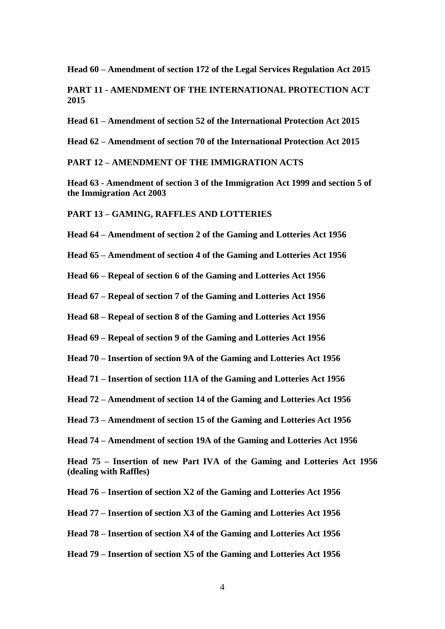**Head 60 – Amendment of section 172 of the Legal Services Regulation Act 2015**

**PART 11 - AMENDMENT OF THE INTERNATIONAL PROTECTION ACT 2015**

**Head 61 – Amendment of section 52 of the International Protection Act 2015**

**Head 62 – Amendment of section 70 of the International Protection Act 2015**

#### **PART 12 – AMENDMENT OF THE IMMIGRATION ACTS**

**Head 63 - Amendment of section 3 of the Immigration Act 1999 and section 5 of the Immigration Act 2003**

**PART 13 – GAMING, RAFFLES AND LOTTERIES**

**Head 64 – Amendment of section 2 of the Gaming and Lotteries Act 1956**

**Head 65 – Amendment of section 4 of the Gaming and Lotteries Act 1956**

**Head 66 – Repeal of section 6 of the Gaming and Lotteries Act 1956**

**Head 67 – Repeal of section 7 of the Gaming and Lotteries Act 1956**

**Head 68 – Repeal of section 8 of the Gaming and Lotteries Act 1956**

**Head 69 – Repeal of section 9 of the Gaming and Lotteries Act 1956**

**Head 70 – Insertion of section 9A of the Gaming and Lotteries Act 1956**

**Head 71 – Insertion of section 11A of the Gaming and Lotteries Act 1956**

**Head 72 – Amendment of section 14 of the Gaming and Lotteries Act 1956**

**Head 73 – Amendment of section 15 of the Gaming and Lotteries Act 1956**

**Head 74 – Amendment of section 19A of the Gaming and Lotteries Act 1956**

**Head 75 – Insertion of new Part IVA of the Gaming and Lotteries Act 1956 (dealing with Raffles)**

**Head 76 – Insertion of section X2 of the Gaming and Lotteries Act 1956**

**Head 77 – Insertion of section X3 of the Gaming and Lotteries Act 1956** 

**Head 78 – Insertion of section X4 of the Gaming and Lotteries Act 1956** 

**Head 79 – Insertion of section X5 of the Gaming and Lotteries Act 1956** 

4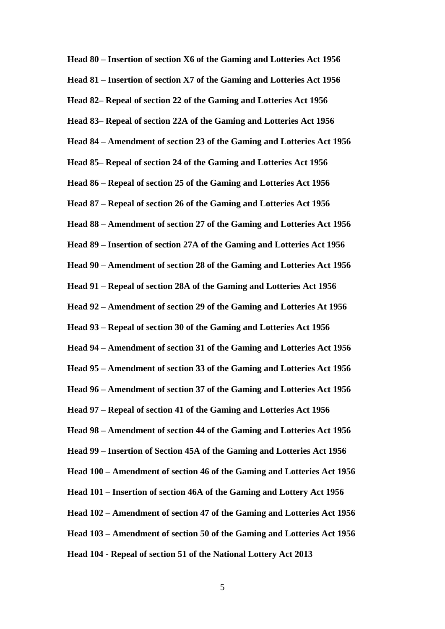**Head 80 – Insertion of section X6 of the Gaming and Lotteries Act 1956 Head 81 – Insertion of section X7 of the Gaming and Lotteries Act 1956 Head 82– Repeal of section 22 of the Gaming and Lotteries Act 1956 Head 83– Repeal of section 22A of the Gaming and Lotteries Act 1956 Head 84 – Amendment of section 23 of the Gaming and Lotteries Act 1956 Head 85– Repeal of section 24 of the Gaming and Lotteries Act 1956 Head 86 – Repeal of section 25 of the Gaming and Lotteries Act 1956 Head 87 – Repeal of section 26 of the Gaming and Lotteries Act 1956 Head 88 – Amendment of section 27 of the Gaming and Lotteries Act 1956 Head 89 – Insertion of section 27A of the Gaming and Lotteries Act 1956 Head 90 – Amendment of section 28 of the Gaming and Lotteries Act 1956 Head 91 – Repeal of section 28A of the Gaming and Lotteries Act 1956 Head 92 – Amendment of section 29 of the Gaming and Lotteries At 1956 Head 93 – Repeal of section 30 of the Gaming and Lotteries Act 1956 Head 94 – Amendment of section 31 of the Gaming and Lotteries Act 1956 Head 95 – Amendment of section 33 of the Gaming and Lotteries Act 1956 Head 96 – Amendment of section 37 of the Gaming and Lotteries Act 1956 Head 97 – Repeal of section 41 of the Gaming and Lotteries Act 1956 Head 98 – Amendment of section 44 of the Gaming and Lotteries Act 1956 Head 99 – Insertion of Section 45A of the Gaming and Lotteries Act 1956 Head 100 – Amendment of section 46 of the Gaming and Lotteries Act 1956 Head 101 – Insertion of section 46A of the Gaming and Lottery Act 1956 Head 102 – Amendment of section 47 of the Gaming and Lotteries Act 1956 Head 103 – Amendment of section 50 of the Gaming and Lotteries Act 1956 Head 104 - Repeal of section 51 of the National Lottery Act 2013**

5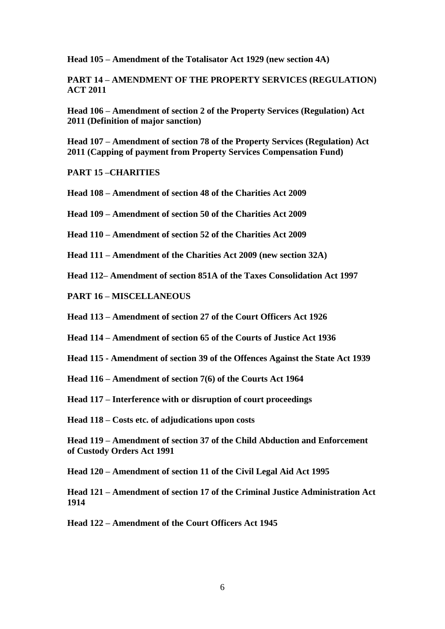**Head 105 – Amendment of the Totalisator Act 1929 (new section 4A)**

**PART 14 – AMENDMENT OF THE PROPERTY SERVICES (REGULATION) ACT 2011**

**Head 106 – Amendment of section 2 of the Property Services (Regulation) Act 2011 (Definition of major sanction)**

**Head 107 – Amendment of section 78 of the Property Services (Regulation) Act 2011 (Capping of payment from Property Services Compensation Fund)**

**PART 15 –CHARITIES**

**Head 108 – Amendment of section 48 of the Charities Act 2009**

**Head 109 – Amendment of section 50 of the Charities Act 2009**

**Head 110 – Amendment of section 52 of the Charities Act 2009**

**Head 111 – Amendment of the Charities Act 2009 (new section 32A)**

**Head 112– Amendment of section 851A of the Taxes Consolidation Act 1997**

**PART 16 – MISCELLANEOUS**

**Head 113 – Amendment of section 27 of the Court Officers Act 1926**

**Head 114 – Amendment of section 65 of the Courts of Justice Act 1936**

**Head 115 - Amendment of section 39 of the Offences Against the State Act 1939**

**Head 116 – Amendment of section 7(6) of the Courts Act 1964**

**Head 117 – Interference with or disruption of court proceedings**

**Head 118 – Costs etc. of adjudications upon costs**

**Head 119 – Amendment of section 37 of the Child Abduction and Enforcement of Custody Orders Act 1991**

**Head 120 – Amendment of section 11 of the Civil Legal Aid Act 1995**

**Head 121 – Amendment of section 17 of the Criminal Justice Administration Act 1914**

**Head 122 – Amendment of the Court Officers Act 1945**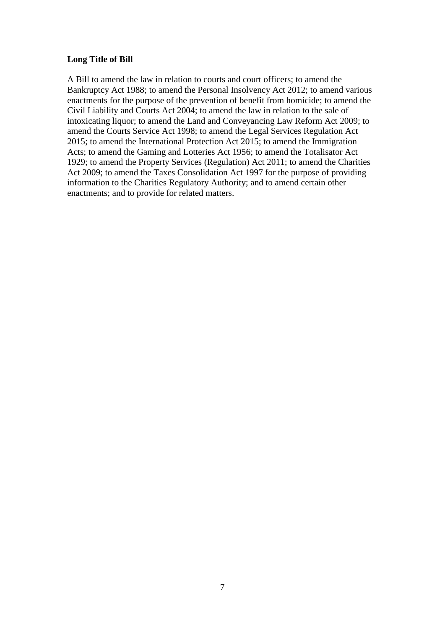#### **Long Title of Bill**

A Bill to amend the law in relation to courts and court officers; to amend the Bankruptcy Act 1988; to amend the Personal Insolvency Act 2012; to amend various enactments for the purpose of the prevention of benefit from homicide; to amend the Civil Liability and Courts Act 2004; to amend the law in relation to the sale of intoxicating liquor; to amend the Land and Conveyancing Law Reform Act 2009; to amend the Courts Service Act 1998; to amend the Legal Services Regulation Act 2015; to amend the International Protection Act 2015; to amend the Immigration Acts; to amend the Gaming and Lotteries Act 1956; to amend the Totalisator Act 1929; to amend the Property Services (Regulation) Act 2011; to amend the Charities Act 2009; to amend the Taxes Consolidation Act 1997 for the purpose of providing information to the Charities Regulatory Authority; and to amend certain other enactments; and to provide for related matters.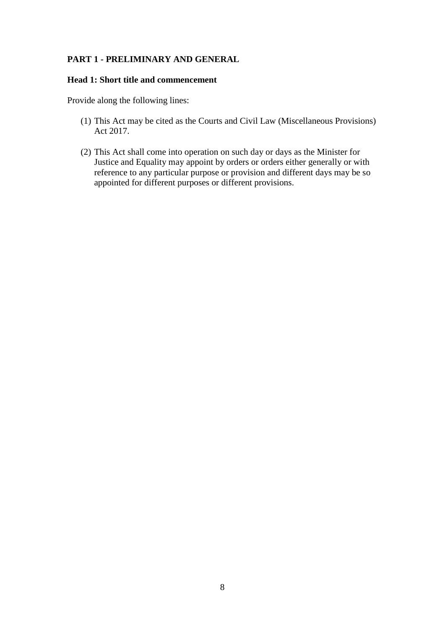# **PART 1 - PRELIMINARY AND GENERAL**

#### **Head 1: Short title and commencement**

Provide along the following lines:

- (1) This Act may be cited as the Courts and Civil Law (Miscellaneous Provisions) Act 2017.
- (2) This Act shall come into operation on such day or days as the Minister for Justice and Equality may appoint by orders or orders either generally or with reference to any particular purpose or provision and different days may be so appointed for different purposes or different provisions.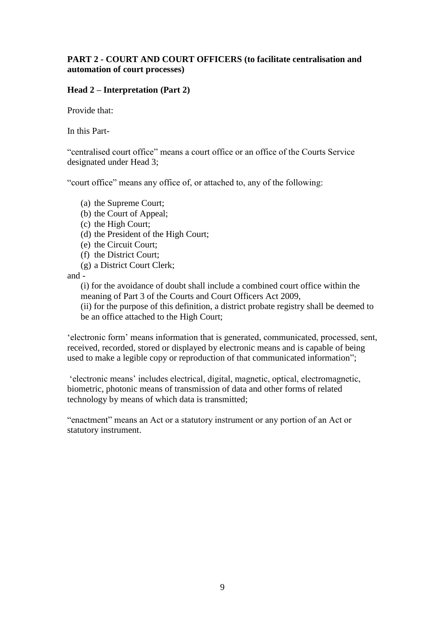## **PART 2 - COURT AND COURT OFFICERS (to facilitate centralisation and automation of court processes)**

# **Head 2 – Interpretation (Part 2)**

Provide that:

In this Part-

"centralised court office" means a court office or an office of the Courts Service designated under Head 3;

"court office" means any office of, or attached to, any of the following:

- (a) the Supreme Court;
- (b) the Court of Appeal;
- (c) the High Court;
- (d) the President of the High Court;
- (e) the Circuit Court;
- (f) the District Court;
- (g) a District Court Clerk;

and -

(i) for the avoidance of doubt shall include a combined court office within the meaning of Part 3 of the Courts and Court Officers Act 2009,

(ii) for the purpose of this definition, a district probate registry shall be deemed to be an office attached to the High Court;

'electronic form' means information that is generated, communicated, processed, sent, received, recorded, stored or displayed by electronic means and is capable of being used to make a legible copy or reproduction of that communicated information";

'electronic means' includes electrical, digital, magnetic, optical, electromagnetic, biometric, photonic means of transmission of data and other forms of related technology by means of which data is transmitted;

"enactment" means an Act or a statutory instrument or any portion of an Act or statutory instrument.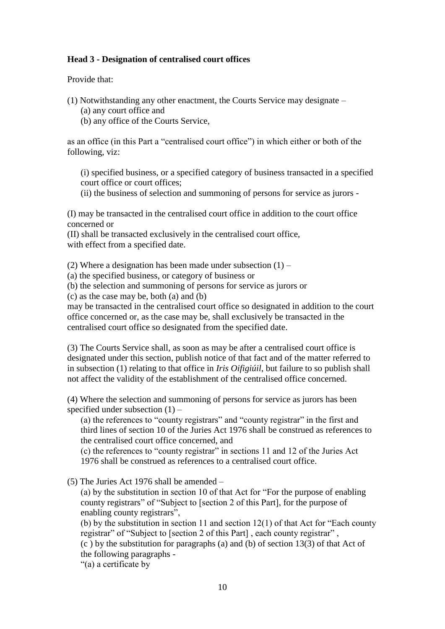## **Head 3 - Designation of centralised court offices**

Provide that:

(1) Notwithstanding any other enactment, the Courts Service may designate –

(a) any court office and

(b) any office of the Courts Service,

as an office (in this Part a "centralised court office") in which either or both of the following, viz:

(i) specified business, or a specified category of business transacted in a specified court office or court offices;

(ii) the business of selection and summoning of persons for service as jurors -

(I) may be transacted in the centralised court office in addition to the court office concerned or

(II) shall be transacted exclusively in the centralised court office, with effect from a specified date.

(2) Where a designation has been made under subsection  $(1)$  –

(a) the specified business, or category of business or

(b) the selection and summoning of persons for service as jurors or

(c) as the case may be, both (a) and (b)

may be transacted in the centralised court office so designated in addition to the court office concerned or, as the case may be, shall exclusively be transacted in the centralised court office so designated from the specified date.

(3) The Courts Service shall, as soon as may be after a centralised court office is designated under this section, publish notice of that fact and of the matter referred to in subsection (1) relating to that office in *Iris Oifigiúil*, but failure to so publish shall not affect the validity of the establishment of the centralised office concerned.

(4) Where the selection and summoning of persons for service as jurors has been specified under subsection (1) –

(a) the references to "county registrars" and "county registrar" in the first and third lines of section 10 of the Juries Act 1976 shall be construed as references to the centralised court office concerned, and

(c) the references to "county registrar" in sections 11 and 12 of the Juries Act 1976 shall be construed as references to a centralised court office.

(5) The Juries Act 1976 shall be amended –

(a) by the substitution in section 10 of that Act for "For the purpose of enabling county registrars" of "Subject to [section 2 of this Part], for the purpose of enabling county registrars",

(b) by the substitution in section 11 and section  $12(1)$  of that Act for "Each county" registrar" of "Subject to [section 2 of this Part], each county registrar",

(c ) by the substitution for paragraphs (a) and (b) of section 13(3) of that Act of the following paragraphs -

"(a) a certificate by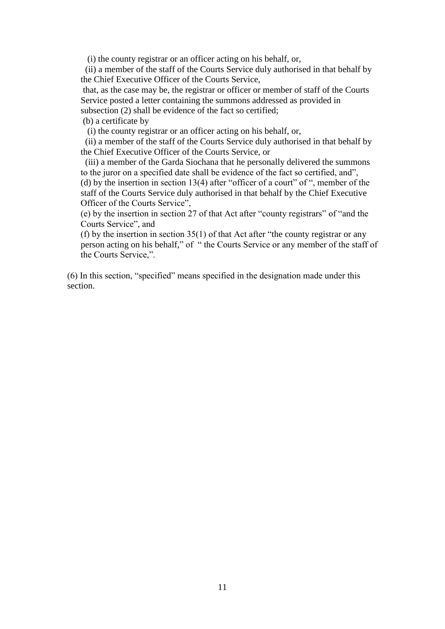(i) the county registrar or an officer acting on his behalf, or,

 (ii) a member of the staff of the Courts Service duly authorised in that behalf by the Chief Executive Officer of the Courts Service,

that, as the case may be, the registrar or officer or member of staff of the Courts Service posted a letter containing the summons addressed as provided in subsection (2) shall be evidence of the fact so certified;

(b) a certificate by

(i) the county registrar or an officer acting on his behalf, or,

 (ii) a member of the staff of the Courts Service duly authorised in that behalf by the Chief Executive Officer of the Courts Service, or

 (iii) a member of the Garda Siochana that he personally delivered the summons to the juror on a specified date shall be evidence of the fact so certified, and",

(d) by the insertion in section 13(4) after "officer of a court" of ", member of the staff of the Courts Service duly authorised in that behalf by the Chief Executive Officer of the Courts Service",

(e) by the insertion in section 27 of that Act after "county registrars" of "and the Courts Service", and

(f) by the insertion in section 35(1) of that Act after "the county registrar or any person acting on his behalf," of " the Courts Service or any member of the staff of the Courts Service,".

(6) In this section, "specified" means specified in the designation made under this section.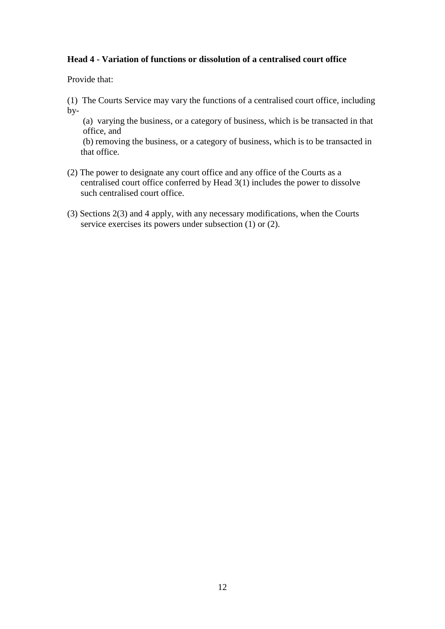## **Head 4 - Variation of functions or dissolution of a centralised court office**

Provide that:

(1) The Courts Service may vary the functions of a centralised court office, including by-

(a) varying the business, or a category of business, which is be transacted in that office, and

(b) removing the business, or a category of business, which is to be transacted in that office.

- (2) The power to designate any court office and any office of the Courts as a centralised court office conferred by Head 3(1) includes the power to dissolve such centralised court office.
- (3) Sections 2(3) and 4 apply, with any necessary modifications, when the Courts service exercises its powers under subsection (1) or (2).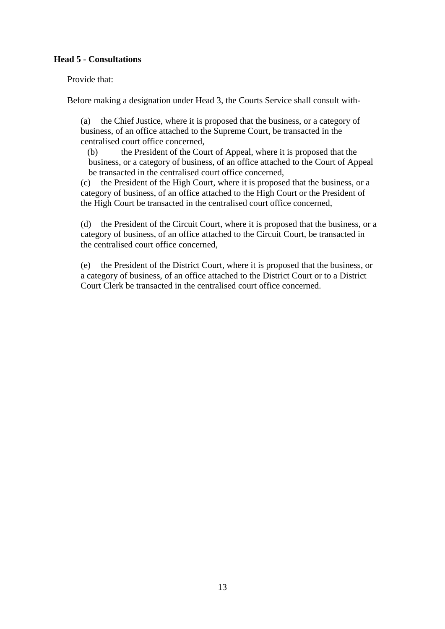# **Head 5 - Consultations**

Provide that:

Before making a designation under Head 3, the Courts Service shall consult with-

(a) the Chief Justice, where it is proposed that the business, or a category of business, of an office attached to the Supreme Court, be transacted in the centralised court office concerned,

(b) the President of the Court of Appeal, where it is proposed that the business, or a category of business, of an office attached to the Court of Appeal be transacted in the centralised court office concerned,

(c) the President of the High Court, where it is proposed that the business, or a category of business, of an office attached to the High Court or the President of the High Court be transacted in the centralised court office concerned,

(d) the President of the Circuit Court, where it is proposed that the business, or a category of business, of an office attached to the Circuit Court, be transacted in the centralised court office concerned,

(e) the President of the District Court, where it is proposed that the business, or a category of business, of an office attached to the District Court or to a District Court Clerk be transacted in the centralised court office concerned.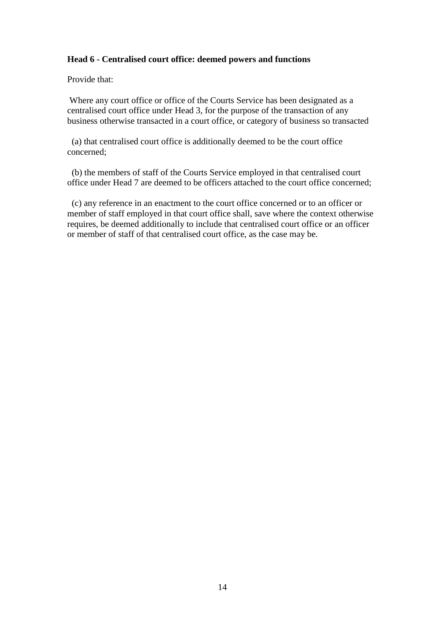## **Head 6 - Centralised court office: deemed powers and functions**

Provide that:

Where any court office or office of the Courts Service has been designated as a centralised court office under Head 3, for the purpose of the transaction of any business otherwise transacted in a court office, or category of business so transacted

 (a) that centralised court office is additionally deemed to be the court office concerned;

 (b) the members of staff of the Courts Service employed in that centralised court office under Head 7 are deemed to be officers attached to the court office concerned;

 (c) any reference in an enactment to the court office concerned or to an officer or member of staff employed in that court office shall, save where the context otherwise requires, be deemed additionally to include that centralised court office or an officer or member of staff of that centralised court office, as the case may be.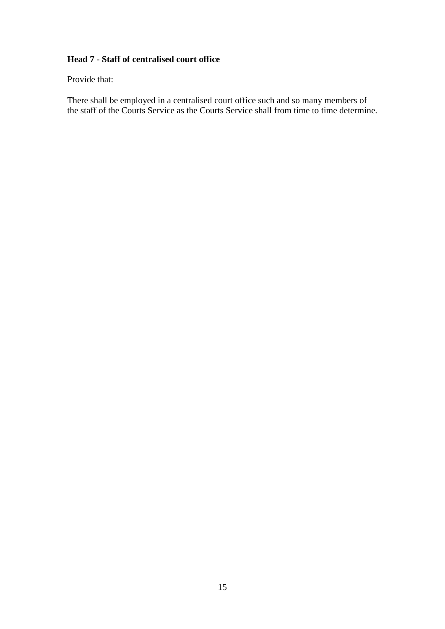# **Head 7 - Staff of centralised court office**

Provide that:

There shall be employed in a centralised court office such and so many members of the staff of the Courts Service as the Courts Service shall from time to time determine.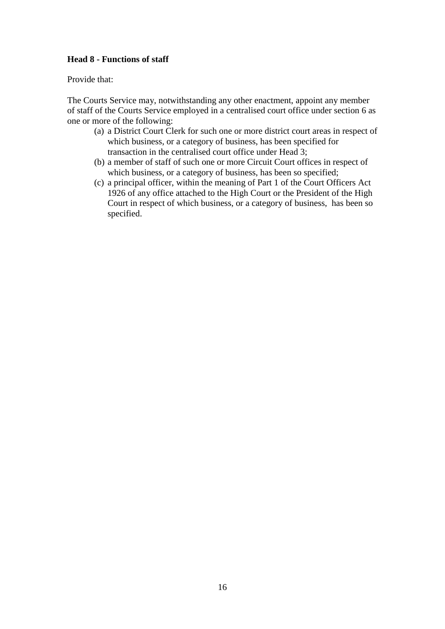# **Head 8 - Functions of staff**

Provide that:

The Courts Service may, notwithstanding any other enactment, appoint any member of staff of the Courts Service employed in a centralised court office under section 6 as one or more of the following:

- (a) a District Court Clerk for such one or more district court areas in respect of which business, or a category of business, has been specified for transaction in the centralised court office under Head 3;
- (b) a member of staff of such one or more Circuit Court offices in respect of which business, or a category of business, has been so specified;
- (c) a principal officer, within the meaning of Part 1 of the Court Officers Act 1926 of any office attached to the High Court or the President of the High Court in respect of which business, or a category of business, has been so specified.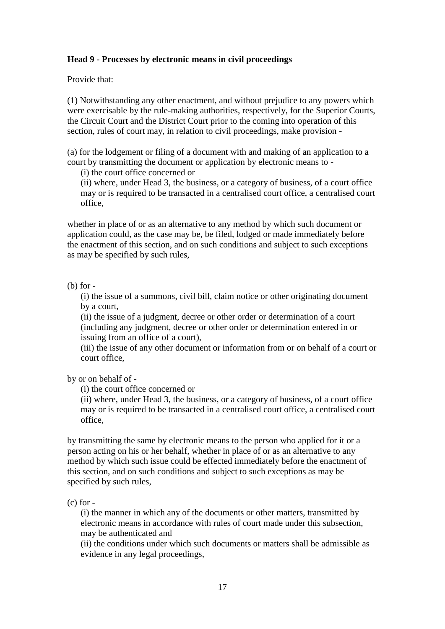## **Head 9 - Processes by electronic means in civil proceedings**

Provide that:

(1) Notwithstanding any other enactment, and without prejudice to any powers which were exercisable by the rule-making authorities, respectively, for the Superior Courts, the Circuit Court and the District Court prior to the coming into operation of this section, rules of court may, in relation to civil proceedings, make provision -

(a) for the lodgement or filing of a document with and making of an application to a court by transmitting the document or application by electronic means to -

(i) the court office concerned or

(ii) where, under Head 3, the business, or a category of business, of a court office may or is required to be transacted in a centralised court office, a centralised court office,

whether in place of or as an alternative to any method by which such document or application could, as the case may be, be filed, lodged or made immediately before the enactment of this section, and on such conditions and subject to such exceptions as may be specified by such rules,

(b) for -

(i) the issue of a summons, civil bill, claim notice or other originating document by a court,

(ii) the issue of a judgment, decree or other order or determination of a court (including any judgment, decree or other order or determination entered in or issuing from an office of a court),

(iii) the issue of any other document or information from or on behalf of a court or court office,

by or on behalf of -

(i) the court office concerned or

(ii) where, under Head 3, the business, or a category of business, of a court office may or is required to be transacted in a centralised court office, a centralised court office,

by transmitting the same by electronic means to the person who applied for it or a person acting on his or her behalf, whether in place of or as an alternative to any method by which such issue could be effected immediately before the enactment of this section, and on such conditions and subject to such exceptions as may be specified by such rules,

 $(c)$  for  $-$ 

(i) the manner in which any of the documents or other matters, transmitted by electronic means in accordance with rules of court made under this subsection, may be authenticated and

(ii) the conditions under which such documents or matters shall be admissible as evidence in any legal proceedings,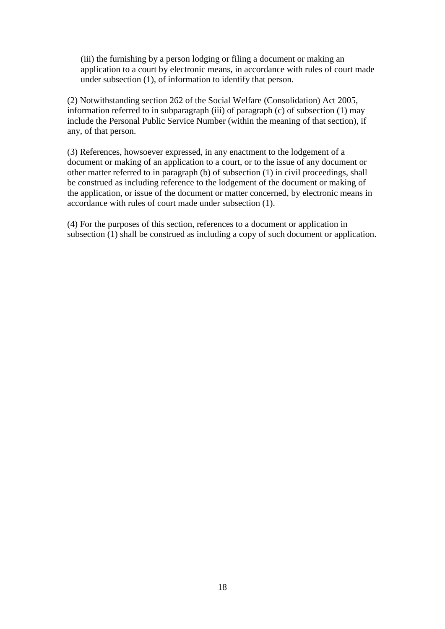(iii) the furnishing by a person lodging or filing a document or making an application to a court by electronic means, in accordance with rules of court made under subsection (1), of information to identify that person.

(2) Notwithstanding section 262 of the Social Welfare (Consolidation) Act 2005, information referred to in subparagraph (iii) of paragraph (c) of subsection  $(1)$  may include the Personal Public Service Number (within the meaning of that section), if any, of that person.

(3) References, howsoever expressed, in any enactment to the lodgement of a document or making of an application to a court, or to the issue of any document or other matter referred to in paragraph (b) of subsection (1) in civil proceedings, shall be construed as including reference to the lodgement of the document or making of the application, or issue of the document or matter concerned, by electronic means in accordance with rules of court made under subsection (1).

(4) For the purposes of this section, references to a document or application in subsection (1) shall be construed as including a copy of such document or application.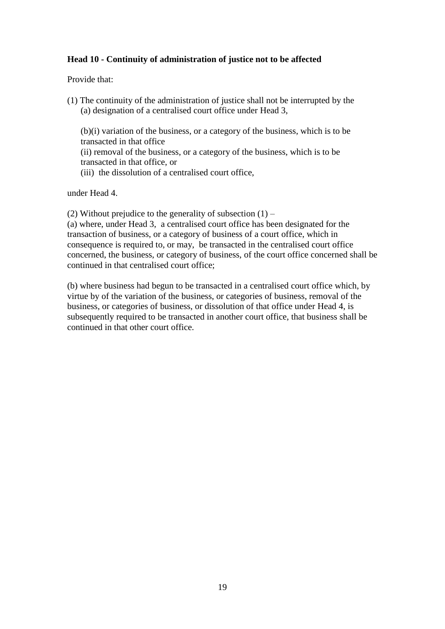# **Head 10 - Continuity of administration of justice not to be affected**

Provide that:

(1) The continuity of the administration of justice shall not be interrupted by the (a) designation of a centralised court office under Head 3,

(b)(i) variation of the business, or a category of the business, which is to be transacted in that office

(ii) removal of the business, or a category of the business, which is to be transacted in that office, or

(iii) the dissolution of a centralised court office,

under Head 4.

(2) Without prejudice to the generality of subsection  $(1)$  –

(a) where, under Head 3, a centralised court office has been designated for the transaction of business, or a category of business of a court office, which in consequence is required to, or may, be transacted in the centralised court office concerned, the business, or category of business, of the court office concerned shall be continued in that centralised court office;

(b) where business had begun to be transacted in a centralised court office which, by virtue by of the variation of the business, or categories of business, removal of the business, or categories of business, or dissolution of that office under Head 4, is subsequently required to be transacted in another court office, that business shall be continued in that other court office.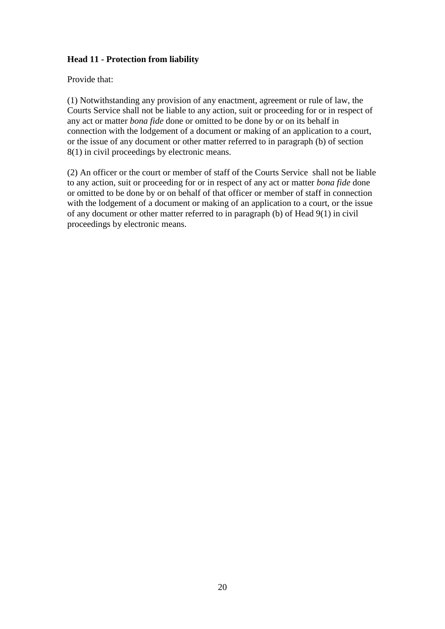# **Head 11 - Protection from liability**

Provide that:

(1) Notwithstanding any provision of any enactment, agreement or rule of law, the Courts Service shall not be liable to any action, suit or proceeding for or in respect of any act or matter *bona fide* done or omitted to be done by or on its behalf in connection with the lodgement of a document or making of an application to a court, or the issue of any document or other matter referred to in paragraph (b) of section 8(1) in civil proceedings by electronic means.

(2) An officer or the court or member of staff of the Courts Service shall not be liable to any action, suit or proceeding for or in respect of any act or matter *bona fide* done or omitted to be done by or on behalf of that officer or member of staff in connection with the lodgement of a document or making of an application to a court, or the issue of any document or other matter referred to in paragraph (b) of Head 9(1) in civil proceedings by electronic means.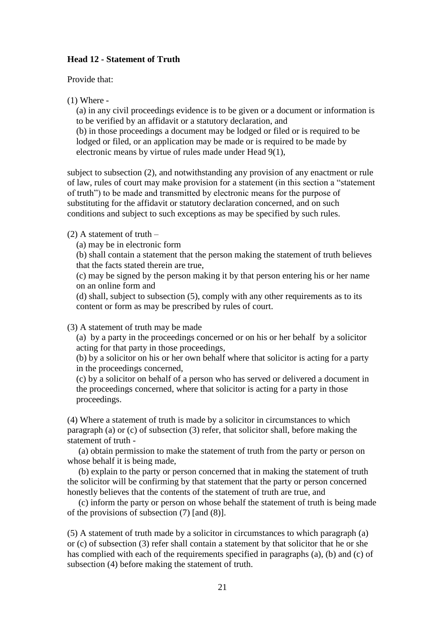## **Head 12 - Statement of Truth**

Provide that:

(1) Where -

(a) in any civil proceedings evidence is to be given or a document or information is to be verified by an affidavit or a statutory declaration, and (b) in those proceedings a document may be lodged or filed or is required to be

lodged or filed, or an application may be made or is required to be made by electronic means by virtue of rules made under Head 9(1),

subject to subsection (2), and notwithstanding any provision of any enactment or rule of law, rules of court may make provision for a statement (in this section a "statement of truth") to be made and transmitted by electronic means for the purpose of substituting for the affidavit or statutory declaration concerned, and on such conditions and subject to such exceptions as may be specified by such rules.

#### $(2)$  A statement of truth –

(a) may be in electronic form

(b) shall contain a statement that the person making the statement of truth believes that the facts stated therein are true,

(c) may be signed by the person making it by that person entering his or her name on an online form and

(d) shall, subject to subsection (5), comply with any other requirements as to its content or form as may be prescribed by rules of court.

(3) A statement of truth may be made

(a) by a party in the proceedings concerned or on his or her behalf by a solicitor acting for that party in those proceedings,

(b) by a solicitor on his or her own behalf where that solicitor is acting for a party in the proceedings concerned,

(c) by a solicitor on behalf of a person who has served or delivered a document in the proceedings concerned, where that solicitor is acting for a party in those proceedings.

(4) Where a statement of truth is made by a solicitor in circumstances to which paragraph (a) or (c) of subsection (3) refer, that solicitor shall, before making the statement of truth -

 (a) obtain permission to make the statement of truth from the party or person on whose behalf it is being made,

 (b) explain to the party or person concerned that in making the statement of truth the solicitor will be confirming by that statement that the party or person concerned honestly believes that the contents of the statement of truth are true, and

 (c) inform the party or person on whose behalf the statement of truth is being made of the provisions of subsection (7) [and (8)].

(5) A statement of truth made by a solicitor in circumstances to which paragraph (a) or (c) of subsection (3) refer shall contain a statement by that solicitor that he or she has complied with each of the requirements specified in paragraphs (a), (b) and (c) of subsection (4) before making the statement of truth.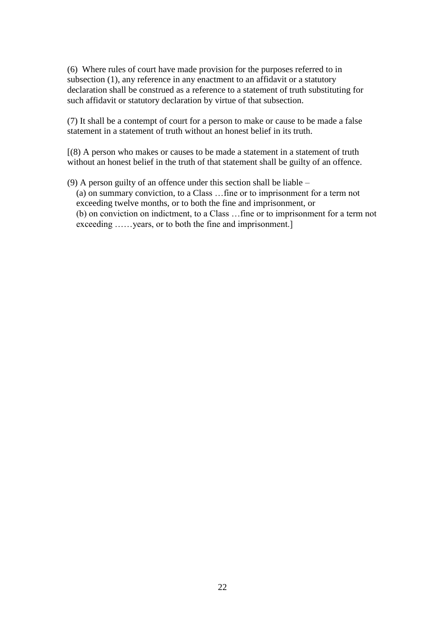(6) Where rules of court have made provision for the purposes referred to in subsection (1), any reference in any enactment to an affidavit or a statutory declaration shall be construed as a reference to a statement of truth substituting for such affidavit or statutory declaration by virtue of that subsection.

(7) It shall be a contempt of court for a person to make or cause to be made a false statement in a statement of truth without an honest belief in its truth.

[(8) A person who makes or causes to be made a statement in a statement of truth without an honest belief in the truth of that statement shall be guilty of an offence.

(9) A person guilty of an offence under this section shall be liable – (a) on summary conviction, to a Class …fine or to imprisonment for a term not exceeding twelve months, or to both the fine and imprisonment, or (b) on conviction on indictment, to a Class …fine or to imprisonment for a term not exceeding ...... years, or to both the fine and imprisonment.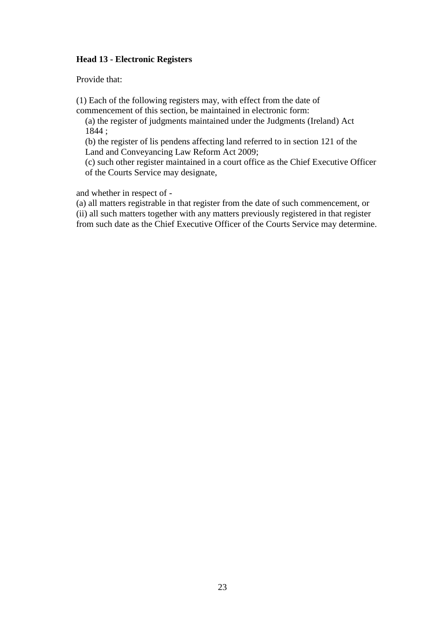## **Head 13 - Electronic Registers**

Provide that:

(1) Each of the following registers may, with effect from the date of commencement of this section, be maintained in electronic form:

(a) the register of judgments maintained under the Judgments (Ireland) Act 1844 ;

(b) the register of lis pendens affecting land referred to in section 121 of the Land and Conveyancing Law Reform Act 2009;

(c) such other register maintained in a court office as the Chief Executive Officer of the Courts Service may designate,

and whether in respect of -

(a) all matters registrable in that register from the date of such commencement, or (ii) all such matters together with any matters previously registered in that register from such date as the Chief Executive Officer of the Courts Service may determine.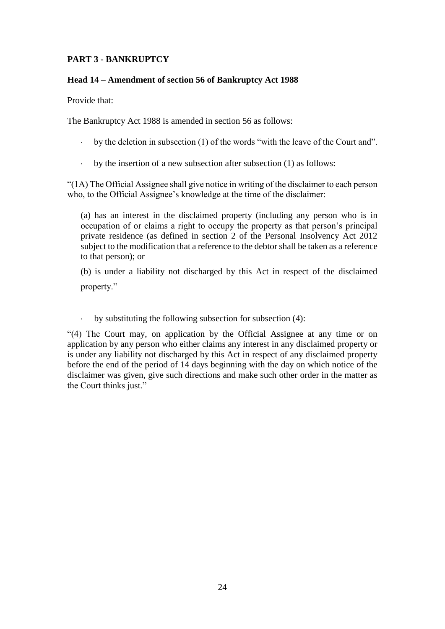# **PART 3 - BANKRUPTCY**

#### **Head 14 – Amendment of section 56 of Bankruptcy Act 1988**

Provide that:

The Bankruptcy Act 1988 is amended in section 56 as follows:

- by the deletion in subsection (1) of the words "with the leave of the Court and".
- by the insertion of a new subsection after subsection (1) as follows:

"(1A) The Official Assignee shall give notice in writing of the disclaimer to each person who, to the Official Assignee's knowledge at the time of the disclaimer:

(a) has an interest in the disclaimed property (including any person who is in occupation of or claims a right to occupy the property as that person's principal private residence (as defined in section 2 of the Personal Insolvency Act 2012 subject to the modification that a reference to the debtor shall be taken as a reference to that person); or

(b) is under a liability not discharged by this Act in respect of the disclaimed property."

by substituting the following subsection for subsection (4):

"(4) The Court may, on application by the Official Assignee at any time or on application by any person who either claims any interest in any disclaimed property or is under any liability not discharged by this Act in respect of any disclaimed property before the end of the period of 14 days beginning with the day on which notice of the disclaimer was given, give such directions and make such other order in the matter as the Court thinks just."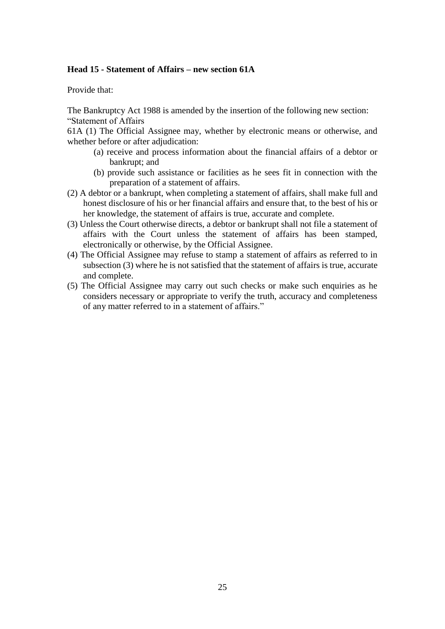#### **Head 15 - Statement of Affairs – new section 61A**

Provide that:

The Bankruptcy Act 1988 is amended by the insertion of the following new section: "Statement of Affairs

61A (1) The Official Assignee may, whether by electronic means or otherwise, and whether before or after adjudication:

- (a) receive and process information about the financial affairs of a debtor or bankrupt; and
- (b) provide such assistance or facilities as he sees fit in connection with the preparation of a statement of affairs.
- (2) A debtor or a bankrupt, when completing a statement of affairs, shall make full and honest disclosure of his or her financial affairs and ensure that, to the best of his or her knowledge, the statement of affairs is true, accurate and complete.
- (3) Unless the Court otherwise directs, a debtor or bankrupt shall not file a statement of affairs with the Court unless the statement of affairs has been stamped, electronically or otherwise, by the Official Assignee.
- (4) The Official Assignee may refuse to stamp a statement of affairs as referred to in subsection (3) where he is not satisfied that the statement of affairs is true, accurate and complete.
- (5) The Official Assignee may carry out such checks or make such enquiries as he considers necessary or appropriate to verify the truth, accuracy and completeness of any matter referred to in a statement of affairs."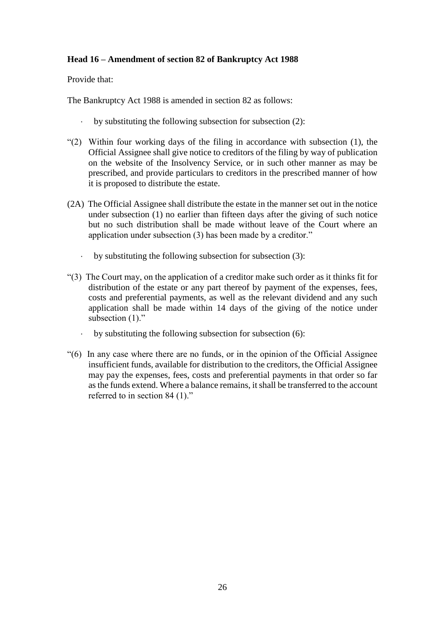# **Head 16 – Amendment of section 82 of Bankruptcy Act 1988**

Provide that:

The Bankruptcy Act 1988 is amended in section 82 as follows:

- by substituting the following subsection for subsection (2):
- "(2) Within four working days of the filing in accordance with subsection (1), the Official Assignee shall give notice to creditors of the filing by way of publication on the website of the Insolvency Service, or in such other manner as may be prescribed, and provide particulars to creditors in the prescribed manner of how it is proposed to distribute the estate.
- (2A) The Official Assignee shall distribute the estate in the manner set out in the notice under subsection (1) no earlier than fifteen days after the giving of such notice but no such distribution shall be made without leave of the Court where an application under subsection (3) has been made by a creditor."
	- by substituting the following subsection for subsection (3):
- "(3) The Court may, on the application of a creditor make such order as it thinks fit for distribution of the estate or any part thereof by payment of the expenses, fees, costs and preferential payments, as well as the relevant dividend and any such application shall be made within 14 days of the giving of the notice under subsection (1)."
	- by substituting the following subsection for subsection (6):
- "(6) In any case where there are no funds, or in the opinion of the Official Assignee insufficient funds, available for distribution to the creditors, the Official Assignee may pay the expenses, fees, costs and preferential payments in that order so far as the funds extend. Where a balance remains, it shall be transferred to the account referred to in section 84 (1)."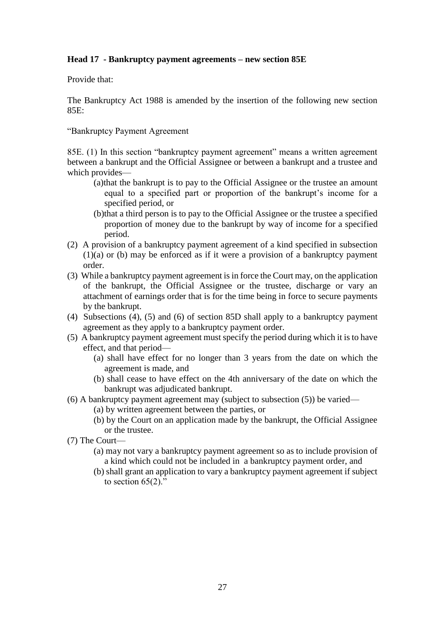# **Head 17 - Bankruptcy payment agreements – new section 85E**

Provide that:

The Bankruptcy Act 1988 is amended by the insertion of the following new section 85E:

"Bankruptcy Payment Agreement

85E. (1) In this section "bankruptcy payment agreement" means a written agreement between a bankrupt and the Official Assignee or between a bankrupt and a trustee and which provides—

- (a)that the bankrupt is to pay to the Official Assignee or the trustee an amount equal to a specified part or proportion of the bankrupt's income for a specified period, or
- (b)that a third person is to pay to the Official Assignee or the trustee a specified proportion of money due to the bankrupt by way of income for a specified period.
- (2) A provision of a bankruptcy payment agreement of a kind specified in subsection  $(1)(a)$  or (b) may be enforced as if it were a provision of a bankruptcy payment order.
- (3) While a bankruptcy payment agreement is in force the Court may, on the application of the bankrupt, the Official Assignee or the trustee, discharge or vary an attachment of earnings order that is for the time being in force to secure payments by the bankrupt.
- (4) Subsections (4), (5) and (6) of section 85D shall apply to a bankruptcy payment agreement as they apply to a bankruptcy payment order.
- (5) A bankruptcy payment agreement must specify the period during which it is to have effect, and that period—
	- (a) shall have effect for no longer than 3 years from the date on which the agreement is made, and
	- (b) shall cease to have effect on the 4th anniversary of the date on which the bankrupt was adjudicated bankrupt.
- (6) A bankruptcy payment agreement may (subject to subsection (5)) be varied—
	- (a) by written agreement between the parties, or
	- (b) by the Court on an application made by the bankrupt, the Official Assignee or the trustee.
- (7) The Court—
	- (a) may not vary a bankruptcy payment agreement so as to include provision of a kind which could not be included in a bankruptcy payment order, and
	- (b) shall grant an application to vary a bankruptcy payment agreement if subject to section  $65(2)$ ."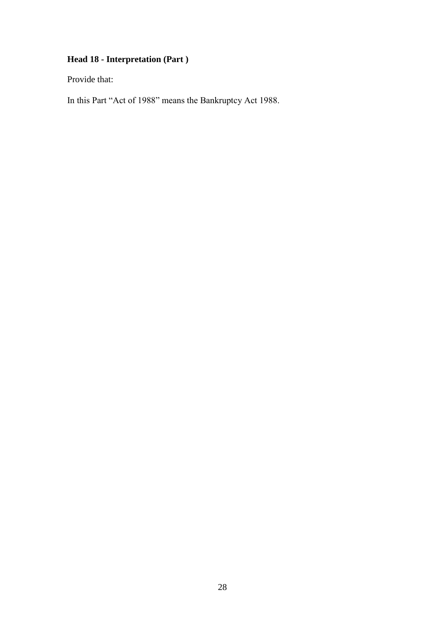# **Head 18 - Interpretation (Part )**

Provide that:

In this Part "Act of 1988" means the Bankruptcy Act 1988.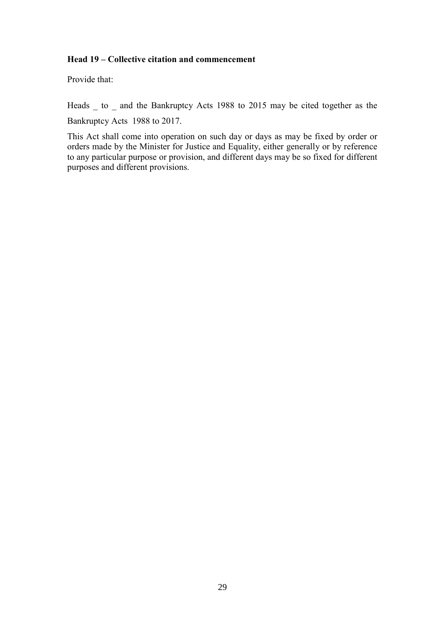## **Head 19 – Collective citation and commencement**

Provide that:

Heads \_ to \_ and the Bankruptcy Acts 1988 to 2015 may be cited together as the

Bankruptcy Acts 1988 to 2017.

This Act shall come into operation on such day or days as may be fixed by order or orders made by the Minister for Justice and Equality, either generally or by reference to any particular purpose or provision, and different days may be so fixed for different purposes and different provisions.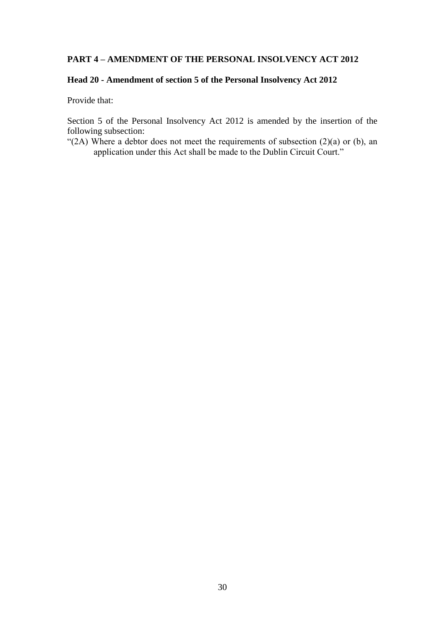# **PART 4 – AMENDMENT OF THE PERSONAL INSOLVENCY ACT 2012**

# **Head 20 - Amendment of section 5 of the Personal Insolvency Act 2012**

Provide that:

Section 5 of the Personal Insolvency Act 2012 is amended by the insertion of the following subsection:

"(2A) Where a debtor does not meet the requirements of subsection  $(2)(a)$  or  $(b)$ , an application under this Act shall be made to the Dublin Circuit Court."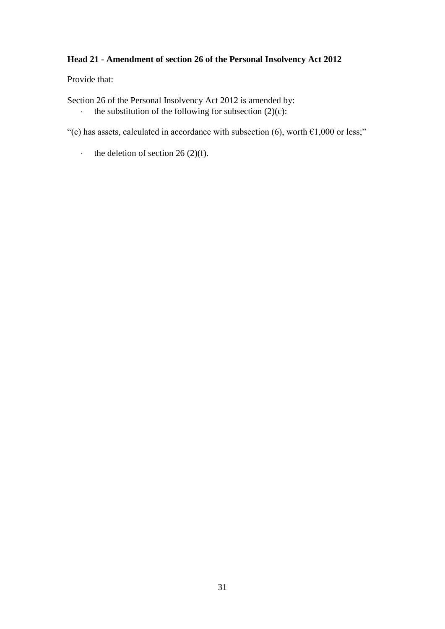# **Head 21 - Amendment of section 26 of the Personal Insolvency Act 2012**

Provide that:

Section 26 of the Personal Insolvency Act 2012 is amended by:

the substitution of the following for subsection  $(2)(c)$ :

"(c) has assets, calculated in accordance with subsection (6), worth  $\epsilon$ 1,000 or less;"

the deletion of section 26 (2)(f).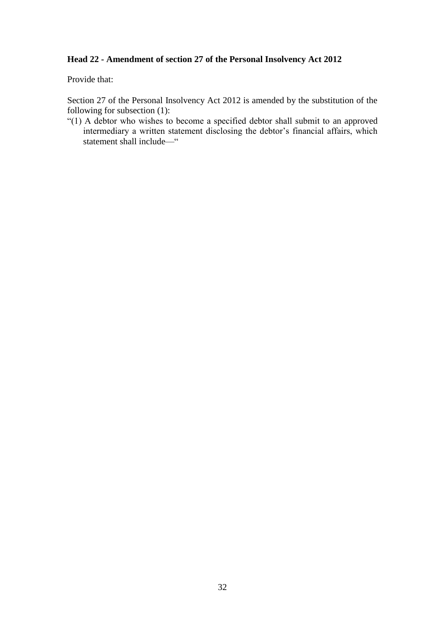# **Head 22 - Amendment of section 27 of the Personal Insolvency Act 2012**

Provide that:

Section 27 of the Personal Insolvency Act 2012 is amended by the substitution of the following for subsection (1):

"(1) A debtor who wishes to become a specified debtor shall submit to an approved intermediary a written statement disclosing the debtor's financial affairs, which statement shall include—"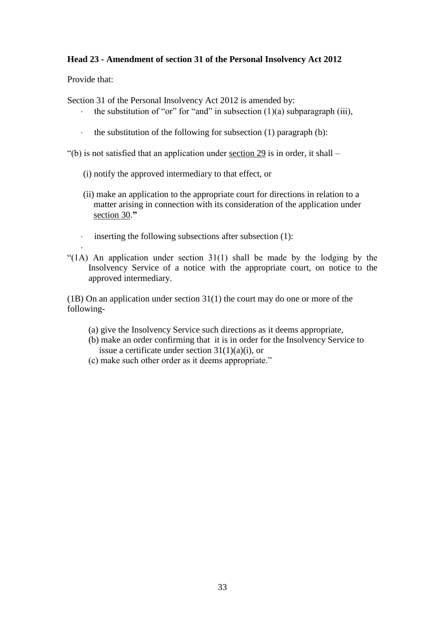# **Head 23 - Amendment of section 31 of the Personal Insolvency Act 2012**

Provide that:

.

Section 31 of the Personal Insolvency Act 2012 is amended by:

- the substitution of "or" for "and" in subsection  $(1)(a)$  subparagraph (iii),
- the substitution of the following for subsection  $(1)$  paragraph  $(b)$ :

"(b) is not satisfied that an application under section 29 is in order, it shall –

- (i) notify the approved intermediary to that effect, or
- (ii) make an application to the appropriate court for directions in relation to a matter arising in connection with its consideration of the application under section 30.**"**
- $\cdot$  inserting the following subsections after subsection (1):
- "(1A) An application under section  $31(1)$  shall be made by the lodging by the Insolvency Service of a notice with the appropriate court, on notice to the approved intermediary.

(1B) On an application under section 31(1) the court may do one or more of the following-

- (a) give the Insolvency Service such directions as it deems appropriate,
- (b) make an order confirming that it is in order for the Insolvency Service to issue a certificate under section  $31(1)(a)(i)$ , or
- (c) make such other order as it deems appropriate."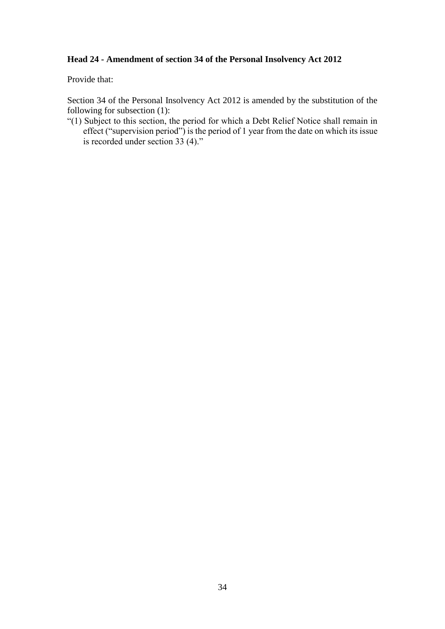## **Head 24 - Amendment of section 34 of the Personal Insolvency Act 2012**

Provide that:

Section 34 of the Personal Insolvency Act 2012 is amended by the substitution of the following for subsection (1):

"(1) Subject to this section, the period for which a Debt Relief Notice shall remain in effect ("supervision period") is the period of 1 year from the date on which its issue is recorded under section 33 (4)."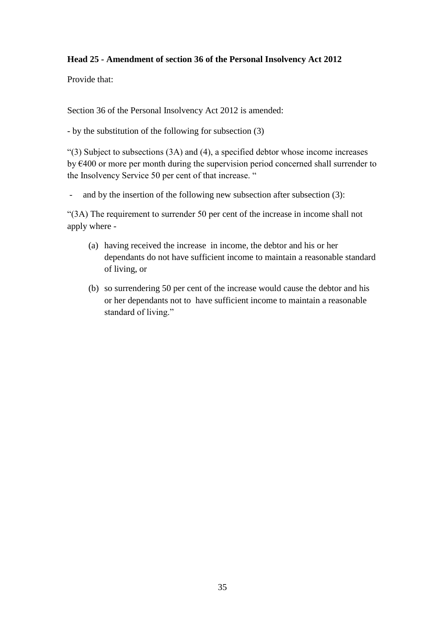# **Head 25 - Amendment of section 36 of the Personal Insolvency Act 2012**

Provide that:

Section 36 of the Personal Insolvency Act 2012 is amended:

- by the substitution of the following for subsection (3)

 $(3)$  Subject to subsections  $(3A)$  and  $(4)$ , a specified debtor whose income increases by €400 or more per month during the supervision period concerned shall surrender to the Insolvency Service 50 per cent of that increase. "

- and by the insertion of the following new subsection after subsection (3):

"(3A) The requirement to surrender 50 per cent of the increase in income shall not apply where -

- (a) having received the increase in income, the debtor and his or her dependants do not have sufficient income to maintain a reasonable standard of living, or
- (b) so surrendering 50 per cent of the increase would cause the debtor and his or her dependants not to have sufficient income to maintain a reasonable standard of living."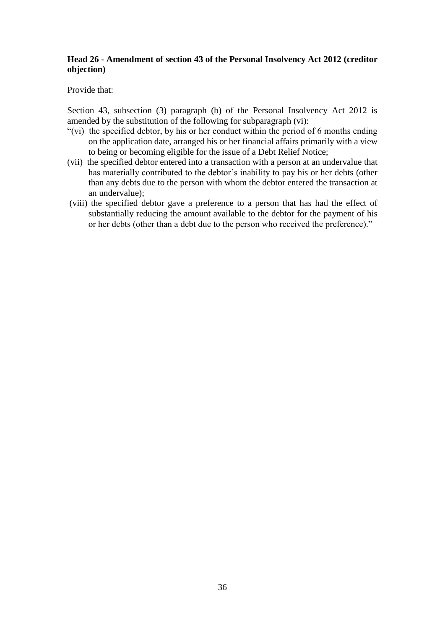## **Head 26 - Amendment of section 43 of the Personal Insolvency Act 2012 (creditor objection)**

Provide that:

Section 43, subsection (3) paragraph (b) of the Personal Insolvency Act 2012 is amended by the substitution of the following for subparagraph (vi):

- " $(vi)$  the specified debtor, by his or her conduct within the period of 6 months ending on the application date, arranged his or her financial affairs primarily with a view to being or becoming eligible for the issue of a Debt Relief Notice;
- (vii) the specified debtor entered into a transaction with a person at an undervalue that has materially contributed to the debtor's inability to pay his or her debts (other than any debts due to the person with whom the debtor entered the transaction at an undervalue);
- (viii) the specified debtor gave a preference to a person that has had the effect of substantially reducing the amount available to the debtor for the payment of his or her debts (other than a debt due to the person who received the preference)."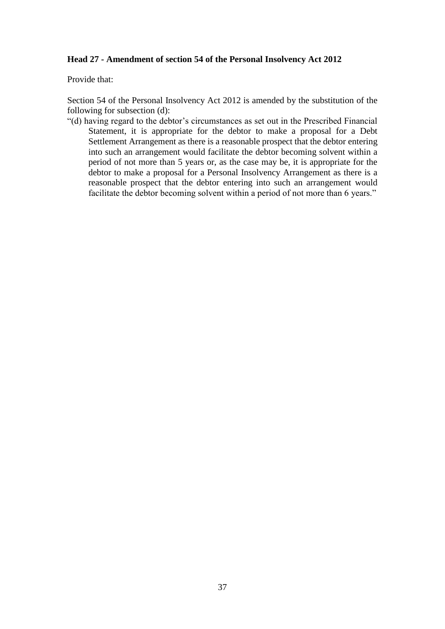#### **Head 27 - Amendment of section 54 of the Personal Insolvency Act 2012**

Provide that:

Section 54 of the Personal Insolvency Act 2012 is amended by the substitution of the following for subsection (d):

"(d) having regard to the debtor's circumstances as set out in the Prescribed Financial Statement, it is appropriate for the debtor to make a proposal for a Debt Settlement Arrangement as there is a reasonable prospect that the debtor entering into such an arrangement would facilitate the debtor becoming solvent within a period of not more than 5 years or, as the case may be, it is appropriate for the debtor to make a proposal for a Personal Insolvency Arrangement as there is a reasonable prospect that the debtor entering into such an arrangement would facilitate the debtor becoming solvent within a period of not more than 6 years."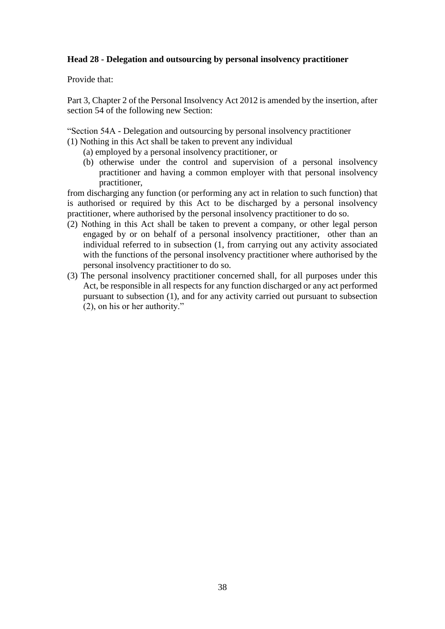#### **Head 28 - Delegation and outsourcing by personal insolvency practitioner**

Provide that:

Part 3, Chapter 2 of the Personal Insolvency Act 2012 is amended by the insertion, after section 54 of the following new Section:

"Section 54A - Delegation and outsourcing by personal insolvency practitioner

- (1) Nothing in this Act shall be taken to prevent any individual
	- (a) employed by a personal insolvency practitioner, or
	- (b) otherwise under the control and supervision of a personal insolvency practitioner and having a common employer with that personal insolvency practitioner,

from discharging any function (or performing any act in relation to such function) that is authorised or required by this Act to be discharged by a personal insolvency practitioner, where authorised by the personal insolvency practitioner to do so.

- (2) Nothing in this Act shall be taken to prevent a company, or other legal person engaged by or on behalf of a personal insolvency practitioner, other than an individual referred to in subsection (1, from carrying out any activity associated with the functions of the personal insolvency practitioner where authorised by the personal insolvency practitioner to do so.
- (3) The personal insolvency practitioner concerned shall, for all purposes under this Act, be responsible in all respects for any function discharged or any act performed pursuant to subsection (1), and for any activity carried out pursuant to subsection (2), on his or her authority."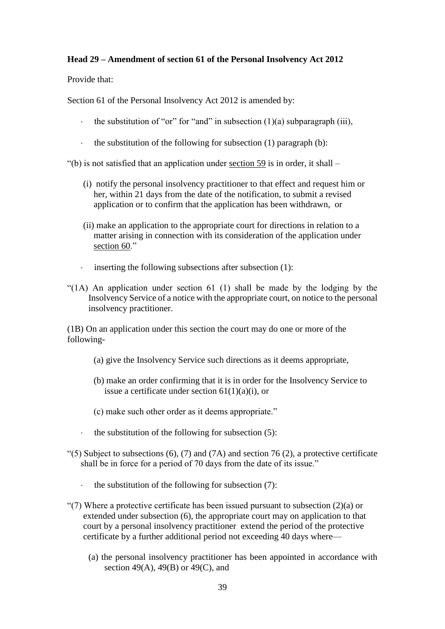#### **Head 29 – Amendment of section 61 of the Personal Insolvency Act 2012**

Provide that:

Section 61 of the Personal Insolvency Act 2012 is amended by:

- the substitution of "or" for "and" in subsection  $(1)(a)$  subparagraph (iii),
- the substitution of the following for subsection  $(1)$  paragraph  $(b)$ :

 $'(b)$  is not satisfied that an application under section 59 is in order, it shall –

- (i) notify the personal insolvency practitioner to that effect and request him or her, within 21 days from the date of the notification, to submit a revised application or to confirm that the application has been withdrawn, or
- (ii) make an application to the appropriate court for directions in relation to a matter arising in connection with its consideration of the application under section 60."
- inserting the following subsections after subsection (1):
- "(1A) An application under section 61 (1) shall be made by the lodging by the Insolvency Service of a notice with the appropriate court, on notice to the personal insolvency practitioner.

(1B) On an application under this section the court may do one or more of the following-

- (a) give the Insolvency Service such directions as it deems appropriate,
- (b) make an order confirming that it is in order for the Insolvency Service to issue a certificate under section  $61(1)(a)(i)$ , or
- (c) make such other order as it deems appropriate."
- the substitution of the following for subsection (5):
- "(5) Subject to subsections  $(6)$ ,  $(7)$  and  $(7A)$  and section 76  $(2)$ , a protective certificate shall be in force for a period of 70 days from the date of its issue."
	- the substitution of the following for subsection  $(7)$ :
- "(7) Where a protective certificate has been issued pursuant to subsection  $(2)(a)$  or extended under subsection (6), the appropriate court may on application to that court by a personal insolvency practitioner extend the period of the protective certificate by a further additional period not exceeding 40 days where—
	- (a) the personal insolvency practitioner has been appointed in accordance with section 49(A), 49(B) or 49(C), and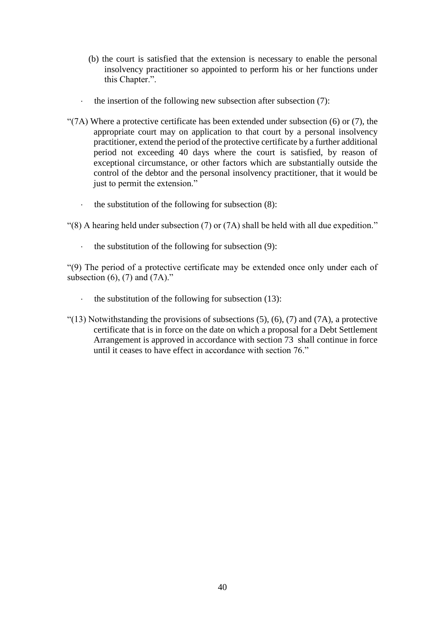- (b) the court is satisfied that the extension is necessary to enable the personal insolvency practitioner so appointed to perform his or her functions under this Chapter.".
- the insertion of the following new subsection after subsection (7):
- " $(7A)$  Where a protective certificate has been extended under subsection  $(6)$  or  $(7)$ , the appropriate court may on application to that court by a personal insolvency practitioner, extend the period of the protective certificate by a further additional period not exceeding 40 days where the court is satisfied, by reason of exceptional circumstance, or other factors which are substantially outside the control of the debtor and the personal insolvency practitioner, that it would be just to permit the extension."
	- the substitution of the following for subsection (8):

"(8) A hearing held under subsection (7) or (7A) shall be held with all due expedition."

the substitution of the following for subsection (9):

"(9) The period of a protective certificate may be extended once only under each of subsection  $(6)$ ,  $(7)$  and  $(7A)$ ."

- the substitution of the following for subsection (13):
- " $(13)$  Notwithstanding the provisions of subsections  $(5)$ ,  $(6)$ ,  $(7)$  and  $(7A)$ , a protective certificate that is in force on the date on which a proposal for a Debt Settlement Arrangement is approved in accordance with section 73 shall continue in force until it ceases to have effect in accordance with section 76."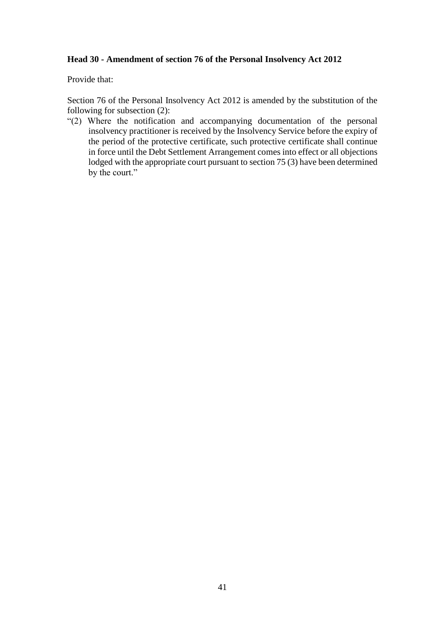#### **Head 30 - Amendment of section 76 of the Personal Insolvency Act 2012**

Provide that:

Section 76 of the Personal Insolvency Act 2012 is amended by the substitution of the following for subsection (2):

"(2) Where the notification and accompanying documentation of the personal insolvency practitioner is received by the Insolvency Service before the expiry of the period of the protective certificate, such protective certificate shall continue in force until the Debt Settlement Arrangement comes into effect or all objections lodged with the appropriate court pursuant to section 75 (3) have been determined by the court."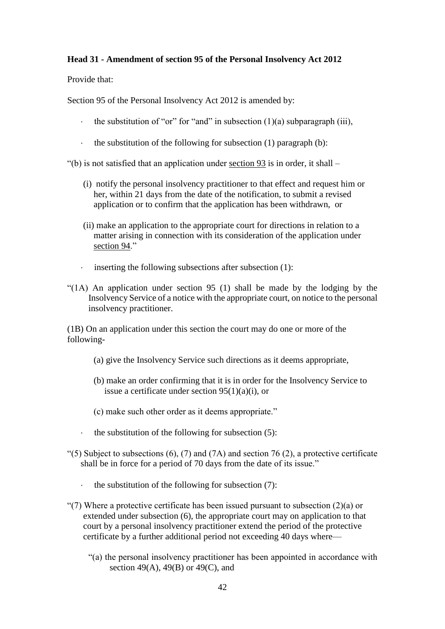#### **Head 31 - Amendment of section 95 of the Personal Insolvency Act 2012**

Provide that:

Section 95 of the Personal Insolvency Act 2012 is amended by:

- the substitution of "or" for "and" in subsection  $(1)(a)$  subparagraph (iii),
- the substitution of the following for subsection  $(1)$  paragraph  $(b)$ :

 $'(b)$  is not satisfied that an application under section 93 is in order, it shall –

- (i) notify the personal insolvency practitioner to that effect and request him or her, within 21 days from the date of the notification, to submit a revised application or to confirm that the application has been withdrawn, or
- (ii) make an application to the appropriate court for directions in relation to a matter arising in connection with its consideration of the application under section 94."
- inserting the following subsections after subsection (1):
- "(1A) An application under section 95 (1) shall be made by the lodging by the Insolvency Service of a notice with the appropriate court, on notice to the personal insolvency practitioner.

(1B) On an application under this section the court may do one or more of the following-

- (a) give the Insolvency Service such directions as it deems appropriate,
- (b) make an order confirming that it is in order for the Insolvency Service to issue a certificate under section 95(1)(a)(i), or
- (c) make such other order as it deems appropriate."
- the substitution of the following for subsection (5):
- "(5) Subject to subsections  $(6)$ ,  $(7)$  and  $(7A)$  and section 76  $(2)$ , a protective certificate shall be in force for a period of 70 days from the date of its issue."
	- the substitution of the following for subsection (7):
- "(7) Where a protective certificate has been issued pursuant to subsection  $(2)(a)$  or extended under subsection (6), the appropriate court may on application to that court by a personal insolvency practitioner extend the period of the protective certificate by a further additional period not exceeding 40 days where—
	- "(a) the personal insolvency practitioner has been appointed in accordance with section 49(A), 49(B) or 49(C), and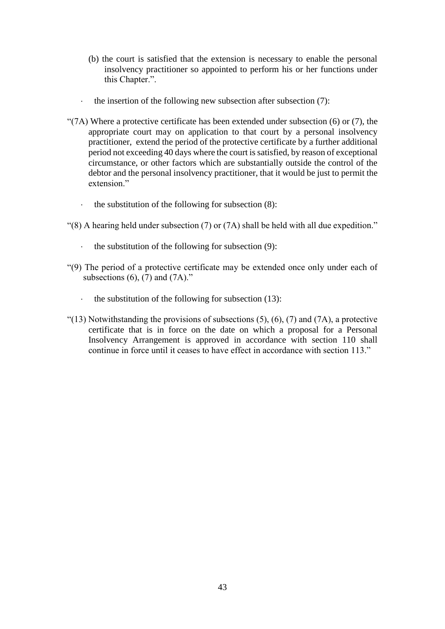- (b) the court is satisfied that the extension is necessary to enable the personal insolvency practitioner so appointed to perform his or her functions under this Chapter.".
- the insertion of the following new subsection after subsection (7):
- " $(7A)$  Where a protective certificate has been extended under subsection  $(6)$  or  $(7)$ , the appropriate court may on application to that court by a personal insolvency practitioner, extend the period of the protective certificate by a further additional period not exceeding 40 days where the court is satisfied, by reason of exceptional circumstance, or other factors which are substantially outside the control of the debtor and the personal insolvency practitioner, that it would be just to permit the extension"
	- the substitution of the following for subsection (8):
- "(8) A hearing held under subsection (7) or (7A) shall be held with all due expedition."
	- the substitution of the following for subsection (9):
- "(9) The period of a protective certificate may be extended once only under each of subsections  $(6)$ ,  $(7)$  and  $(7A)$ ."
	- the substitution of the following for subsection (13):
- "(13) Notwithstanding the provisions of subsections  $(5)$ ,  $(6)$ ,  $(7)$  and  $(7A)$ , a protective certificate that is in force on the date on which a proposal for a Personal Insolvency Arrangement is approved in accordance with section 110 shall continue in force until it ceases to have effect in accordance with section 113."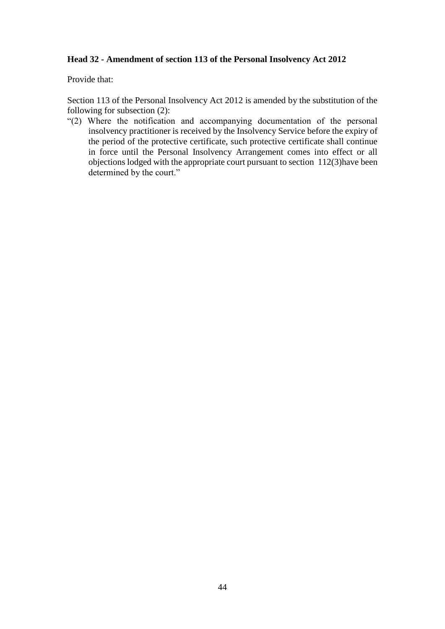#### **Head 32 - Amendment of section 113 of the Personal Insolvency Act 2012**

Provide that:

Section 113 of the Personal Insolvency Act 2012 is amended by the substitution of the following for subsection (2):

"(2) Where the notification and accompanying documentation of the personal insolvency practitioner is received by the Insolvency Service before the expiry of the period of the protective certificate, such protective certificate shall continue in force until the Personal Insolvency Arrangement comes into effect or all objections lodged with the appropriate court pursuant to section 112(3)have been determined by the court."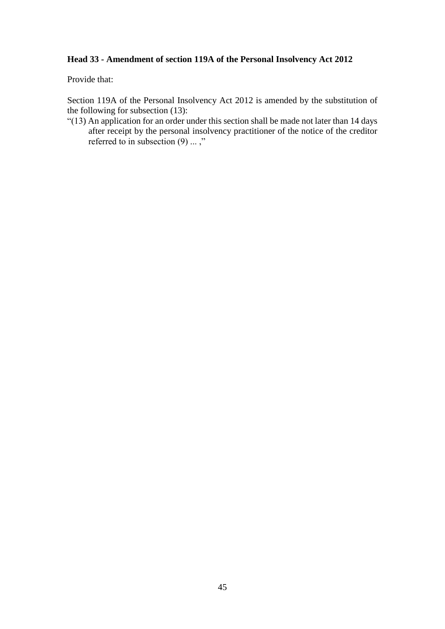# **Head 33 - Amendment of section 119A of the Personal Insolvency Act 2012**

Provide that:

Section 119A of the Personal Insolvency Act 2012 is amended by the substitution of the following for subsection (13):

"(13) An application for an order under this section shall be made not later than 14 days after receipt by the personal insolvency practitioner of the notice of the creditor referred to in subsection  $(9)$  ...,"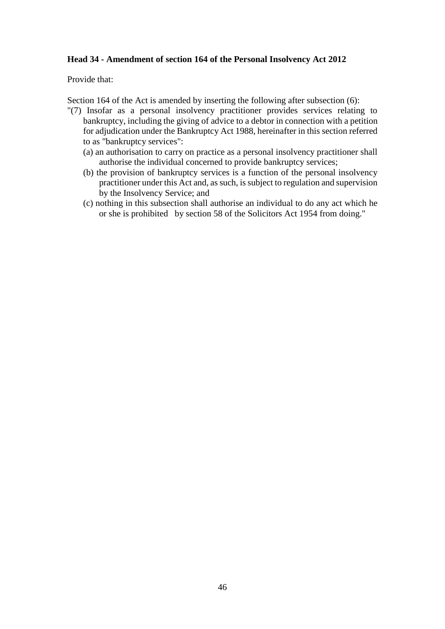#### **Head 34 - Amendment of section 164 of the Personal Insolvency Act 2012**

Provide that:

Section 164 of the Act is amended by inserting the following after subsection (6):

- "(7) Insofar as a personal insolvency practitioner provides services relating to bankruptcy, including the giving of advice to a debtor in connection with a petition for adjudication under the Bankruptcy Act 1988, hereinafter in this section referred to as "bankruptcy services":
	- (a) an authorisation to carry on practice as a personal insolvency practitioner shall authorise the individual concerned to provide bankruptcy services;
	- (b) the provision of bankruptcy services is a function of the personal insolvency practitioner under this Act and, as such, is subject to regulation and supervision by the Insolvency Service; and
	- (c) nothing in this subsection shall authorise an individual to do any act which he or she is prohibited by section 58 of the Solicitors Act 1954 from doing."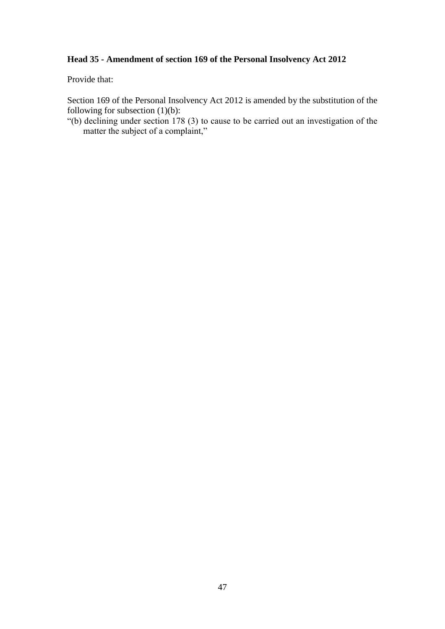# **Head 35 - Amendment of section 169 of the Personal Insolvency Act 2012**

Provide that:

Section 169 of the Personal Insolvency Act 2012 is amended by the substitution of the following for subsection (1)(b):

"(b) declining under section 178 (3) to cause to be carried out an investigation of the matter the subject of a complaint,"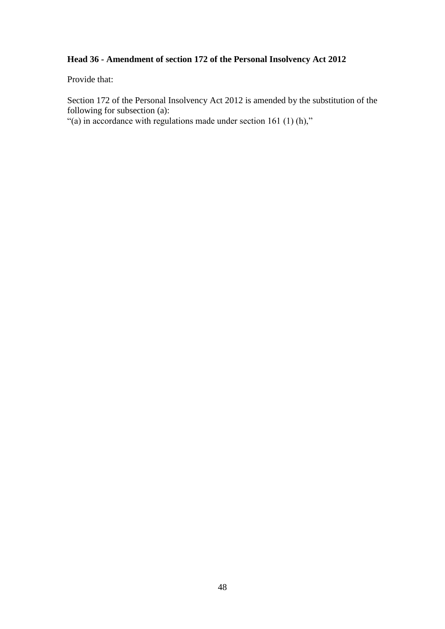# **Head 36 - Amendment of section 172 of the Personal Insolvency Act 2012**

Provide that:

Section 172 of the Personal Insolvency Act 2012 is amended by the substitution of the following for subsection (a):

"(a) in accordance with regulations made under section 161 (1) (h),"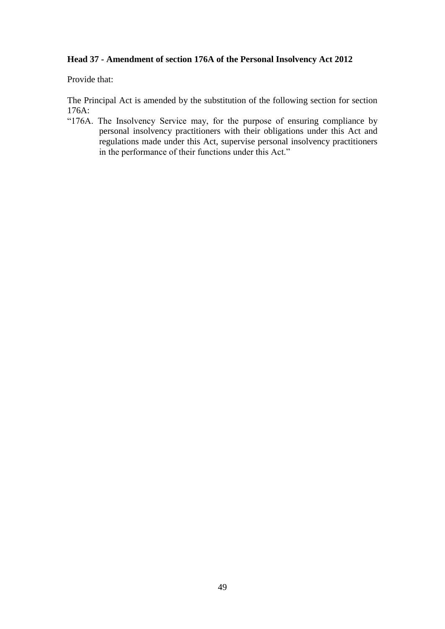#### **Head 37 - Amendment of section 176A of the Personal Insolvency Act 2012**

Provide that:

The Principal Act is amended by the substitution of the following section for section 176A:

"176A. The Insolvency Service may, for the purpose of ensuring compliance by personal insolvency practitioners with their obligations under this Act and regulations made under this Act, supervise personal insolvency practitioners in the performance of their functions under this Act."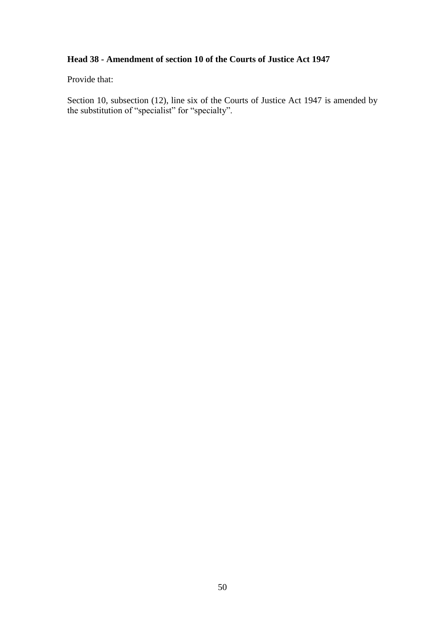# **Head 38 - Amendment of section 10 of the Courts of Justice Act 1947**

Provide that:

Section 10, subsection (12), line six of the Courts of Justice Act 1947 is amended by the substitution of "specialist" for "specialty".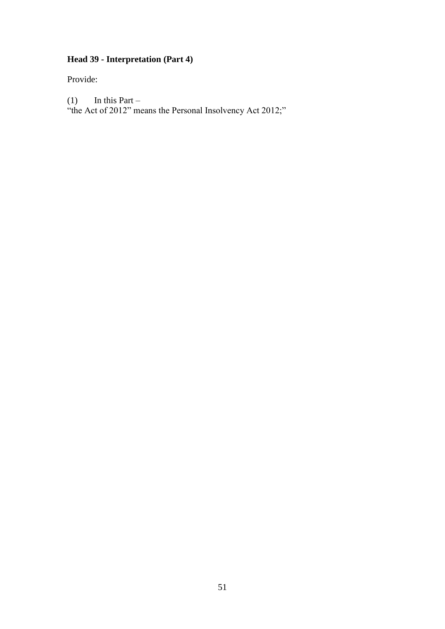# **Head 39 - Interpretation (Part 4)**

Provide:

(1) In this Part –

"the Act of 2012" means the Personal Insolvency Act 2012;"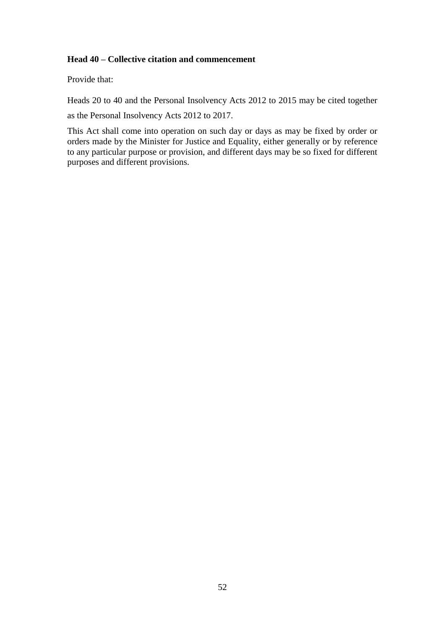#### **Head 40 – Collective citation and commencement**

Provide that:

Heads 20 to 40 and the Personal Insolvency Acts 2012 to 2015 may be cited together

as the Personal Insolvency Acts 2012 to 2017.

This Act shall come into operation on such day or days as may be fixed by order or orders made by the Minister for Justice and Equality, either generally or by reference to any particular purpose or provision, and different days may be so fixed for different purposes and different provisions.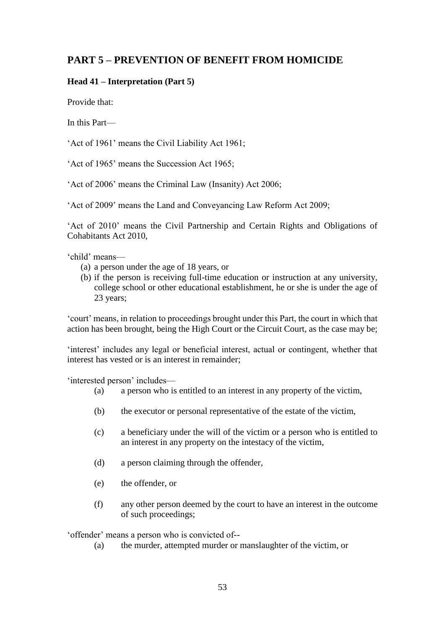# **PART 5 – PREVENTION OF BENEFIT FROM HOMICIDE**

### **Head 41 – Interpretation (Part 5)**

Provide that:

In this Part—

'Act of 1961' means the Civil Liability Act 1961;

'Act of 1965' means the Succession Act 1965;

'Act of 2006' means the Criminal Law (Insanity) Act 2006;

'Act of 2009' means the Land and Conveyancing Law Reform Act 2009;

'Act of 2010' means the Civil Partnership and Certain Rights and Obligations of Cohabitants Act 2010,

'child' means—

- (a) a person under the age of 18 years, or
- (b) if the person is receiving full-time education or instruction at any university, college school or other educational establishment, he or she is under the age of 23 years;

'court' means, in relation to proceedings brought under this Part, the court in which that action has been brought, being the High Court or the Circuit Court, as the case may be;

'interest' includes any legal or beneficial interest, actual or contingent, whether that interest has vested or is an interest in remainder;

'interested person' includes—

- (a) a person who is entitled to an interest in any property of the victim,
- (b) the executor or personal representative of the estate of the victim,
- (c) a beneficiary under the will of the victim or a person who is entitled to an interest in any property on the intestacy of the victim,
- (d) a person claiming through the offender,
- (e) the offender, or
- (f) any other person deemed by the court to have an interest in the outcome of such proceedings;

'offender' means a person who is convicted of--

(a) the murder, attempted murder or manslaughter of the victim, or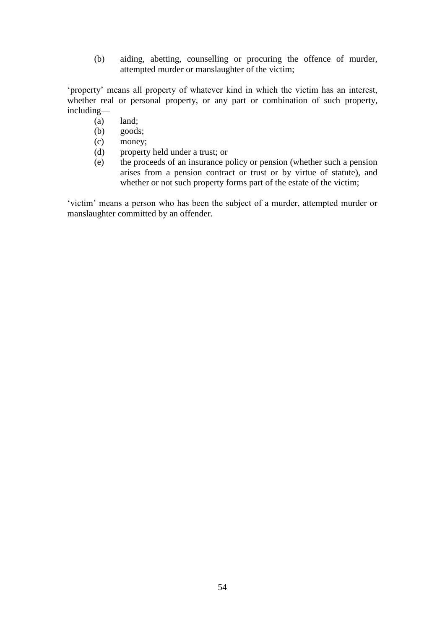(b) aiding, abetting, counselling or procuring the offence of murder, attempted murder or manslaughter of the victim;

'property' means all property of whatever kind in which the victim has an interest, whether real or personal property, or any part or combination of such property, including—

- (a) land;
- (b) goods;
- (c) money;
- (d) property held under a trust; or
- (e) the proceeds of an insurance policy or pension (whether such a pension arises from a pension contract or trust or by virtue of statute), and whether or not such property forms part of the estate of the victim;

'victim' means a person who has been the subject of a murder, attempted murder or manslaughter committed by an offender.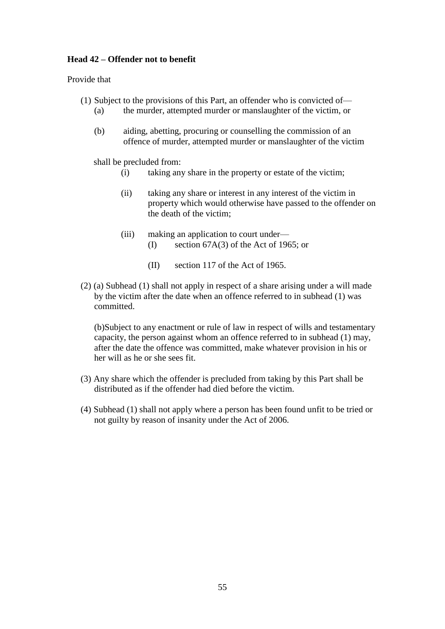#### **Head 42 – Offender not to benefit**

Provide that

- (1) Subject to the provisions of this Part, an offender who is convicted of—
	- (a) the murder, attempted murder or manslaughter of the victim, or
	- (b) aiding, abetting, procuring or counselling the commission of an offence of murder, attempted murder or manslaughter of the victim

shall be precluded from:

- (i) taking any share in the property or estate of the victim;
- (ii) taking any share or interest in any interest of the victim in property which would otherwise have passed to the offender on the death of the victim;
- (iii) making an application to court under— (I) section 67A(3) of the Act of 1965; or
	- (II) section 117 of the Act of 1965.
- (2) (a) Subhead (1) shall not apply in respect of a share arising under a will made by the victim after the date when an offence referred to in subhead (1) was committed.

(b)Subject to any enactment or rule of law in respect of wills and testamentary capacity, the person against whom an offence referred to in subhead (1) may, after the date the offence was committed, make whatever provision in his or her will as he or she sees fit.

- (3) Any share which the offender is precluded from taking by this Part shall be distributed as if the offender had died before the victim.
- (4) Subhead (1) shall not apply where a person has been found unfit to be tried or not guilty by reason of insanity under the Act of 2006.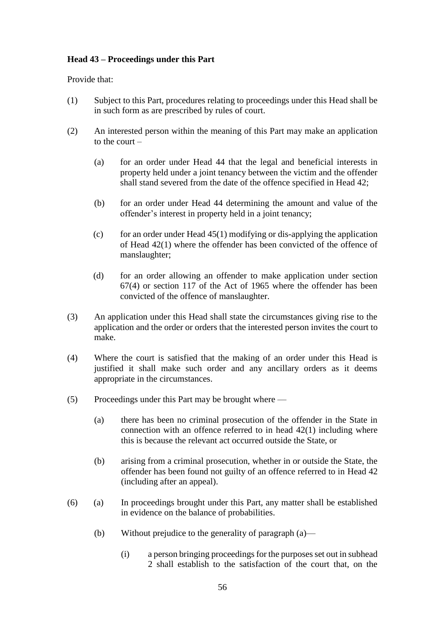#### **Head 43 – Proceedings under this Part**

Provide that:

- (1) Subject to this Part, procedures relating to proceedings under this Head shall be in such form as are prescribed by rules of court.
- (2) An interested person within the meaning of this Part may make an application to the court –
	- (a) for an order under Head 44 that the legal and beneficial interests in property held under a joint tenancy between the victim and the offender shall stand severed from the date of the offence specified in Head 42;
	- (b) for an order under Head 44 determining the amount and value of the offender's interest in property held in a joint tenancy;
	- (c) for an order under Head  $45(1)$  modifying or dis-applying the application of Head 42(1) where the offender has been convicted of the offence of manslaughter;
	- (d) for an order allowing an offender to make application under section 67(4) or section 117 of the Act of 1965 where the offender has been convicted of the offence of manslaughter.
- (3) An application under this Head shall state the circumstances giving rise to the application and the order or orders that the interested person invites the court to make.
- (4) Where the court is satisfied that the making of an order under this Head is justified it shall make such order and any ancillary orders as it deems appropriate in the circumstances.
- (5) Proceedings under this Part may be brought where
	- (a) there has been no criminal prosecution of the offender in the State in connection with an offence referred to in head 42(1) including where this is because the relevant act occurred outside the State, or
	- (b) arising from a criminal prosecution, whether in or outside the State, the offender has been found not guilty of an offence referred to in Head 42 (including after an appeal).
- (6) (a) In proceedings brought under this Part, any matter shall be established in evidence on the balance of probabilities.
	- (b) Without prejudice to the generality of paragraph (a)—
		- (i) a person bringing proceedings for the purposes set out in subhead 2 shall establish to the satisfaction of the court that, on the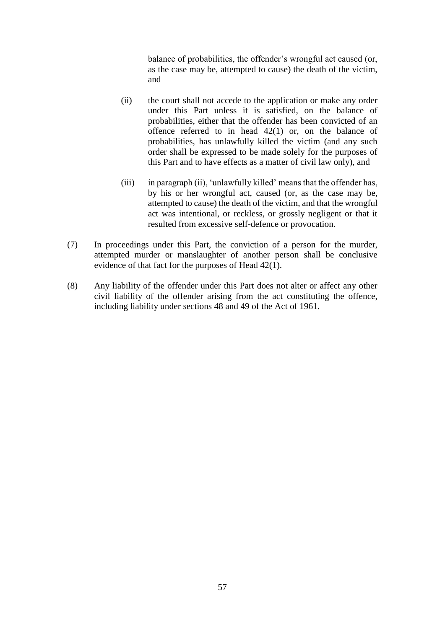balance of probabilities, the offender's wrongful act caused (or, as the case may be, attempted to cause) the death of the victim, and

- (ii) the court shall not accede to the application or make any order under this Part unless it is satisfied, on the balance of probabilities, either that the offender has been convicted of an offence referred to in head  $42(1)$  or, on the balance of probabilities, has unlawfully killed the victim (and any such order shall be expressed to be made solely for the purposes of this Part and to have effects as a matter of civil law only), and
- (iii) in paragraph (ii), 'unlawfully killed' means that the offender has, by his or her wrongful act, caused (or, as the case may be, attempted to cause) the death of the victim, and that the wrongful act was intentional, or reckless, or grossly negligent or that it resulted from excessive self-defence or provocation.
- (7) In proceedings under this Part, the conviction of a person for the murder, attempted murder or manslaughter of another person shall be conclusive evidence of that fact for the purposes of Head 42(1).
- (8) Any liability of the offender under this Part does not alter or affect any other civil liability of the offender arising from the act constituting the offence, including liability under sections 48 and 49 of the Act of 1961.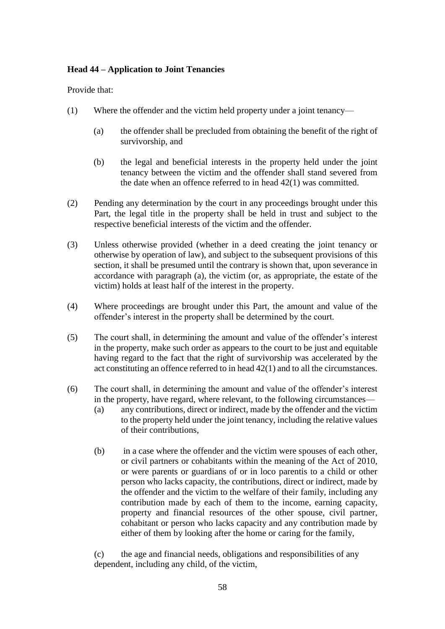#### **Head 44 – Application to Joint Tenancies**

Provide that:

- (1) Where the offender and the victim held property under a joint tenancy—
	- (a) the offender shall be precluded from obtaining the benefit of the right of survivorship, and
	- (b) the legal and beneficial interests in the property held under the joint tenancy between the victim and the offender shall stand severed from the date when an offence referred to in head 42(1) was committed.
- (2) Pending any determination by the court in any proceedings brought under this Part, the legal title in the property shall be held in trust and subject to the respective beneficial interests of the victim and the offender.
- (3) Unless otherwise provided (whether in a deed creating the joint tenancy or otherwise by operation of law), and subject to the subsequent provisions of this section, it shall be presumed until the contrary is shown that, upon severance in accordance with paragraph (a), the victim (or, as appropriate, the estate of the victim) holds at least half of the interest in the property.
- (4) Where proceedings are brought under this Part, the amount and value of the offender's interest in the property shall be determined by the court.
- (5) The court shall, in determining the amount and value of the offender's interest in the property, make such order as appears to the court to be just and equitable having regard to the fact that the right of survivorship was accelerated by the act constituting an offence referred to in head 42(1) and to all the circumstances.
- (6) The court shall, in determining the amount and value of the offender's interest in the property, have regard, where relevant, to the following circumstances—
	- (a) any contributions, direct or indirect, made by the offender and the victim to the property held under the joint tenancy, including the relative values of their contributions,
	- (b) in a case where the offender and the victim were spouses of each other, or civil partners or cohabitants within the meaning of the Act of 2010, or were parents or guardians of or in loco parentis to a child or other person who lacks capacity, the contributions, direct or indirect, made by the offender and the victim to the welfare of their family, including any contribution made by each of them to the income, earning capacity, property and financial resources of the other spouse, civil partner, cohabitant or person who lacks capacity and any contribution made by either of them by looking after the home or caring for the family,

(c) the age and financial needs, obligations and responsibilities of any dependent, including any child, of the victim,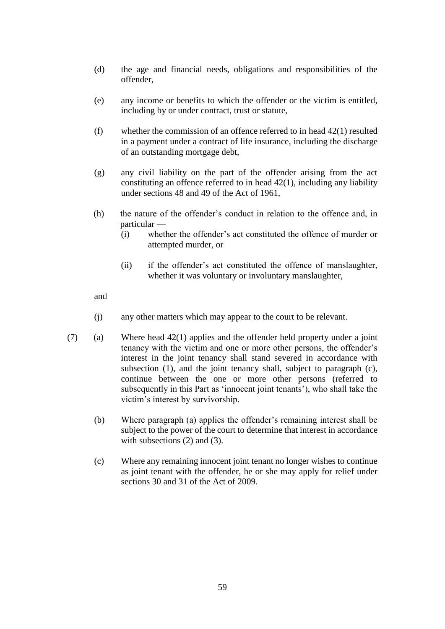- (d) the age and financial needs, obligations and responsibilities of the offender,
- (e) any income or benefits to which the offender or the victim is entitled, including by or under contract, trust or statute,
- (f) whether the commission of an offence referred to in head  $42(1)$  resulted in a payment under a contract of life insurance, including the discharge of an outstanding mortgage debt,
- (g) any civil liability on the part of the offender arising from the act constituting an offence referred to in head 42(1), including any liability under sections 48 and 49 of the Act of 1961,
- (h) the nature of the offender's conduct in relation to the offence and, in particular —
	- (i) whether the offender's act constituted the offence of murder or attempted murder, or
	- (ii) if the offender's act constituted the offence of manslaughter, whether it was voluntary or involuntary manslaughter,

and

- (j) any other matters which may appear to the court to be relevant.
- (7) (a) Where head 42(1) applies and the offender held property under a joint tenancy with the victim and one or more other persons, the offender's interest in the joint tenancy shall stand severed in accordance with subsection (1), and the joint tenancy shall, subject to paragraph (c), continue between the one or more other persons (referred to subsequently in this Part as 'innocent joint tenants'), who shall take the victim's interest by survivorship.
	- (b) Where paragraph (a) applies the offender's remaining interest shall be subject to the power of the court to determine that interest in accordance with subsections (2) and (3).
	- (c) Where any remaining innocent joint tenant no longer wishes to continue as joint tenant with the offender, he or she may apply for relief under sections 30 and 31 of the Act of 2009.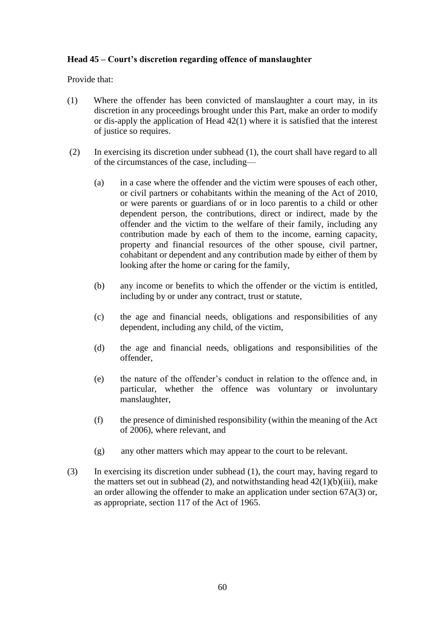#### **Head 45 – Court's discretion regarding offence of manslaughter**

Provide that:

- (1) Where the offender has been convicted of manslaughter a court may, in its discretion in any proceedings brought under this Part, make an order to modify or dis-apply the application of Head 42(1) where it is satisfied that the interest of justice so requires.
- (2) In exercising its discretion under subhead (1), the court shall have regard to all of the circumstances of the case, including—
	- (a) in a case where the offender and the victim were spouses of each other, or civil partners or cohabitants within the meaning of the Act of 2010, or were parents or guardians of or in loco parentis to a child or other dependent person, the contributions, direct or indirect, made by the offender and the victim to the welfare of their family, including any contribution made by each of them to the income, earning capacity, property and financial resources of the other spouse, civil partner, cohabitant or dependent and any contribution made by either of them by looking after the home or caring for the family,
	- (b) any income or benefits to which the offender or the victim is entitled, including by or under any contract, trust or statute,
	- (c) the age and financial needs, obligations and responsibilities of any dependent, including any child, of the victim,
	- (d) the age and financial needs, obligations and responsibilities of the offender,
	- (e) the nature of the offender's conduct in relation to the offence and, in particular, whether the offence was voluntary or involuntary manslaughter,
	- (f) the presence of diminished responsibility (within the meaning of the Act of 2006), where relevant, and
	- (g) any other matters which may appear to the court to be relevant.
- (3) In exercising its discretion under subhead (1), the court may, having regard to the matters set out in subhead (2), and notwithstanding head  $42(1)(b)(iii)$ , make an order allowing the offender to make an application under section 67A(3) or, as appropriate, section 117 of the Act of 1965.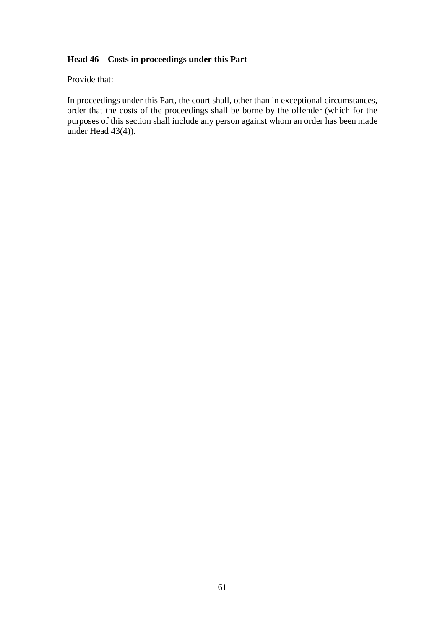#### **Head 46 – Costs in proceedings under this Part**

Provide that:

In proceedings under this Part, the court shall, other than in exceptional circumstances, order that the costs of the proceedings shall be borne by the offender (which for the purposes of this section shall include any person against whom an order has been made under Head  $43(4)$ ).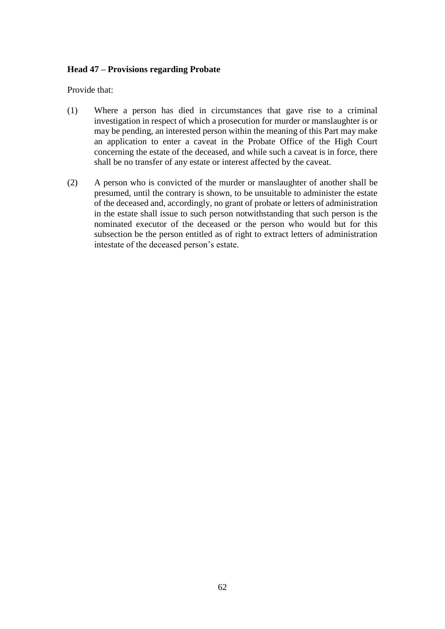#### **Head 47 – Provisions regarding Probate**

Provide that:

- (1) Where a person has died in circumstances that gave rise to a criminal investigation in respect of which a prosecution for murder or manslaughter is or may be pending, an interested person within the meaning of this Part may make an application to enter a caveat in the Probate Office of the High Court concerning the estate of the deceased, and while such a caveat is in force, there shall be no transfer of any estate or interest affected by the caveat.
- (2) A person who is convicted of the murder or manslaughter of another shall be presumed, until the contrary is shown, to be unsuitable to administer the estate of the deceased and, accordingly, no grant of probate or letters of administration in the estate shall issue to such person notwithstanding that such person is the nominated executor of the deceased or the person who would but for this subsection be the person entitled as of right to extract letters of administration intestate of the deceased person's estate.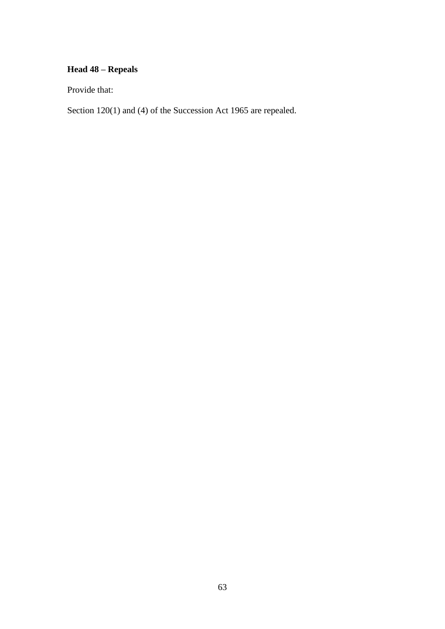# **Head 48 – Repeals**

Provide that:

Section 120(1) and (4) of the Succession Act 1965 are repealed.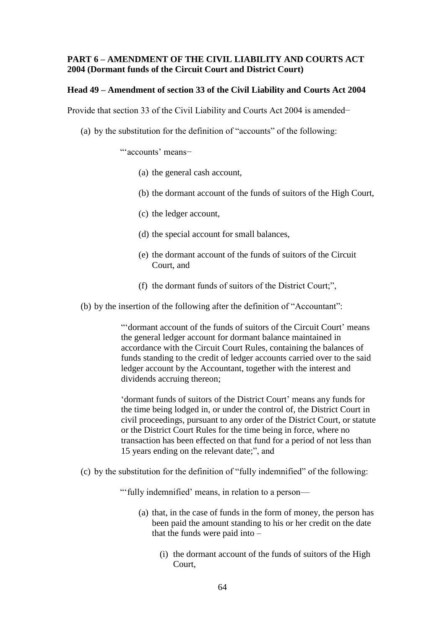#### **PART 6 – AMENDMENT OF THE CIVIL LIABILITY AND COURTS ACT 2004 (Dormant funds of the Circuit Court and District Court)**

#### **Head 49 – Amendment of section 33 of the Civil Liability and Courts Act 2004**

Provide that section 33 of the Civil Liability and Courts Act 2004 is amended−

(a) by the substitution for the definition of "accounts" of the following:

"'accounts' means−

- (a) the general cash account,
- (b) the dormant account of the funds of suitors of the High Court,
- (c) the ledger account,
- (d) the special account for small balances,
- (e) the dormant account of the funds of suitors of the Circuit Court, and
- (f) the dormant funds of suitors of the District Court;",
- (b) by the insertion of the following after the definition of "Accountant":

"'dormant account of the funds of suitors of the Circuit Court' means the general ledger account for dormant balance maintained in accordance with the Circuit Court Rules, containing the balances of funds standing to the credit of ledger accounts carried over to the said ledger account by the Accountant, together with the interest and dividends accruing thereon;

'dormant funds of suitors of the District Court' means any funds for the time being lodged in, or under the control of, the District Court in civil proceedings, pursuant to any order of the District Court, or statute or the District Court Rules for the time being in force, where no transaction has been effected on that fund for a period of not less than 15 years ending on the relevant date;", and

(c) by the substitution for the definition of "fully indemnified" of the following:

"'fully indemnified' means, in relation to a person—

- (a) that, in the case of funds in the form of money, the person has been paid the amount standing to his or her credit on the date that the funds were paid into –
	- (i) the dormant account of the funds of suitors of the High Court,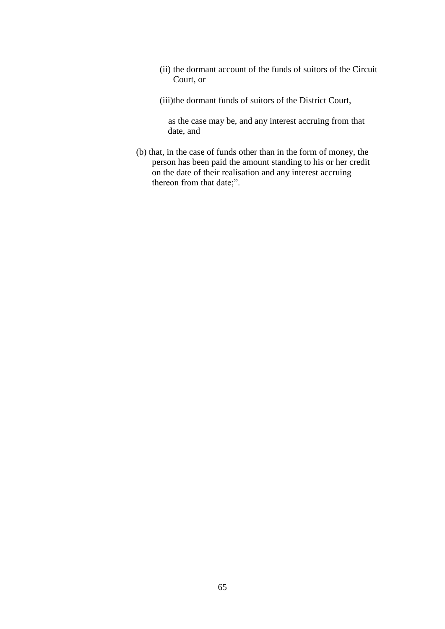- (ii) the dormant account of the funds of suitors of the Circuit Court, or
- (iii)the dormant funds of suitors of the District Court,

as the case may be, and any interest accruing from that date, and

(b) that, in the case of funds other than in the form of money, the person has been paid the amount standing to his or her credit on the date of their realisation and any interest accruing thereon from that date;".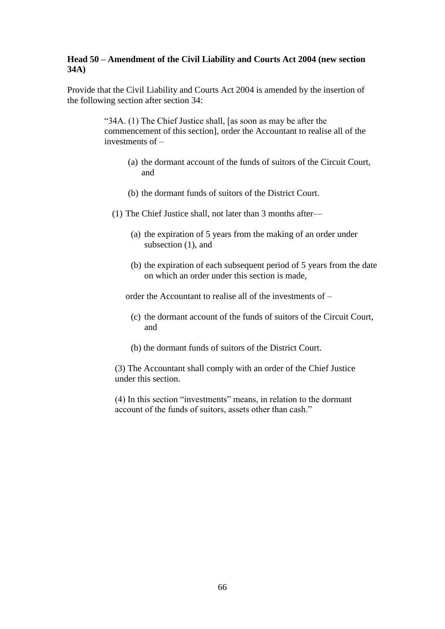#### **Head 50 – Amendment of the Civil Liability and Courts Act 2004 (new section 34A)**

Provide that the Civil Liability and Courts Act 2004 is amended by the insertion of the following section after section 34:

> "34A. (1) The Chief Justice shall, [as soon as may be after the commencement of this section], order the Accountant to realise all of the investments of –

- (a) the dormant account of the funds of suitors of the Circuit Court, and
- (b) the dormant funds of suitors of the District Court.
- (1) The Chief Justice shall, not later than 3 months after—
	- (a) the expiration of 5 years from the making of an order under subsection  $(1)$ , and
	- (b) the expiration of each subsequent period of 5 years from the date on which an order under this section is made,

order the Accountant to realise all of the investments of –

- (c) the dormant account of the funds of suitors of the Circuit Court, and
- (b) the dormant funds of suitors of the District Court.

(3) The Accountant shall comply with an order of the Chief Justice under this section.

(4) In this section "investments" means, in relation to the dormant account of the funds of suitors, assets other than cash."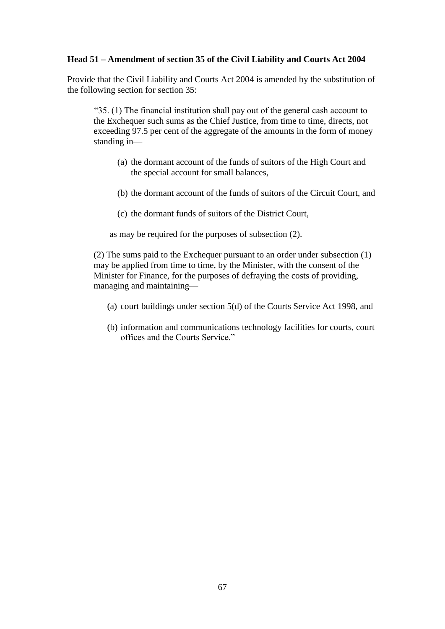#### **Head 51 – Amendment of section 35 of the Civil Liability and Courts Act 2004**

Provide that the Civil Liability and Courts Act 2004 is amended by the substitution of the following section for section 35:

"35. (1) The financial institution shall pay out of the general cash account to the Exchequer such sums as the Chief Justice, from time to time, directs, not exceeding 97.5 per cent of the aggregate of the amounts in the form of money standing in—

- (a) the dormant account of the funds of suitors of the High Court and the special account for small balances,
- (b) the dormant account of the funds of suitors of the Circuit Court, and
- (c) the dormant funds of suitors of the District Court,

as may be required for the purposes of subsection (2).

(2) The sums paid to the Exchequer pursuant to an order under subsection (1) may be applied from time to time, by the Minister, with the consent of the Minister for Finance, for the purposes of defraying the costs of providing, managing and maintaining—

- (a) court buildings under section 5(d) of the Courts Service Act 1998, and
- (b) information and communications technology facilities for courts, court offices and the Courts Service."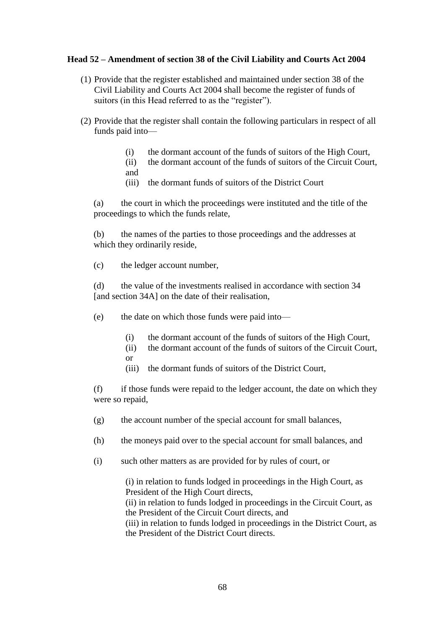#### **Head 52 – Amendment of section 38 of the Civil Liability and Courts Act 2004**

- (1) Provide that the register established and maintained under section 38 of the Civil Liability and Courts Act 2004 shall become the register of funds of suitors (in this Head referred to as the "register").
- (2) Provide that the register shall contain the following particulars in respect of all funds paid into—
	- (i) the dormant account of the funds of suitors of the High Court,
	- (ii) the dormant account of the funds of suitors of the Circuit Court, and
	- (iii) the dormant funds of suitors of the District Court

(a) the court in which the proceedings were instituted and the title of the proceedings to which the funds relate,

(b) the names of the parties to those proceedings and the addresses at which they ordinarily reside,

(c) the ledger account number,

(d) the value of the investments realised in accordance with section 34 [and section 34A] on the date of their realisation,

- (e) the date on which those funds were paid into—
	- (i) the dormant account of the funds of suitors of the High Court,
	- (ii) the dormant account of the funds of suitors of the Circuit Court, or
	- (iii) the dormant funds of suitors of the District Court,

(f) if those funds were repaid to the ledger account, the date on which they were so repaid,

- (g) the account number of the special account for small balances,
- (h) the moneys paid over to the special account for small balances, and
- (i) such other matters as are provided for by rules of court, or

(i) in relation to funds lodged in proceedings in the High Court, as President of the High Court directs, (ii) in relation to funds lodged in proceedings in the Circuit Court, as

the President of the Circuit Court directs, and

(iii) in relation to funds lodged in proceedings in the District Court, as the President of the District Court directs.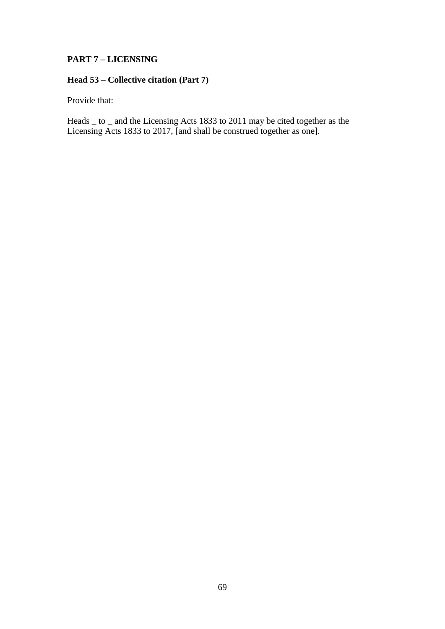### **PART 7 – LICENSING**

# **Head 53 – Collective citation (Part 7)**

Provide that:

Heads \_ to \_ and the Licensing Acts 1833 to 2011 may be cited together as the Licensing Acts 1833 to 2017, [and shall be construed together as one].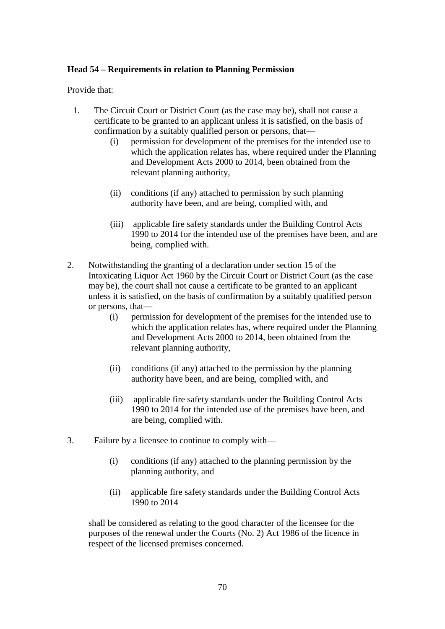#### **Head 54 – Requirements in relation to Planning Permission**

Provide that:

- 1. The Circuit Court or District Court (as the case may be), shall not cause a certificate to be granted to an applicant unless it is satisfied, on the basis of confirmation by a suitably qualified person or persons, that—
	- (i) permission for development of the premises for the intended use to which the application relates has, where required under the Planning and Development Acts 2000 to 2014, been obtained from the relevant planning authority,
	- (ii) conditions (if any) attached to permission by such planning authority have been, and are being, complied with, and
	- (iii) applicable fire safety standards under the Building Control Acts 1990 to 2014 for the intended use of the premises have been, and are being, complied with.
- 2. Notwithstanding the granting of a declaration under section 15 of the Intoxicating Liquor Act 1960 by the Circuit Court or District Court (as the case may be), the court shall not cause a certificate to be granted to an applicant unless it is satisfied, on the basis of confirmation by a suitably qualified person or persons, that—
	- (i) permission for development of the premises for the intended use to which the application relates has, where required under the Planning and Development Acts 2000 to 2014, been obtained from the relevant planning authority,
	- (ii) conditions (if any) attached to the permission by the planning authority have been, and are being, complied with, and
	- (iii) applicable fire safety standards under the Building Control Acts 1990 to 2014 for the intended use of the premises have been, and are being, complied with.
- 3. Failure by a licensee to continue to comply with—
	- (i) conditions (if any) attached to the planning permission by the planning authority, and
	- (ii) applicable fire safety standards under the Building Control Acts 1990 to 2014

shall be considered as relating to the good character of the licensee for the purposes of the renewal under the Courts (No. 2) Act 1986 of the licence in respect of the licensed premises concerned.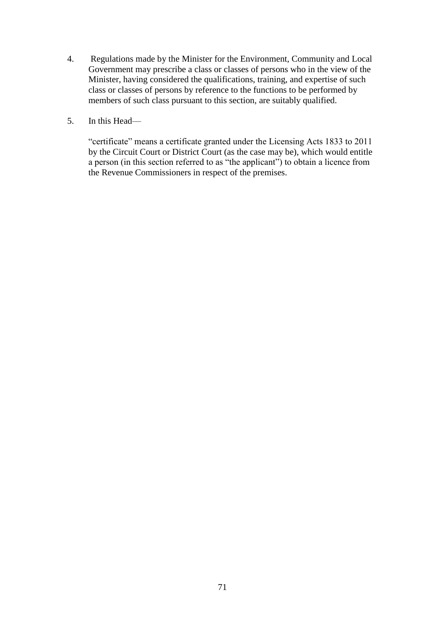- 4. Regulations made by the Minister for the Environment, Community and Local Government may prescribe a class or classes of persons who in the view of the Minister, having considered the qualifications, training, and expertise of such class or classes of persons by reference to the functions to be performed by members of such class pursuant to this section, are suitably qualified.
- 5. In this Head—

"certificate" means a certificate granted under the Licensing Acts 1833 to 2011 by the Circuit Court or District Court (as the case may be), which would entitle a person (in this section referred to as "the applicant") to obtain a licence from the Revenue Commissioners in respect of the premises.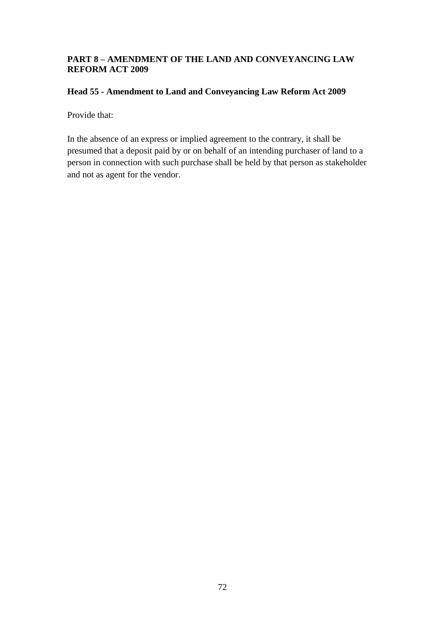### **PART 8 – AMENDMENT OF THE LAND AND CONVEYANCING LAW REFORM ACT 2009**

### **Head 55 - Amendment to Land and Conveyancing Law Reform Act 2009**

Provide that:

In the absence of an express or implied agreement to the contrary, it shall be presumed that a deposit paid by or on behalf of an intending purchaser of land to a person in connection with such purchase shall be held by that person as stakeholder and not as agent for the vendor.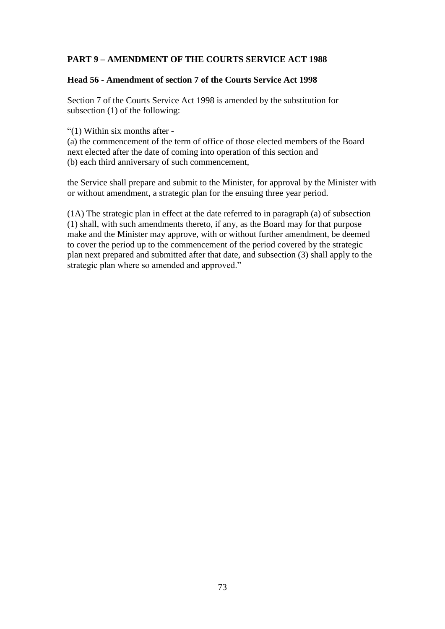# **PART 9 – AMENDMENT OF THE COURTS SERVICE ACT 1988**

#### **Head 56 - Amendment of section 7 of the Courts Service Act 1998**

Section 7 of the Courts Service Act 1998 is amended by the substitution for subsection (1) of the following:

"(1) Within six months after -

(a) the commencement of the term of office of those elected members of the Board next elected after the date of coming into operation of this section and (b) each third anniversary of such commencement,

the Service shall prepare and submit to the Minister, for approval by the Minister with or without amendment, a strategic plan for the ensuing three year period.

(1A) The strategic plan in effect at the date referred to in paragraph (a) of subsection (1) shall, with such amendments thereto, if any, as the Board may for that purpose make and the Minister may approve, with or without further amendment, be deemed to cover the period up to the commencement of the period covered by the strategic plan next prepared and submitted after that date, and subsection (3) shall apply to the strategic plan where so amended and approved."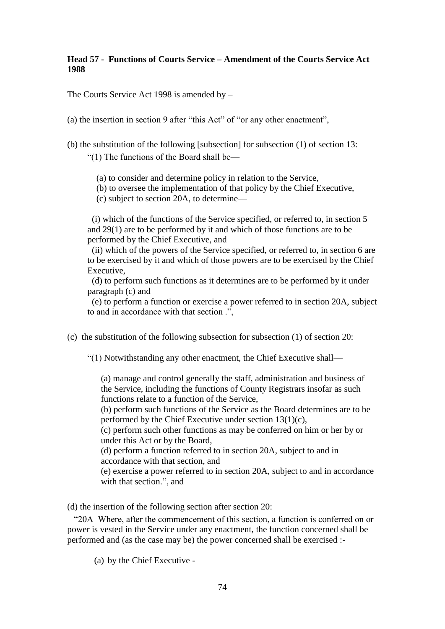#### **Head 57 - Functions of Courts Service – Amendment of the Courts Service Act 1988**

The Courts Service Act 1998 is amended by –

(a) the insertion in section 9 after "this Act" of "or any other enactment",

(b) the substitution of the following [subsection] for subsection (1) of section 13:

"(1) The functions of the Board shall be—

(a) to consider and determine policy in relation to the Service,

(b) to oversee the implementation of that policy by the Chief Executive,

(c) subject to section 20A, to determine—

 (i) which of the functions of the Service specified, or referred to, in section 5 and 29(1) are to be performed by it and which of those functions are to be performed by the Chief Executive, and

 (ii) which of the powers of the Service specified, or referred to, in section 6 are to be exercised by it and which of those powers are to be exercised by the Chief Executive,

 (d) to perform such functions as it determines are to be performed by it under paragraph (c) and

 (e) to perform a function or exercise a power referred to in section 20A, subject to and in accordance with that section .",

(c) the substitution of the following subsection for subsection (1) of section 20:

"(1) Notwithstanding any other enactment, the Chief Executive shall—

(a) manage and control generally the staff, administration and business of the Service, including the functions of County Registrars insofar as such functions relate to a function of the Service,

(b) perform such functions of the Service as the Board determines are to be performed by the Chief Executive under section 13(1)(c),

(c) perform such other functions as may be conferred on him or her by or under this Act or by the Board,

(d) perform a function referred to in section 20A, subject to and in accordance with that section, and

(e) exercise a power referred to in section 20A, subject to and in accordance with that section.", and

(d) the insertion of the following section after section 20:

 "20A Where, after the commencement of this section, a function is conferred on or power is vested in the Service under any enactment, the function concerned shall be performed and (as the case may be) the power concerned shall be exercised :-

(a) by the Chief Executive -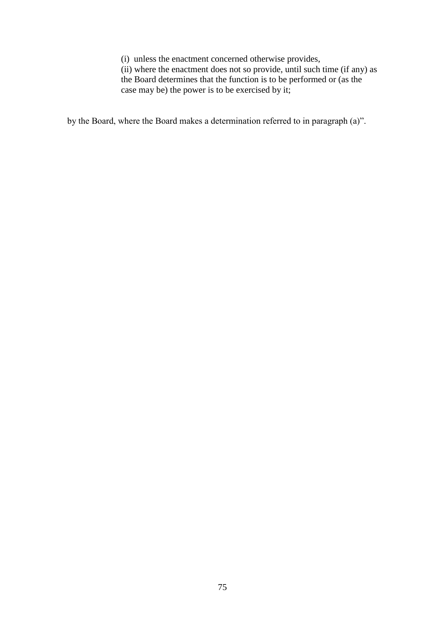(i) unless the enactment concerned otherwise provides,

(ii) where the enactment does not so provide, until such time (if any) as the Board determines that the function is to be performed or (as the case may be) the power is to be exercised by it;

by the Board, where the Board makes a determination referred to in paragraph (a)".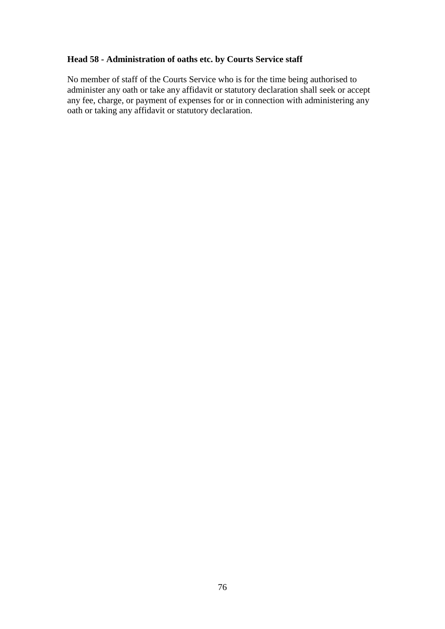# **Head 58 - Administration of oaths etc. by Courts Service staff**

No member of staff of the Courts Service who is for the time being authorised to administer any oath or take any affidavit or statutory declaration shall seek or accept any fee, charge, or payment of expenses for or in connection with administering any oath or taking any affidavit or statutory declaration.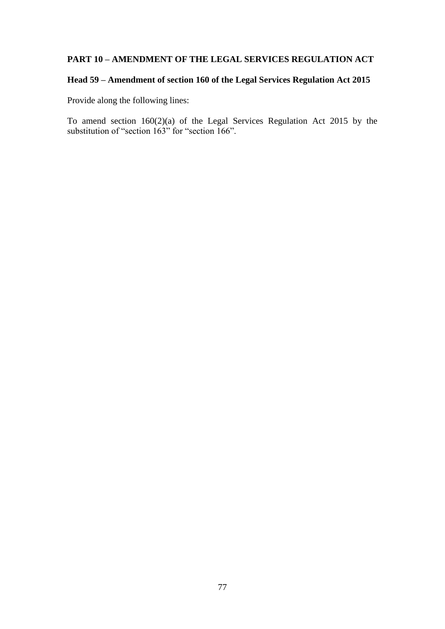### **PART 10 – AMENDMENT OF THE LEGAL SERVICES REGULATION ACT**

# **Head 59 – Amendment of section 160 of the Legal Services Regulation Act 2015**

Provide along the following lines:

To amend section 160(2)(a) of the Legal Services Regulation Act 2015 by the substitution of "section 163" for "section 166".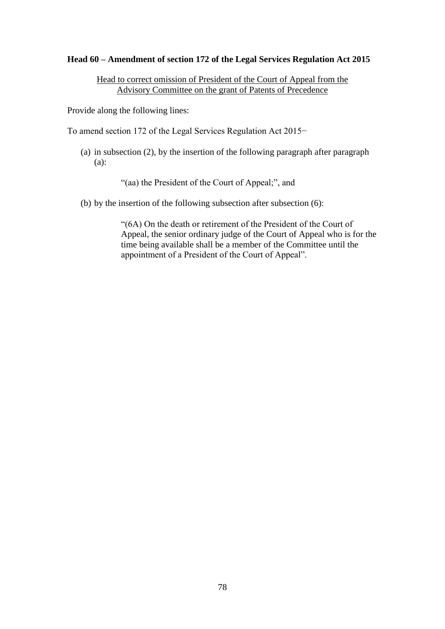#### **Head 60 – Amendment of section 172 of the Legal Services Regulation Act 2015**

Head to correct omission of President of the Court of Appeal from the Advisory Committee on the grant of Patents of Precedence

Provide along the following lines:

To amend section 172 of the Legal Services Regulation Act 2015−

(a) in subsection (2), by the insertion of the following paragraph after paragraph (a):

"(aa) the President of the Court of Appeal;", and

(b) by the insertion of the following subsection after subsection (6):

"(6A) On the death or retirement of the President of the Court of Appeal, the senior ordinary judge of the Court of Appeal who is for the time being available shall be a member of the Committee until the appointment of a President of the Court of Appeal".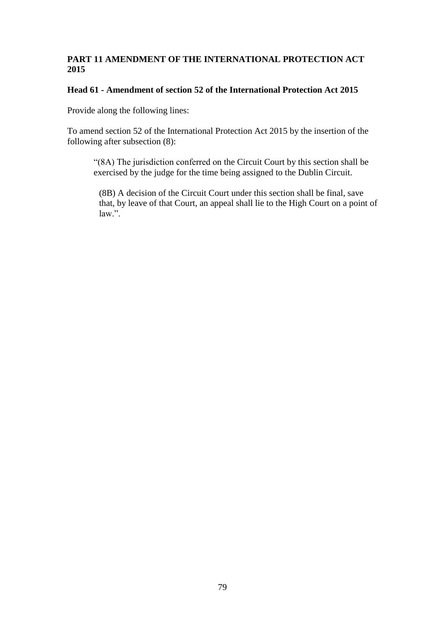### **PART 11 AMENDMENT OF THE INTERNATIONAL PROTECTION ACT 2015**

# **Head 61 - Amendment of section 52 of the International Protection Act 2015**

Provide along the following lines:

To amend section 52 of the International Protection Act 2015 by the insertion of the following after subsection (8):

"(8A) The jurisdiction conferred on the Circuit Court by this section shall be exercised by the judge for the time being assigned to the Dublin Circuit.

(8B) A decision of the Circuit Court under this section shall be final, save that, by leave of that Court, an appeal shall lie to the High Court on a point of law.".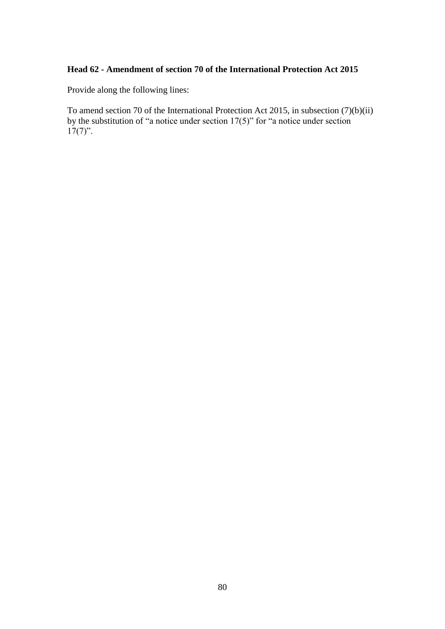# **Head 62 - Amendment of section 70 of the International Protection Act 2015**

Provide along the following lines:

To amend section 70 of the International Protection Act 2015, in subsection (7)(b)(ii) by the substitution of "a notice under section 17(5)" for "a notice under section  $17(7)$ ".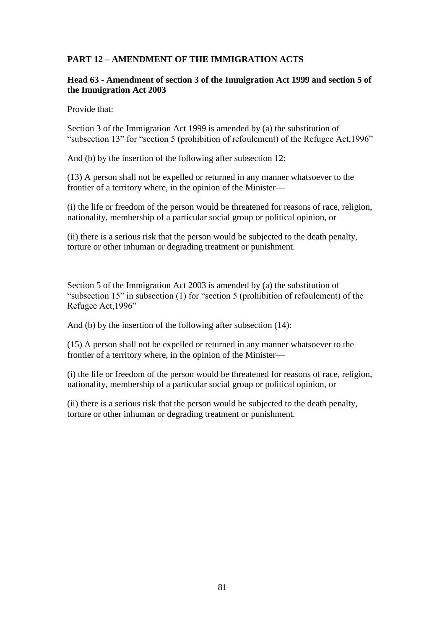# **PART 12 – AMENDMENT OF THE IMMIGRATION ACTS**

#### **Head 63 - Amendment of section 3 of the Immigration Act 1999 and section 5 of the Immigration Act 2003**

Provide that:

Section 3 of the Immigration Act 1999 is amended by (a) the substitution of "subsection 13" for "section 5 (prohibition of refoulement) of the Refugee Act,1996"

And (b) by the insertion of the following after subsection 12:

(13) A person shall not be expelled or returned in any manner whatsoever to the frontier of a territory where, in the opinion of the Minister—

(i) the life or freedom of the person would be threatened for reasons of race, religion, nationality, membership of a particular social group or political opinion, or

(ii) there is a serious risk that the person would be subjected to the death penalty, torture or other inhuman or degrading treatment or punishment.

Section 5 of the Immigration Act 2003 is amended by (a) the substitution of "subsection 15" in subsection (1) for "section 5 (prohibition of refoulement) of the Refugee Act,1996"

And (b) by the insertion of the following after subsection (14):

(15) A person shall not be expelled or returned in any manner whatsoever to the frontier of a territory where, in the opinion of the Minister—

(i) the life or freedom of the person would be threatened for reasons of race, religion, nationality, membership of a particular social group or political opinion, or

(ii) there is a serious risk that the person would be subjected to the death penalty, torture or other inhuman or degrading treatment or punishment.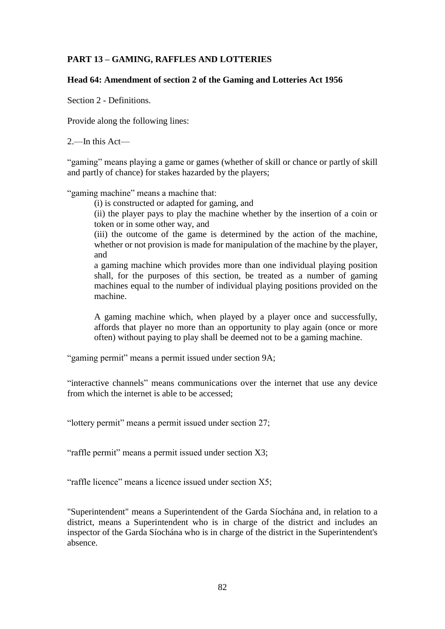# **PART 13 – GAMING, RAFFLES AND LOTTERIES**

#### **Head 64: Amendment of section 2 of the Gaming and Lotteries Act 1956**

Section 2 - Definitions.

Provide along the following lines:

2.—In this Act—

"gaming" means playing a game or games (whether of skill or chance or partly of skill and partly of chance) for stakes hazarded by the players;

"gaming machine" means a machine that:

(i) is constructed or adapted for gaming, and

(ii) the player pays to play the machine whether by the insertion of a coin or token or in some other way, and

(iii) the outcome of the game is determined by the action of the machine, whether or not provision is made for manipulation of the machine by the player, and

a gaming machine which provides more than one individual playing position shall, for the purposes of this section, be treated as a number of gaming machines equal to the number of individual playing positions provided on the machine.

A gaming machine which, when played by a player once and successfully, affords that player no more than an opportunity to play again (once or more often) without paying to play shall be deemed not to be a gaming machine.

"gaming permit" means a permit issued under section 9A;

"interactive channels" means communications over the internet that use any device from which the internet is able to be accessed;

"lottery permit" means a permit issued under section 27;

"raffle permit" means a permit issued under section X3;

"raffle licence" means a licence issued under section X5;

"Superintendent" means a Superintendent of the Garda Síochána and, in relation to a district, means a Superintendent who is in charge of the district and includes an inspector of the Garda Síochána who is in charge of the district in the Superintendent's absence.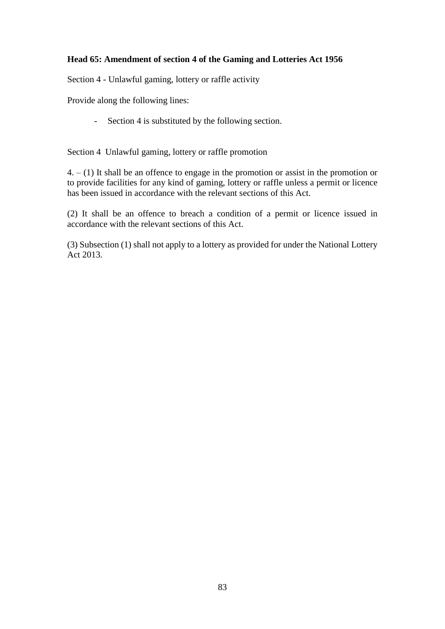# **Head 65: Amendment of section 4 of the Gaming and Lotteries Act 1956**

Section 4 - Unlawful gaming, lottery or raffle activity

Provide along the following lines:

- Section 4 is substituted by the following section.

Section 4 Unlawful gaming, lottery or raffle promotion

4. – (1) It shall be an offence to engage in the promotion or assist in the promotion or to provide facilities for any kind of gaming, lottery or raffle unless a permit or licence has been issued in accordance with the relevant sections of this Act.

(2) It shall be an offence to breach a condition of a permit or licence issued in accordance with the relevant sections of this Act.

(3) Subsection (1) shall not apply to a lottery as provided for under the National Lottery Act 2013.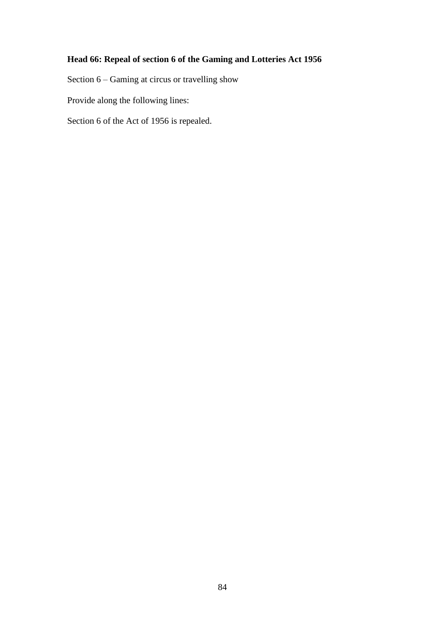# **Head 66: Repeal of section 6 of the Gaming and Lotteries Act 1956**

Section 6 – Gaming at circus or travelling show

Provide along the following lines:

Section 6 of the Act of 1956 is repealed.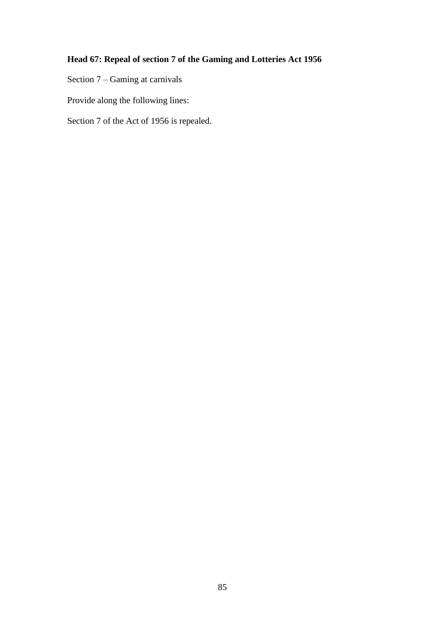# **Head 67: Repeal of section 7 of the Gaming and Lotteries Act 1956**

Section 7 – Gaming at carnivals

Provide along the following lines:

Section 7 of the Act of 1956 is repealed.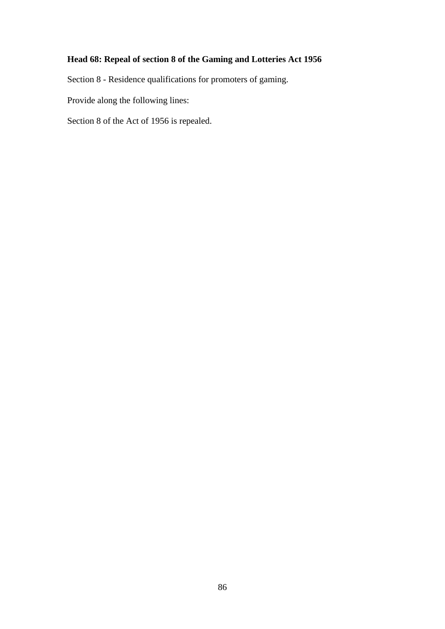# **Head 68: Repeal of section 8 of the Gaming and Lotteries Act 1956**

Section 8 - Residence qualifications for promoters of gaming.

Provide along the following lines:

Section 8 of the Act of 1956 is repealed.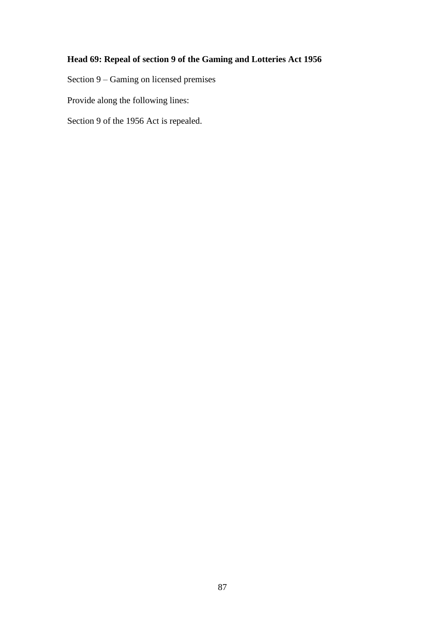# **Head 69: Repeal of section 9 of the Gaming and Lotteries Act 1956**

Section 9 – Gaming on licensed premises

Provide along the following lines:

Section 9 of the 1956 Act is repealed.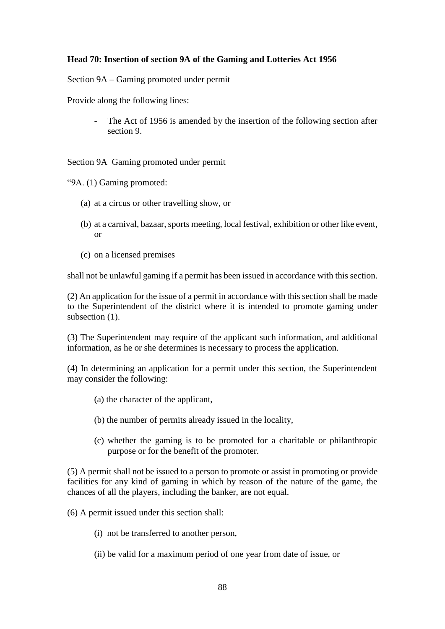### **Head 70: Insertion of section 9A of the Gaming and Lotteries Act 1956**

Section 9A – Gaming promoted under permit

Provide along the following lines:

The Act of 1956 is amended by the insertion of the following section after section 9.

Section 9A Gaming promoted under permit

"9A. (1) Gaming promoted:

- (a) at a circus or other travelling show, or
- (b) at a carnival, bazaar, sports meeting, local festival, exhibition or other like event, or
- (c) on a licensed premises

shall not be unlawful gaming if a permit has been issued in accordance with this section.

(2) An application for the issue of a permit in accordance with this section shall be made to the Superintendent of the district where it is intended to promote gaming under subsection  $(1)$ .

(3) The Superintendent may require of the applicant such information, and additional information, as he or she determines is necessary to process the application.

(4) In determining an application for a permit under this section, the Superintendent may consider the following:

- (a) the character of the applicant,
- (b) the number of permits already issued in the locality,
- (c) whether the gaming is to be promoted for a charitable or philanthropic purpose or for the benefit of the promoter.

(5) A permit shall not be issued to a person to promote or assist in promoting or provide facilities for any kind of gaming in which by reason of the nature of the game, the chances of all the players, including the banker, are not equal.

(6) A permit issued under this section shall:

- (i) not be transferred to another person,
- (ii) be valid for a maximum period of one year from date of issue, or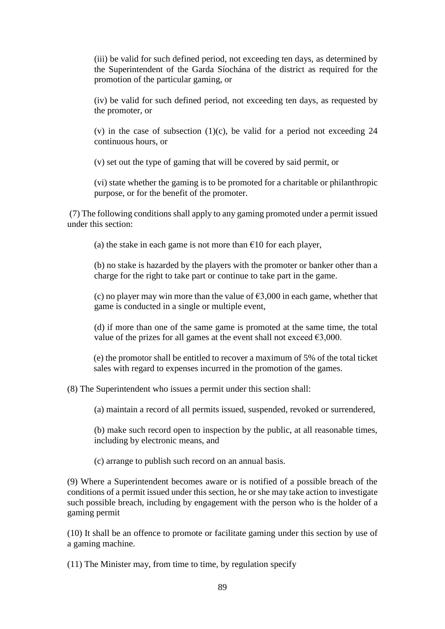(iii) be valid for such defined period, not exceeding ten days, as determined by the Superintendent of the Garda Síochána of the district as required for the promotion of the particular gaming, or

(iv) be valid for such defined period, not exceeding ten days, as requested by the promoter, or

(v) in the case of subsection  $(1)(c)$ , be valid for a period not exceeding 24 continuous hours, or

(v) set out the type of gaming that will be covered by said permit, or

(vi) state whether the gaming is to be promoted for a charitable or philanthropic purpose, or for the benefit of the promoter.

(7) The following conditions shall apply to any gaming promoted under a permit issued under this section:

(a) the stake in each game is not more than  $\epsilon$ 10 for each player,

(b) no stake is hazarded by the players with the promoter or banker other than a charge for the right to take part or continue to take part in the game.

(c) no player may win more than the value of  $\epsilon$ 3,000 in each game, whether that game is conducted in a single or multiple event,

(d) if more than one of the same game is promoted at the same time, the total value of the prizes for all games at the event shall not exceed  $\epsilon$ 3,000.

(e) the promotor shall be entitled to recover a maximum of 5% of the total ticket sales with regard to expenses incurred in the promotion of the games.

(8) The Superintendent who issues a permit under this section shall:

(a) maintain a record of all permits issued, suspended, revoked or surrendered,

(b) make such record open to inspection by the public, at all reasonable times, including by electronic means, and

(c) arrange to publish such record on an annual basis.

(9) Where a Superintendent becomes aware or is notified of a possible breach of the conditions of a permit issued under this section, he or she may take action to investigate such possible breach, including by engagement with the person who is the holder of a gaming permit

(10) It shall be an offence to promote or facilitate gaming under this section by use of a gaming machine.

(11) The Minister may, from time to time, by regulation specify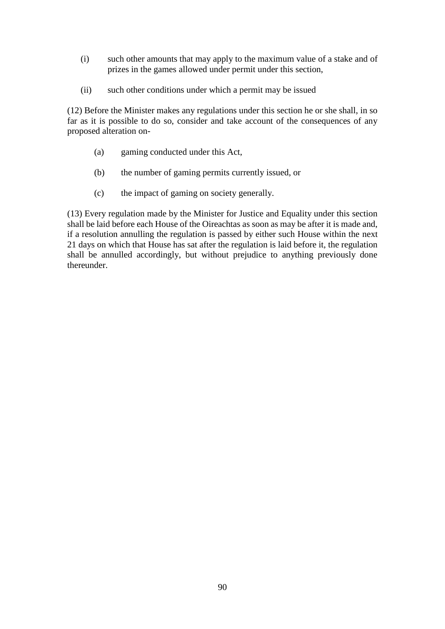- (i) such other amounts that may apply to the maximum value of a stake and of prizes in the games allowed under permit under this section,
- (ii) such other conditions under which a permit may be issued

(12) Before the Minister makes any regulations under this section he or she shall, in so far as it is possible to do so, consider and take account of the consequences of any proposed alteration on-

- (a) gaming conducted under this Act,
- (b) the number of gaming permits currently issued, or
- (c) the impact of gaming on society generally.

(13) Every regulation made by the Minister for Justice and Equality under this section shall be laid before each House of the Oireachtas as soon as may be after it is made and, if a resolution annulling the regulation is passed by either such House within the next 21 days on which that House has sat after the regulation is laid before it, the regulation shall be annulled accordingly, but without prejudice to anything previously done thereunder.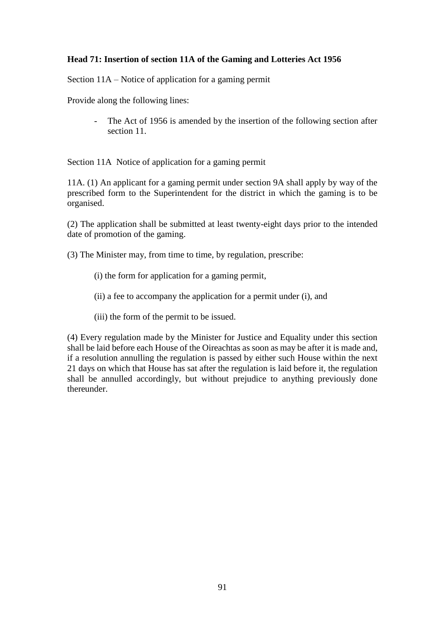### **Head 71: Insertion of section 11A of the Gaming and Lotteries Act 1956**

Section 11A – Notice of application for a gaming permit

Provide along the following lines:

The Act of 1956 is amended by the insertion of the following section after section 11

Section 11A Notice of application for a gaming permit

11A. (1) An applicant for a gaming permit under section 9A shall apply by way of the prescribed form to the Superintendent for the district in which the gaming is to be organised.

(2) The application shall be submitted at least twenty-eight days prior to the intended date of promotion of the gaming.

(3) The Minister may, from time to time, by regulation, prescribe:

- (i) the form for application for a gaming permit,
- (ii) a fee to accompany the application for a permit under (i), and
- (iii) the form of the permit to be issued.

(4) Every regulation made by the Minister for Justice and Equality under this section shall be laid before each House of the Oireachtas as soon as may be after it is made and, if a resolution annulling the regulation is passed by either such House within the next 21 days on which that House has sat after the regulation is laid before it, the regulation shall be annulled accordingly, but without prejudice to anything previously done thereunder.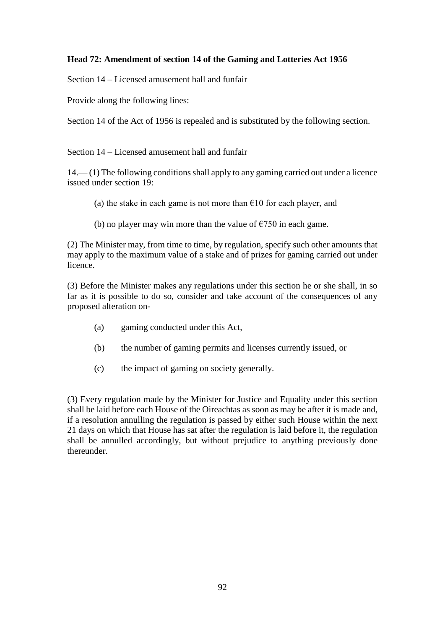## **Head 72: Amendment of section 14 of the Gaming and Lotteries Act 1956**

Section 14 – Licensed amusement hall and funfair

Provide along the following lines:

Section 14 of the Act of 1956 is repealed and is substituted by the following section.

Section 14 – Licensed amusement hall and funfair

14.— (1) The following conditions shall apply to any gaming carried out under a licence issued under section 19:

(a) the stake in each game is not more than  $\epsilon$ 10 for each player, and

(b) no player may win more than the value of  $\epsilon$ 750 in each game.

(2) The Minister may, from time to time, by regulation, specify such other amounts that may apply to the maximum value of a stake and of prizes for gaming carried out under licence.

(3) Before the Minister makes any regulations under this section he or she shall, in so far as it is possible to do so, consider and take account of the consequences of any proposed alteration on-

- (a) gaming conducted under this Act,
- (b) the number of gaming permits and licenses currently issued, or
- (c) the impact of gaming on society generally.

(3) Every regulation made by the Minister for Justice and Equality under this section shall be laid before each House of the Oireachtas as soon as may be after it is made and, if a resolution annulling the regulation is passed by either such House within the next 21 days on which that House has sat after the regulation is laid before it, the regulation shall be annulled accordingly, but without prejudice to anything previously done thereunder.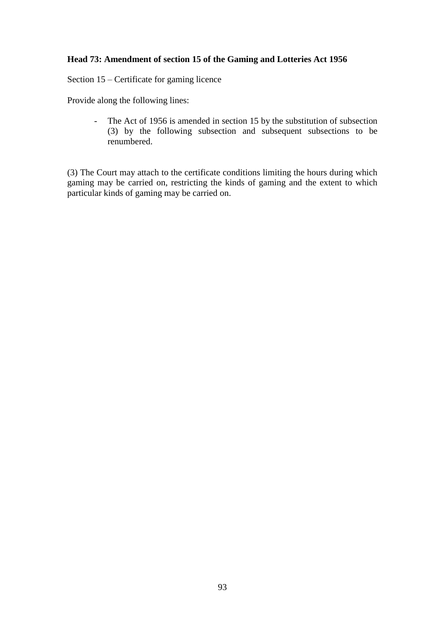### **Head 73: Amendment of section 15 of the Gaming and Lotteries Act 1956**

Section 15 – Certificate for gaming licence

Provide along the following lines:

- The Act of 1956 is amended in section 15 by the substitution of subsection (3) by the following subsection and subsequent subsections to be renumbered.

(3) The Court may attach to the certificate conditions limiting the hours during which gaming may be carried on, restricting the kinds of gaming and the extent to which particular kinds of gaming may be carried on.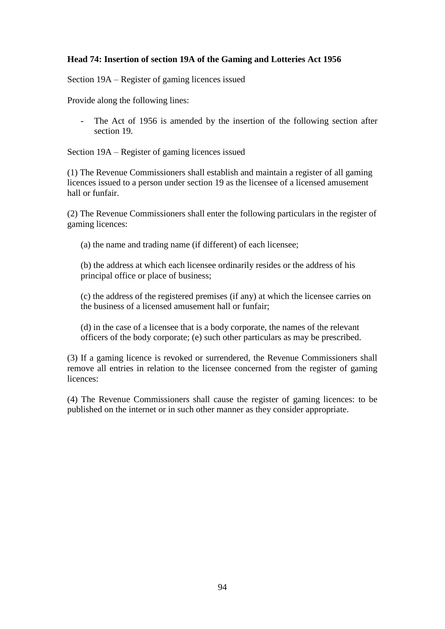### **Head 74: Insertion of section 19A of the Gaming and Lotteries Act 1956**

Section 19A – Register of gaming licences issued

Provide along the following lines:

- The Act of 1956 is amended by the insertion of the following section after section 19.

Section 19A – Register of gaming licences issued

(1) The Revenue Commissioners shall establish and maintain a register of all gaming licences issued to a person under section 19 as the licensee of a licensed amusement hall or funfair.

(2) The Revenue Commissioners shall enter the following particulars in the register of gaming licences:

(a) the name and trading name (if different) of each licensee;

(b) the address at which each licensee ordinarily resides or the address of his principal office or place of business;

(c) the address of the registered premises (if any) at which the licensee carries on the business of a licensed amusement hall or funfair;

(d) in the case of a licensee that is a body corporate, the names of the relevant officers of the body corporate; (e) such other particulars as may be prescribed.

(3) If a gaming licence is revoked or surrendered, the Revenue Commissioners shall remove all entries in relation to the licensee concerned from the register of gaming licences:

(4) The Revenue Commissioners shall cause the register of gaming licences: to be published on the internet or in such other manner as they consider appropriate.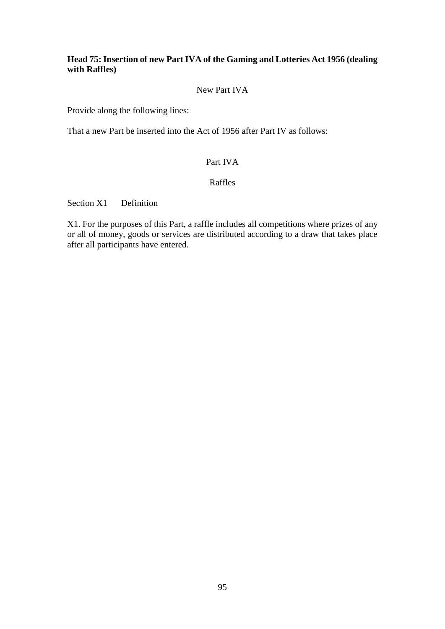### **Head 75: Insertion of new Part IVA of the Gaming and Lotteries Act 1956 (dealing with Raffles)**

#### New Part IVA

Provide along the following lines:

That a new Part be inserted into the Act of 1956 after Part IV as follows:

### Part IVA

#### Raffles

Section X1 Definition

X1. For the purposes of this Part, a raffle includes all competitions where prizes of any or all of money, goods or services are distributed according to a draw that takes place after all participants have entered.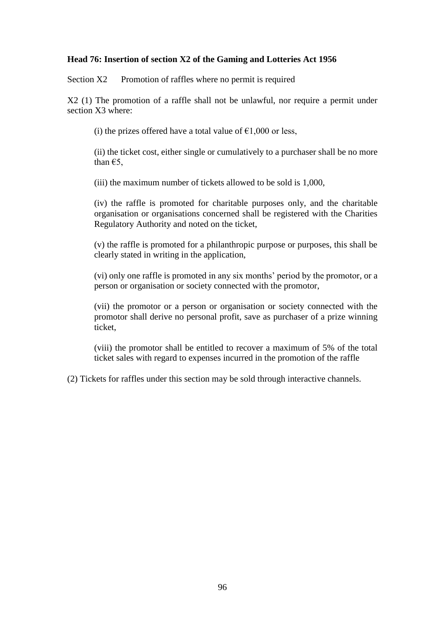#### **Head 76: Insertion of section X2 of the Gaming and Lotteries Act 1956**

Section X2 Promotion of raffles where no permit is required

X2 (1) The promotion of a raffle shall not be unlawful, nor require a permit under section X3 where:

(i) the prizes offered have a total value of  $\epsilon$ 1,000 or less,

(ii) the ticket cost, either single or cumulatively to a purchaser shall be no more than  $E$ 5,

(iii) the maximum number of tickets allowed to be sold is 1,000,

(iv) the raffle is promoted for charitable purposes only, and the charitable organisation or organisations concerned shall be registered with the Charities Regulatory Authority and noted on the ticket,

(v) the raffle is promoted for a philanthropic purpose or purposes, this shall be clearly stated in writing in the application,

(vi) only one raffle is promoted in any six months' period by the promotor, or a person or organisation or society connected with the promotor,

(vii) the promotor or a person or organisation or society connected with the promotor shall derive no personal profit, save as purchaser of a prize winning ticket,

(viii) the promotor shall be entitled to recover a maximum of 5% of the total ticket sales with regard to expenses incurred in the promotion of the raffle

(2) Tickets for raffles under this section may be sold through interactive channels.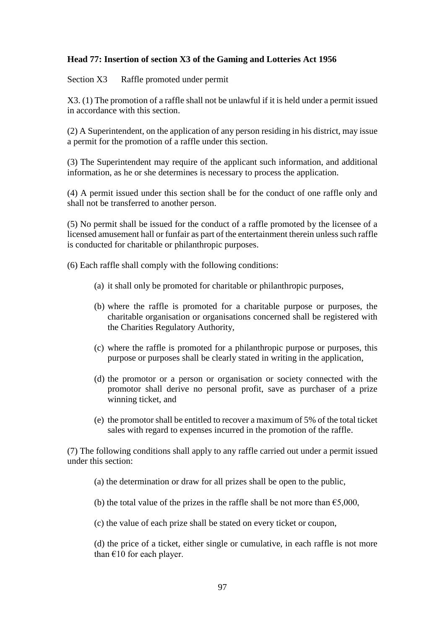### **Head 77: Insertion of section X3 of the Gaming and Lotteries Act 1956**

Section X3 Raffle promoted under permit

X3. (1) The promotion of a raffle shall not be unlawful if it is held under a permit issued in accordance with this section.

(2) A Superintendent, on the application of any person residing in his district, may issue a permit for the promotion of a raffle under this section.

(3) The Superintendent may require of the applicant such information, and additional information, as he or she determines is necessary to process the application.

(4) A permit issued under this section shall be for the conduct of one raffle only and shall not be transferred to another person.

(5) No permit shall be issued for the conduct of a raffle promoted by the licensee of a licensed amusement hall or funfair as part of the entertainment therein unless such raffle is conducted for charitable or philanthropic purposes.

(6) Each raffle shall comply with the following conditions:

- (a) it shall only be promoted for charitable or philanthropic purposes,
- (b) where the raffle is promoted for a charitable purpose or purposes, the charitable organisation or organisations concerned shall be registered with the Charities Regulatory Authority,
- (c) where the raffle is promoted for a philanthropic purpose or purposes, this purpose or purposes shall be clearly stated in writing in the application,
- (d) the promotor or a person or organisation or society connected with the promotor shall derive no personal profit, save as purchaser of a prize winning ticket, and
- (e) the promotor shall be entitled to recover a maximum of 5% of the total ticket sales with regard to expenses incurred in the promotion of the raffle.

(7) The following conditions shall apply to any raffle carried out under a permit issued under this section:

(a) the determination or draw for all prizes shall be open to the public,

(b) the total value of the prizes in the raffle shall be not more than  $\epsilon$ 5,000,

(c) the value of each prize shall be stated on every ticket or coupon,

(d) the price of a ticket, either single or cumulative, in each raffle is not more than  $€10$  for each player.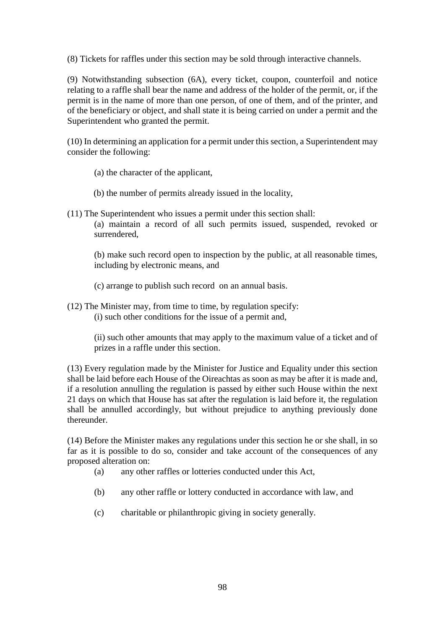(8) Tickets for raffles under this section may be sold through interactive channels.

(9) Notwithstanding subsection (6A), every ticket, coupon, counterfoil and notice relating to a raffle shall bear the name and address of the holder of the permit, or, if the permit is in the name of more than one person, of one of them, and of the printer, and of the beneficiary or object, and shall state it is being carried on under a permit and the Superintendent who granted the permit.

(10) In determining an application for a permit under this section, a Superintendent may consider the following:

- (a) the character of the applicant,
- (b) the number of permits already issued in the locality,
- (11) The Superintendent who issues a permit under this section shall: (a) maintain a record of all such permits issued, suspended, revoked or surrendered,

(b) make such record open to inspection by the public, at all reasonable times, including by electronic means, and

- (c) arrange to publish such record on an annual basis.
- (12) The Minister may, from time to time, by regulation specify: (i) such other conditions for the issue of a permit and,

(ii) such other amounts that may apply to the maximum value of a ticket and of prizes in a raffle under this section.

(13) Every regulation made by the Minister for Justice and Equality under this section shall be laid before each House of the Oireachtas as soon as may be after it is made and, if a resolution annulling the regulation is passed by either such House within the next 21 days on which that House has sat after the regulation is laid before it, the regulation shall be annulled accordingly, but without prejudice to anything previously done thereunder.

(14) Before the Minister makes any regulations under this section he or she shall, in so far as it is possible to do so, consider and take account of the consequences of any proposed alteration on:

- (a) any other raffles or lotteries conducted under this Act,
- (b) any other raffle or lottery conducted in accordance with law, and
- (c) charitable or philanthropic giving in society generally.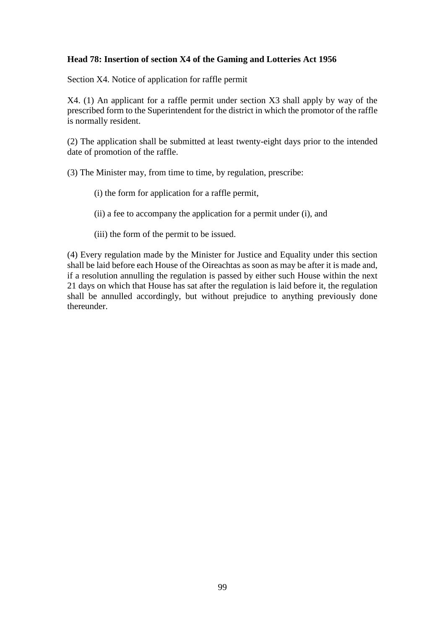#### **Head 78: Insertion of section X4 of the Gaming and Lotteries Act 1956**

Section X4. Notice of application for raffle permit

X4. (1) An applicant for a raffle permit under section X3 shall apply by way of the prescribed form to the Superintendent for the district in which the promotor of the raffle is normally resident.

(2) The application shall be submitted at least twenty-eight days prior to the intended date of promotion of the raffle.

(3) The Minister may, from time to time, by regulation, prescribe:

- (i) the form for application for a raffle permit,
- (ii) a fee to accompany the application for a permit under (i), and
- (iii) the form of the permit to be issued.

(4) Every regulation made by the Minister for Justice and Equality under this section shall be laid before each House of the Oireachtas as soon as may be after it is made and, if a resolution annulling the regulation is passed by either such House within the next 21 days on which that House has sat after the regulation is laid before it, the regulation shall be annulled accordingly, but without prejudice to anything previously done thereunder.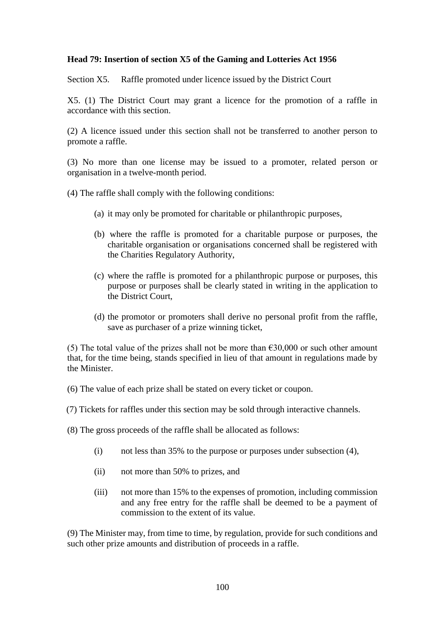#### **Head 79: Insertion of section X5 of the Gaming and Lotteries Act 1956**

Section X5. Raffle promoted under licence issued by the District Court

X5. (1) The District Court may grant a licence for the promotion of a raffle in accordance with this section.

(2) A licence issued under this section shall not be transferred to another person to promote a raffle.

(3) No more than one license may be issued to a promoter, related person or organisation in a twelve-month period.

(4) The raffle shall comply with the following conditions:

- (a) it may only be promoted for charitable or philanthropic purposes,
- (b) where the raffle is promoted for a charitable purpose or purposes, the charitable organisation or organisations concerned shall be registered with the Charities Regulatory Authority,
- (c) where the raffle is promoted for a philanthropic purpose or purposes, this purpose or purposes shall be clearly stated in writing in the application to the District Court,
- (d) the promotor or promoters shall derive no personal profit from the raffle, save as purchaser of a prize winning ticket,

(5) The total value of the prizes shall not be more than  $\epsilon$ 30,000 or such other amount that, for the time being, stands specified in lieu of that amount in regulations made by the Minister.

(6) The value of each prize shall be stated on every ticket or coupon.

(7) Tickets for raffles under this section may be sold through interactive channels.

(8) The gross proceeds of the raffle shall be allocated as follows:

- (i) not less than 35% to the purpose or purposes under subsection (4),
- (ii) not more than 50% to prizes, and
- (iii) not more than 15% to the expenses of promotion, including commission and any free entry for the raffle shall be deemed to be a payment of commission to the extent of its value.

(9) The Minister may, from time to time, by regulation, provide for such conditions and such other prize amounts and distribution of proceeds in a raffle.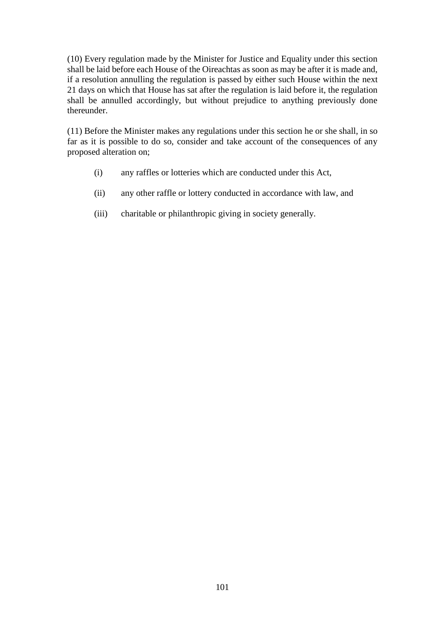(10) Every regulation made by the Minister for Justice and Equality under this section shall be laid before each House of the Oireachtas as soon as may be after it is made and, if a resolution annulling the regulation is passed by either such House within the next 21 days on which that House has sat after the regulation is laid before it, the regulation shall be annulled accordingly, but without prejudice to anything previously done thereunder.

(11) Before the Minister makes any regulations under this section he or she shall, in so far as it is possible to do so, consider and take account of the consequences of any proposed alteration on;

- (i) any raffles or lotteries which are conducted under this Act,
- (ii) any other raffle or lottery conducted in accordance with law, and
- (iii) charitable or philanthropic giving in society generally.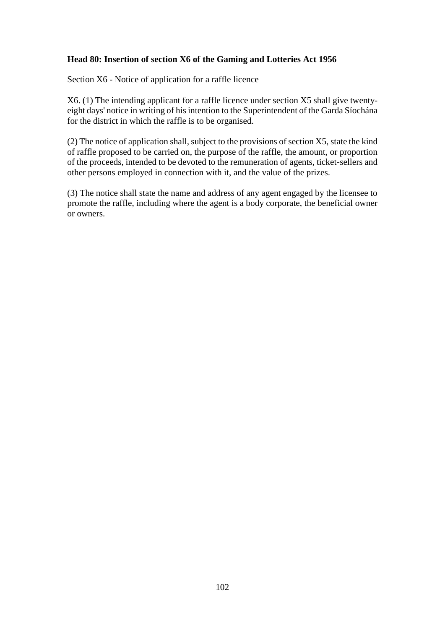### **Head 80: Insertion of section X6 of the Gaming and Lotteries Act 1956**

Section X6 - Notice of application for a raffle licence

X6. (1) The intending applicant for a raffle licence under section X5 shall give twentyeight days' notice in writing of his intention to the Superintendent of the Garda Síochána for the district in which the raffle is to be organised.

(2) The notice of application shall, subject to the provisions of section X5, state the kind of raffle proposed to be carried on, the purpose of the raffle, the amount, or proportion of the proceeds, intended to be devoted to the remuneration of agents, ticket-sellers and other persons employed in connection with it, and the value of the prizes.

(3) The notice shall state the name and address of any agent engaged by the licensee to promote the raffle, including where the agent is a body corporate, the beneficial owner or owners.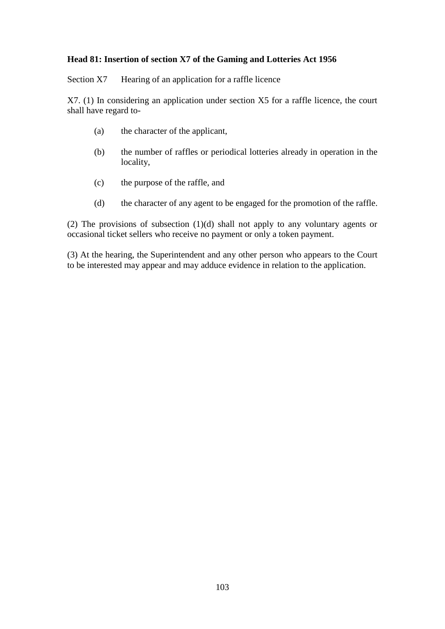### **Head 81: Insertion of section X7 of the Gaming and Lotteries Act 1956**

Section X7 Hearing of an application for a raffle licence

X7. (1) In considering an application under section X5 for a raffle licence, the court shall have regard to-

- (a) the character of the applicant,
- (b) the number of raffles or periodical lotteries already in operation in the locality,
- (c) the purpose of the raffle, and
- (d) the character of any agent to be engaged for the promotion of the raffle.

(2) The provisions of subsection (1)(d) shall not apply to any voluntary agents or occasional ticket sellers who receive no payment or only a token payment.

(3) At the hearing, the Superintendent and any other person who appears to the Court to be interested may appear and may adduce evidence in relation to the application.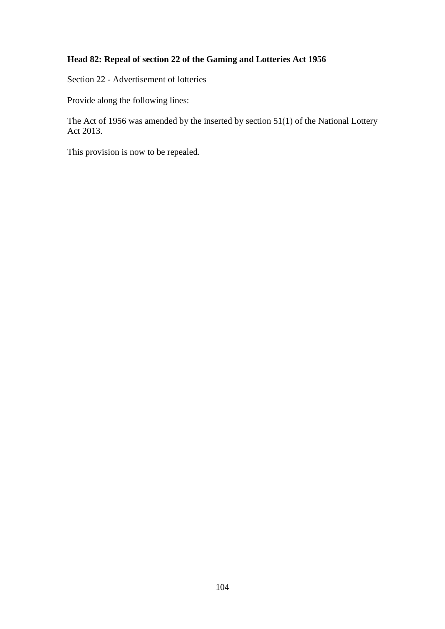# **Head 82: Repeal of section 22 of the Gaming and Lotteries Act 1956**

Section 22 - Advertisement of lotteries

Provide along the following lines:

The Act of 1956 was amended by the inserted by section 51(1) of the National Lottery Act 2013.

This provision is now to be repealed.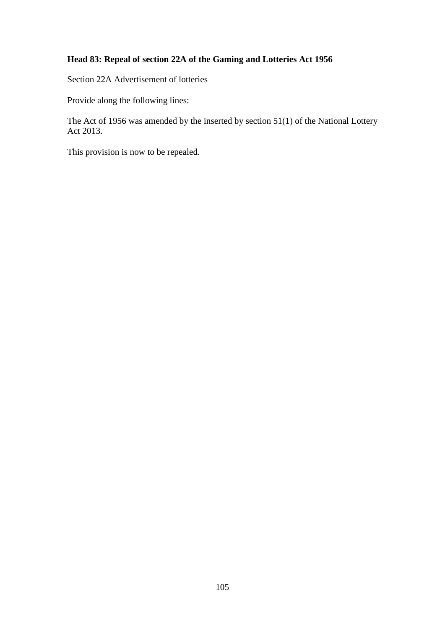# **Head 83: Repeal of section 22A of the Gaming and Lotteries Act 1956**

Section 22A Advertisement of lotteries

Provide along the following lines:

The Act of 1956 was amended by the inserted by section 51(1) of the National Lottery Act 2013.

This provision is now to be repealed.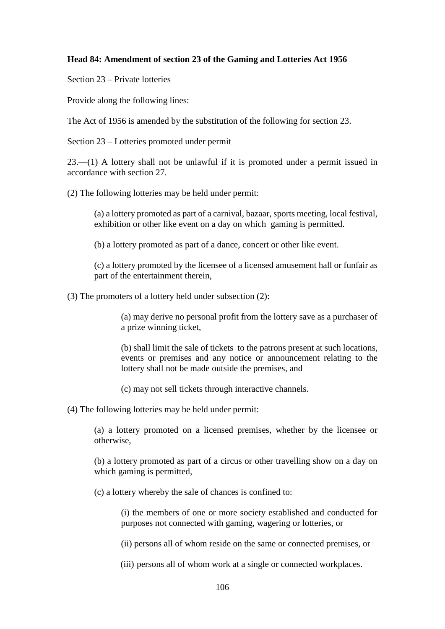### **Head 84: Amendment of section 23 of the Gaming and Lotteries Act 1956**

Section 23 – Private lotteries

Provide along the following lines:

The Act of 1956 is amended by the substitution of the following for section 23.

Section 23 – Lotteries promoted under permit

23.—(1) A lottery shall not be unlawful if it is promoted under a permit issued in accordance with section 27.

(2) The following lotteries may be held under permit:

(a) a lottery promoted as part of a carnival, bazaar, sports meeting, local festival, exhibition or other like event on a day on which gaming is permitted.

(b) a lottery promoted as part of a dance, concert or other like event.

(c) a lottery promoted by the licensee of a licensed amusement hall or funfair as part of the entertainment therein,

(3) The promoters of a lottery held under subsection (2):

(a) may derive no personal profit from the lottery save as a purchaser of a prize winning ticket,

(b) shall limit the sale of tickets to the patrons present at such locations, events or premises and any notice or announcement relating to the lottery shall not be made outside the premises, and

(c) may not sell tickets through interactive channels.

(4) The following lotteries may be held under permit:

(a) a lottery promoted on a licensed premises, whether by the licensee or otherwise,

(b) a lottery promoted as part of a circus or other travelling show on a day on which gaming is permitted,

(c) a lottery whereby the sale of chances is confined to:

(i) the members of one or more society established and conducted for purposes not connected with gaming, wagering or lotteries, or

(ii) persons all of whom reside on the same or connected premises, or

(iii) persons all of whom work at a single or connected workplaces.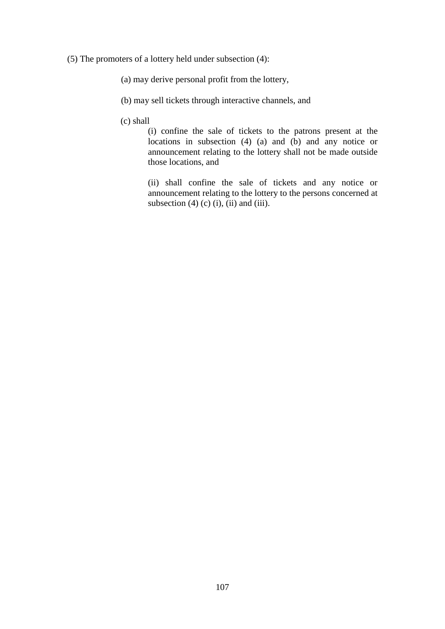- (5) The promoters of a lottery held under subsection (4):
	- (a) may derive personal profit from the lottery,
	- (b) may sell tickets through interactive channels, and
	- (c) shall

(i) confine the sale of tickets to the patrons present at the locations in subsection  $(4)$   $(a)$  and  $(b)$  and any notice or announcement relating to the lottery shall not be made outside those locations, and

(ii) shall confine the sale of tickets and any notice or announcement relating to the lottery to the persons concerned at subsection  $(4)$  (c)  $(i)$ ,  $(ii)$  and  $(iii)$ .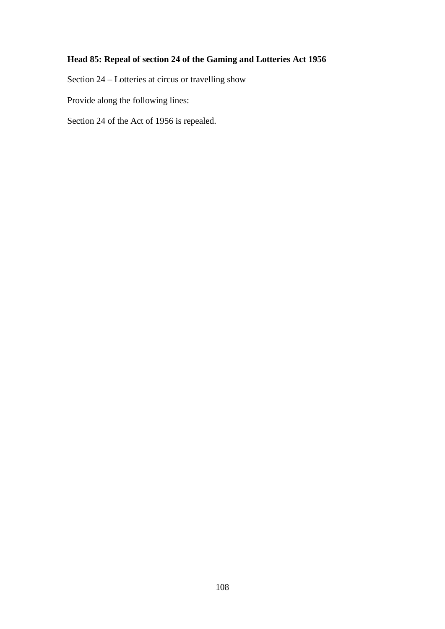# **Head 85: Repeal of section 24 of the Gaming and Lotteries Act 1956**

Section 24 – Lotteries at circus or travelling show

Provide along the following lines:

Section 24 of the Act of 1956 is repealed.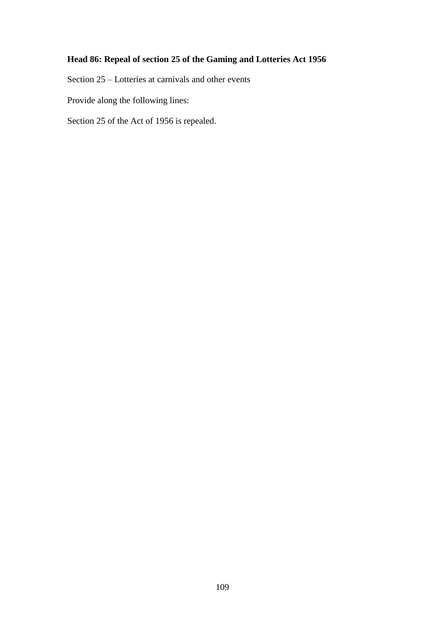## **Head 86: Repeal of section 25 of the Gaming and Lotteries Act 1956**

Section 25 – Lotteries at carnivals and other events

Provide along the following lines:

Section 25 of the Act of 1956 is repealed.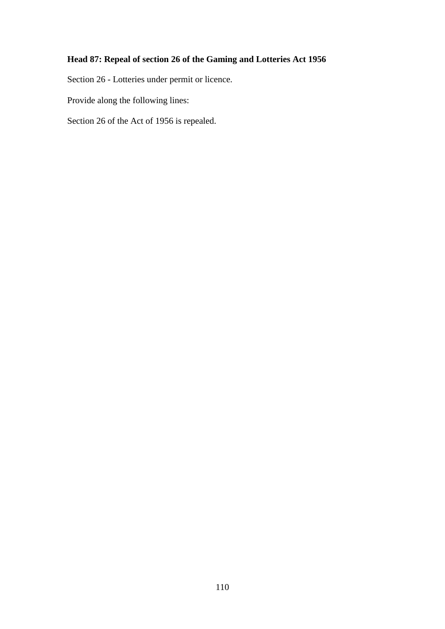## **Head 87: Repeal of section 26 of the Gaming and Lotteries Act 1956**

Section 26 - Lotteries under permit or licence.

Provide along the following lines:

Section 26 of the Act of 1956 is repealed.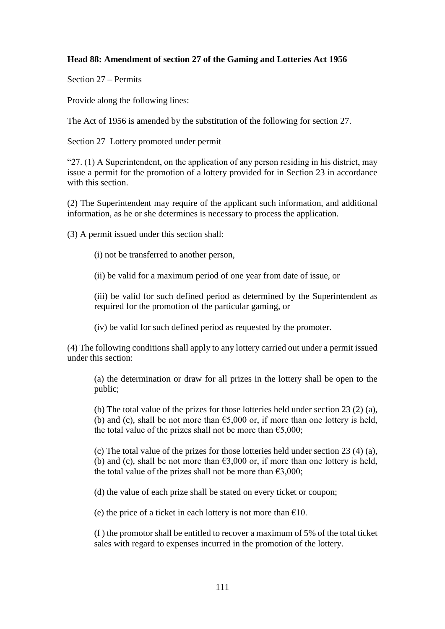### **Head 88: Amendment of section 27 of the Gaming and Lotteries Act 1956**

Section 27 – Permits

Provide along the following lines:

The Act of 1956 is amended by the substitution of the following for section 27.

Section 27 Lottery promoted under permit

"27. (1) A Superintendent, on the application of any person residing in his district, may issue a permit for the promotion of a lottery provided for in Section 23 in accordance with this section.

(2) The Superintendent may require of the applicant such information, and additional information, as he or she determines is necessary to process the application.

(3) A permit issued under this section shall:

(i) not be transferred to another person,

(ii) be valid for a maximum period of one year from date of issue, or

(iii) be valid for such defined period as determined by the Superintendent as required for the promotion of the particular gaming, or

(iv) be valid for such defined period as requested by the promoter.

(4) The following conditions shall apply to any lottery carried out under a permit issued under this section:

(a) the determination or draw for all prizes in the lottery shall be open to the public;

(b) The total value of the prizes for those lotteries held under section 23 (2) (a), (b) and (c), shall be not more than  $65,000$  or, if more than one lottery is held, the total value of the prizes shall not be more than  $\epsilon$ 5,000;

(c) The total value of the prizes for those lotteries held under section 23 (4) (a), (b) and (c), shall be not more than  $63,000$  or, if more than one lottery is held, the total value of the prizes shall not be more than  $\epsilon$ 3,000;

(d) the value of each prize shall be stated on every ticket or coupon;

(e) the price of a ticket in each lottery is not more than  $\epsilon$ 10.

(f ) the promotor shall be entitled to recover a maximum of 5% of the total ticket sales with regard to expenses incurred in the promotion of the lottery.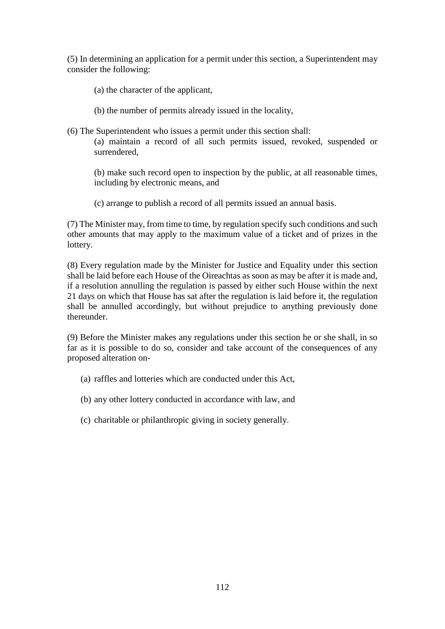(5) In determining an application for a permit under this section, a Superintendent may consider the following:

- (a) the character of the applicant,
- (b) the number of permits already issued in the locality,
- (6) The Superintendent who issues a permit under this section shall: (a) maintain a record of all such permits issued, revoked, suspended or surrendered,

(b) make such record open to inspection by the public, at all reasonable times, including by electronic means, and

(c) arrange to publish a record of all permits issued an annual basis.

(7) The Minister may, from time to time, by regulation specify such conditions and such other amounts that may apply to the maximum value of a ticket and of prizes in the lottery.

(8) Every regulation made by the Minister for Justice and Equality under this section shall be laid before each House of the Oireachtas as soon as may be after it is made and, if a resolution annulling the regulation is passed by either such House within the next 21 days on which that House has sat after the regulation is laid before it, the regulation shall be annulled accordingly, but without prejudice to anything previously done thereunder.

(9) Before the Minister makes any regulations under this section he or she shall, in so far as it is possible to do so, consider and take account of the consequences of any proposed alteration on-

- (a) raffles and lotteries which are conducted under this Act,
- (b) any other lottery conducted in accordance with law, and
- (c) charitable or philanthropic giving in society generally.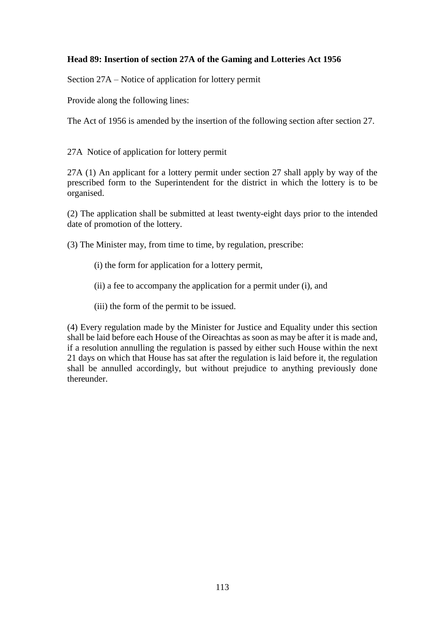### **Head 89: Insertion of section 27A of the Gaming and Lotteries Act 1956**

Section 27A – Notice of application for lottery permit

Provide along the following lines:

The Act of 1956 is amended by the insertion of the following section after section 27.

27A Notice of application for lottery permit

27A (1) An applicant for a lottery permit under section 27 shall apply by way of the prescribed form to the Superintendent for the district in which the lottery is to be organised.

(2) The application shall be submitted at least twenty-eight days prior to the intended date of promotion of the lottery.

(3) The Minister may, from time to time, by regulation, prescribe:

- (i) the form for application for a lottery permit,
- (ii) a fee to accompany the application for a permit under (i), and
- (iii) the form of the permit to be issued.

(4) Every regulation made by the Minister for Justice and Equality under this section shall be laid before each House of the Oireachtas as soon as may be after it is made and, if a resolution annulling the regulation is passed by either such House within the next 21 days on which that House has sat after the regulation is laid before it, the regulation shall be annulled accordingly, but without prejudice to anything previously done thereunder.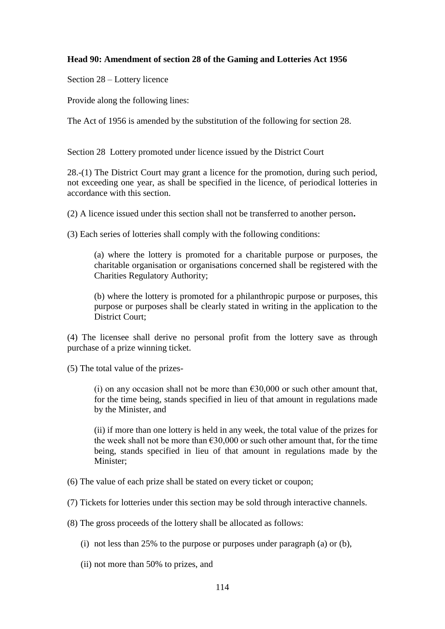### **Head 90: Amendment of section 28 of the Gaming and Lotteries Act 1956**

Section 28 – Lottery licence

Provide along the following lines:

The Act of 1956 is amended by the substitution of the following for section 28.

Section 28 Lottery promoted under licence issued by the District Court

28.-(1) The District Court may grant a licence for the promotion, during such period, not exceeding one year, as shall be specified in the licence, of periodical lotteries in accordance with this section.

(2) A licence issued under this section shall not be transferred to another person**.**

(3) Each series of lotteries shall comply with the following conditions:

(a) where the lottery is promoted for a charitable purpose or purposes, the charitable organisation or organisations concerned shall be registered with the Charities Regulatory Authority;

(b) where the lottery is promoted for a philanthropic purpose or purposes, this purpose or purposes shall be clearly stated in writing in the application to the District Court;

(4) The licensee shall derive no personal profit from the lottery save as through purchase of a prize winning ticket.

(5) The total value of the prizes-

(i) on any occasion shall not be more than  $\epsilon$ 30,000 or such other amount that, for the time being, stands specified in lieu of that amount in regulations made by the Minister, and

(ii) if more than one lottery is held in any week, the total value of the prizes for the week shall not be more than  $\epsilon$ 30,000 or such other amount that, for the time being, stands specified in lieu of that amount in regulations made by the Minister;

(6) The value of each prize shall be stated on every ticket or coupon;

(7) Tickets for lotteries under this section may be sold through interactive channels.

(8) The gross proceeds of the lottery shall be allocated as follows:

(i) not less than 25% to the purpose or purposes under paragraph (a) or (b),

(ii) not more than 50% to prizes, and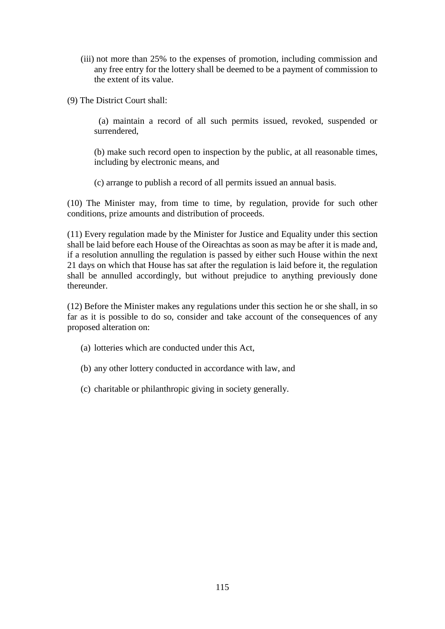- (iii) not more than 25% to the expenses of promotion, including commission and any free entry for the lottery shall be deemed to be a payment of commission to the extent of its value.
- (9) The District Court shall:

(a) maintain a record of all such permits issued, revoked, suspended or surrendered,

(b) make such record open to inspection by the public, at all reasonable times, including by electronic means, and

(c) arrange to publish a record of all permits issued an annual basis.

(10) The Minister may, from time to time, by regulation, provide for such other conditions, prize amounts and distribution of proceeds.

(11) Every regulation made by the Minister for Justice and Equality under this section shall be laid before each House of the Oireachtas as soon as may be after it is made and, if a resolution annulling the regulation is passed by either such House within the next 21 days on which that House has sat after the regulation is laid before it, the regulation shall be annulled accordingly, but without prejudice to anything previously done thereunder.

(12) Before the Minister makes any regulations under this section he or she shall, in so far as it is possible to do so, consider and take account of the consequences of any proposed alteration on:

- (a) lotteries which are conducted under this Act,
- (b) any other lottery conducted in accordance with law, and
- (c) charitable or philanthropic giving in society generally.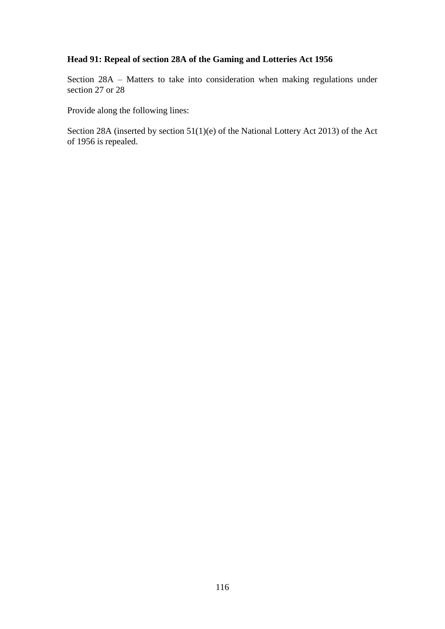# **Head 91: Repeal of section 28A of the Gaming and Lotteries Act 1956**

Section 28A – Matters to take into consideration when making regulations under section 27 or 28

Provide along the following lines:

Section 28A (inserted by section 51(1)(e) of the National Lottery Act 2013) of the Act of 1956 is repealed.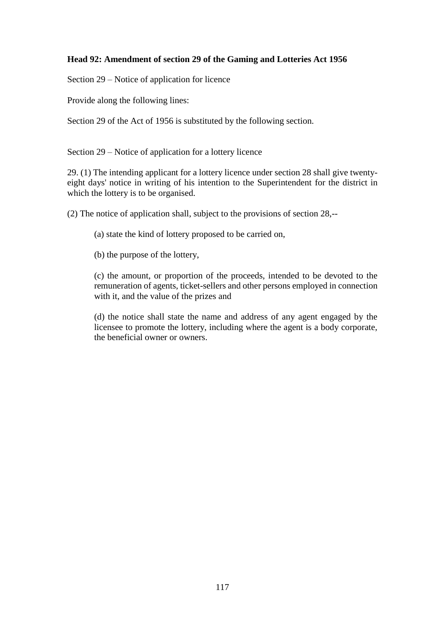## **Head 92: Amendment of section 29 of the Gaming and Lotteries Act 1956**

Section 29 – Notice of application for licence

Provide along the following lines:

Section 29 of the Act of 1956 is substituted by the following section.

Section 29 – Notice of application for a lottery licence

29. (1) The intending applicant for a lottery licence under section 28 shall give twentyeight days' notice in writing of his intention to the Superintendent for the district in which the lottery is to be organised.

(2) The notice of application shall, subject to the provisions of section 28,--

(a) state the kind of lottery proposed to be carried on,

(b) the purpose of the lottery,

(c) the amount, or proportion of the proceeds, intended to be devoted to the remuneration of agents, ticket-sellers and other persons employed in connection with it, and the value of the prizes and

(d) the notice shall state the name and address of any agent engaged by the licensee to promote the lottery, including where the agent is a body corporate, the beneficial owner or owners.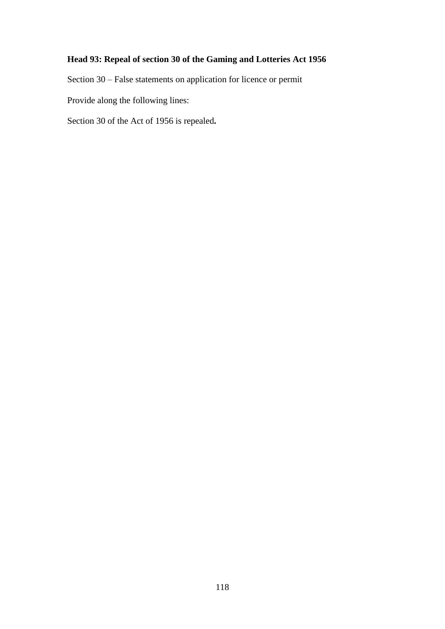## **Head 93: Repeal of section 30 of the Gaming and Lotteries Act 1956**

Section 30 – False statements on application for licence or permit

Provide along the following lines:

Section 30 of the Act of 1956 is repealed**.**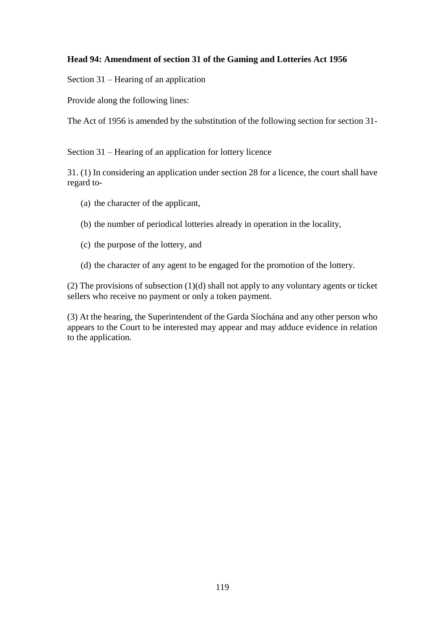## **Head 94: Amendment of section 31 of the Gaming and Lotteries Act 1956**

Section 31 – Hearing of an application

Provide along the following lines:

The Act of 1956 is amended by the substitution of the following section for section 31-

Section 31 – Hearing of an application for lottery licence

31. (1) In considering an application under section 28 for a licence, the court shall have regard to-

- (a) the character of the applicant,
- (b) the number of periodical lotteries already in operation in the locality,
- (c) the purpose of the lottery, and
- (d) the character of any agent to be engaged for the promotion of the lottery.

(2) The provisions of subsection (1)(d) shall not apply to any voluntary agents or ticket sellers who receive no payment or only a token payment.

(3) At the hearing, the Superintendent of the Garda Síochána and any other person who appears to the Court to be interested may appear and may adduce evidence in relation to the application.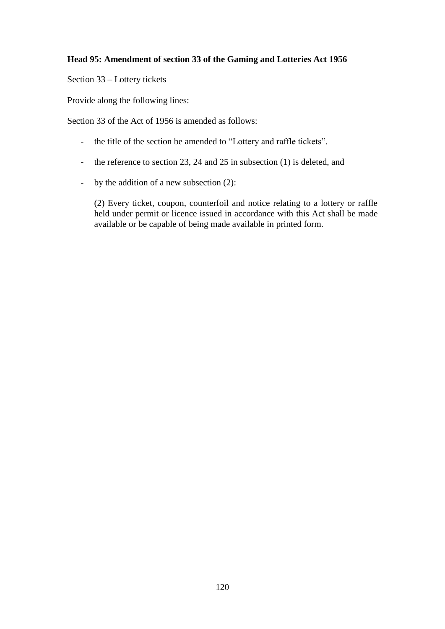## **Head 95: Amendment of section 33 of the Gaming and Lotteries Act 1956**

Section 33 – Lottery tickets

Provide along the following lines:

Section 33 of the Act of 1956 is amended as follows:

- the title of the section be amended to "Lottery and raffle tickets".
- the reference to section 23, 24 and 25 in subsection (1) is deleted, and
- by the addition of a new subsection (2):

(2) Every ticket, coupon, counterfoil and notice relating to a lottery or raffle held under permit or licence issued in accordance with this Act shall be made available or be capable of being made available in printed form.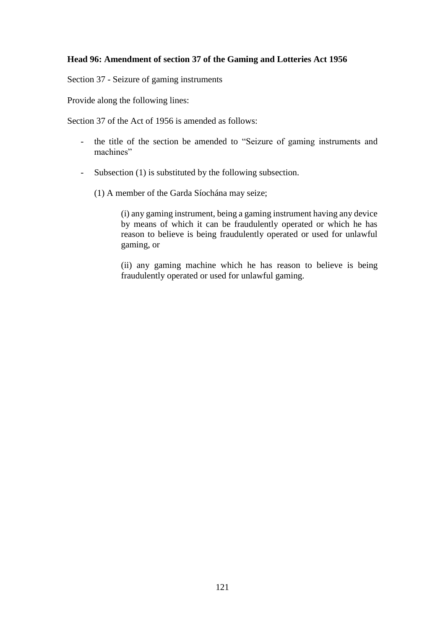#### **Head 96: Amendment of section 37 of the Gaming and Lotteries Act 1956**

Section 37 - Seizure of gaming instruments

Provide along the following lines:

Section 37 of the Act of 1956 is amended as follows:

- the title of the section be amended to "Seizure of gaming instruments and machines"
- Subsection (1) is substituted by the following subsection.
	- (1) A member of the Garda Síochána may seize;

(i) any gaming instrument, being a gaming instrument having any device by means of which it can be fraudulently operated or which he has reason to believe is being fraudulently operated or used for unlawful gaming, or

(ii) any gaming machine which he has reason to believe is being fraudulently operated or used for unlawful gaming.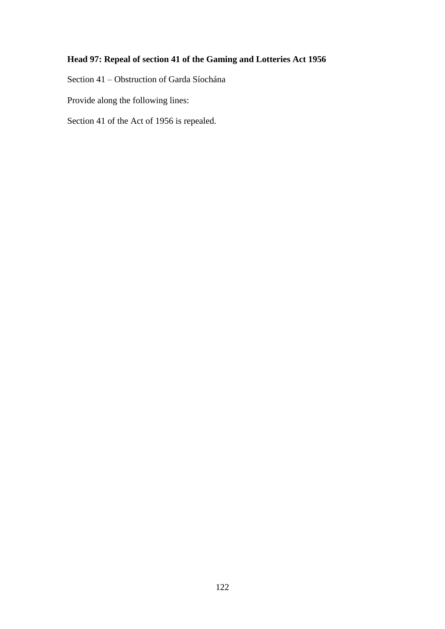## **Head 97: Repeal of section 41 of the Gaming and Lotteries Act 1956**

Section 41 – Obstruction of Garda Síochána

Provide along the following lines:

Section 41 of the Act of 1956 is repealed.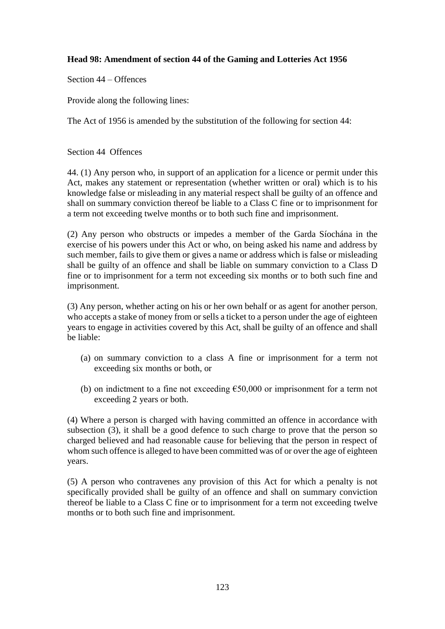## **Head 98: Amendment of section 44 of the Gaming and Lotteries Act 1956**

Section 44 – Offences

Provide along the following lines:

The Act of 1956 is amended by the substitution of the following for section 44:

Section 44 Offences

44. (1) Any person who, in support of an application for a licence or permit under this Act, makes any statement or representation (whether written or oral) which is to his knowledge false or misleading in any material respect shall be guilty of an offence and shall on summary conviction thereof be liable to a Class C fine or to imprisonment for a term not exceeding twelve months or to both such fine and imprisonment.

(2) Any person who obstructs or impedes a member of the Garda Síochána in the exercise of his powers under this Act or who, on being asked his name and address by such member, fails to give them or gives a name or address which is false or misleading shall be guilty of an offence and shall be liable on summary conviction to a Class D fine or to imprisonment for a term not exceeding six months or to both such fine and imprisonment.

(3) Any person, whether acting on his or her own behalf or as agent for another person, who accepts a stake of money from or sells a ticket to a person under the age of eighteen years to engage in activities covered by this Act, shall be guilty of an offence and shall be liable:

- (a) on summary conviction to a class A fine or imprisonment for a term not exceeding six months or both, or
- (b) on indictment to a fine not exceeding  $€50,000$  or imprisonment for a term not exceeding 2 years or both.

(4) Where a person is charged with having committed an offence in accordance with subsection (3), it shall be a good defence to such charge to prove that the person so charged believed and had reasonable cause for believing that the person in respect of whom such offence is alleged to have been committed was of or over the age of eighteen years.

(5) A person who contravenes any provision of this Act for which a penalty is not specifically provided shall be guilty of an offence and shall on summary conviction thereof be liable to a Class C fine or to imprisonment for a term not exceeding twelve months or to both such fine and imprisonment.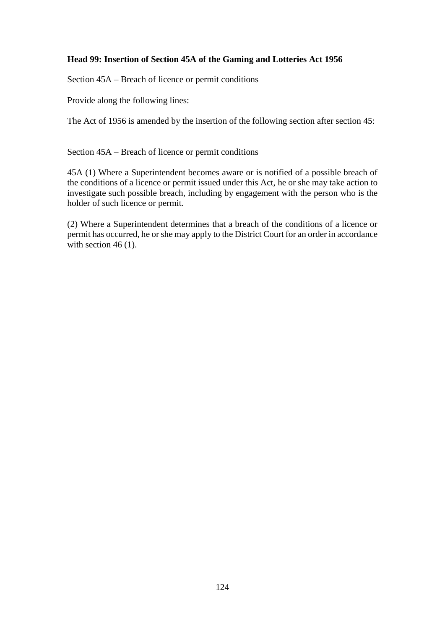## **Head 99: Insertion of Section 45A of the Gaming and Lotteries Act 1956**

Section 45A – Breach of licence or permit conditions

Provide along the following lines:

The Act of 1956 is amended by the insertion of the following section after section 45:

Section 45A – Breach of licence or permit conditions

45A (1) Where a Superintendent becomes aware or is notified of a possible breach of the conditions of a licence or permit issued under this Act, he or she may take action to investigate such possible breach, including by engagement with the person who is the holder of such licence or permit.

(2) Where a Superintendent determines that a breach of the conditions of a licence or permit has occurred, he or she may apply to the District Court for an order in accordance with section 46 (1).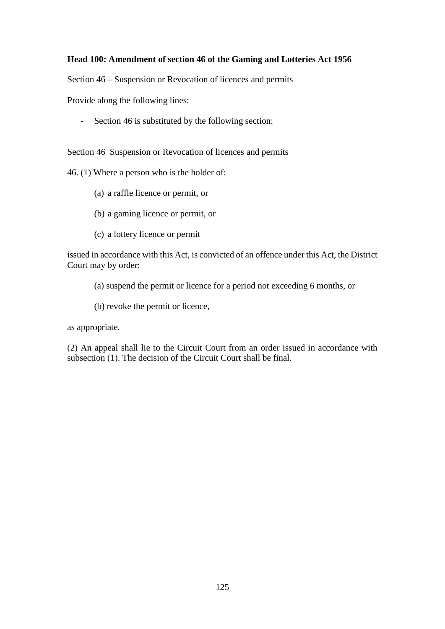#### **Head 100: Amendment of section 46 of the Gaming and Lotteries Act 1956**

Section 46 – Suspension or Revocation of licences and permits

Provide along the following lines:

- Section 46 is substituted by the following section:

Section 46 Suspension or Revocation of licences and permits

46. (1) Where a person who is the holder of:

- (a) a raffle licence or permit, or
- (b) a gaming licence or permit, or
- (c) a lottery licence or permit

issued in accordance with this Act, is convicted of an offence under this Act, the District Court may by order:

(a) suspend the permit or licence for a period not exceeding 6 months, or

(b) revoke the permit or licence,

as appropriate.

(2) An appeal shall lie to the Circuit Court from an order issued in accordance with subsection (1). The decision of the Circuit Court shall be final.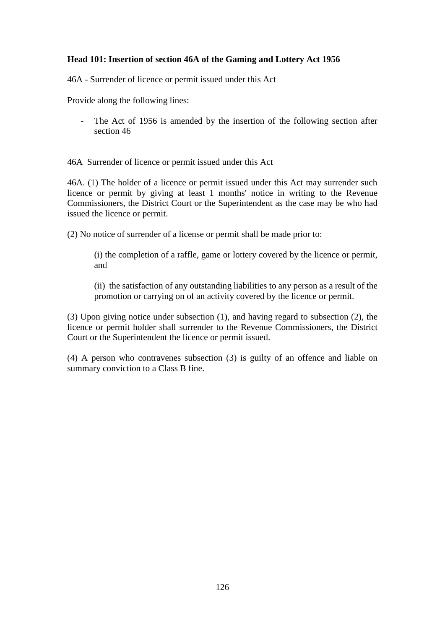### **Head 101: Insertion of section 46A of the Gaming and Lottery Act 1956**

46A - Surrender of licence or permit issued under this Act

Provide along the following lines:

- The Act of 1956 is amended by the insertion of the following section after section 46

46A Surrender of licence or permit issued under this Act

46A. (1) The holder of a licence or permit issued under this Act may surrender such licence or permit by giving at least 1 months' notice in writing to the Revenue Commissioners, the District Court or the Superintendent as the case may be who had issued the licence or permit.

(2) No notice of surrender of a license or permit shall be made prior to:

(i) the completion of a raffle, game or lottery covered by the licence or permit, and

(ii) the satisfaction of any outstanding liabilities to any person as a result of the promotion or carrying on of an activity covered by the licence or permit.

(3) Upon giving notice under subsection (1), and having regard to subsection (2), the licence or permit holder shall surrender to the Revenue Commissioners, the District Court or the Superintendent the licence or permit issued.

(4) A person who contravenes subsection (3) is guilty of an offence and liable on summary conviction to a Class B fine.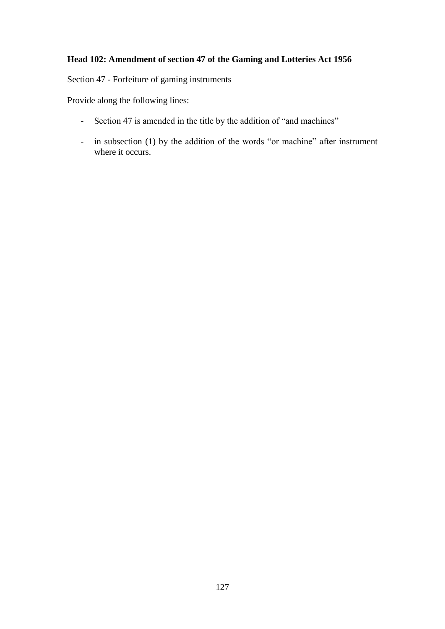## **Head 102: Amendment of section 47 of the Gaming and Lotteries Act 1956**

Section 47 - Forfeiture of gaming instruments

Provide along the following lines:

- Section 47 is amended in the title by the addition of "and machines"
- in subsection (1) by the addition of the words "or machine" after instrument where it occurs.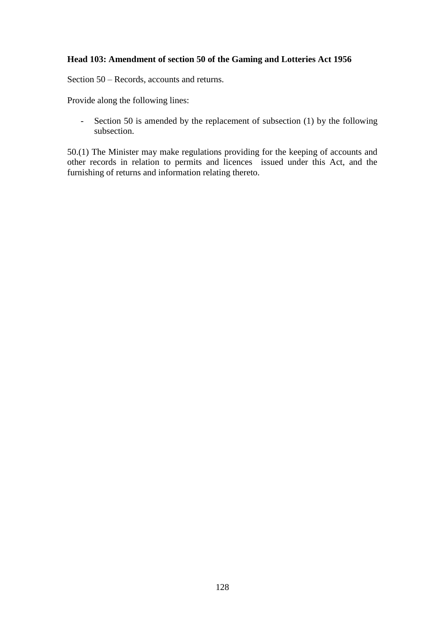#### **Head 103: Amendment of section 50 of the Gaming and Lotteries Act 1956**

Section 50 – Records, accounts and returns.

Provide along the following lines:

- Section 50 is amended by the replacement of subsection (1) by the following subsection.

50.(1) The Minister may make regulations providing for the keeping of accounts and other records in relation to permits and licences issued under this Act, and the furnishing of returns and information relating thereto.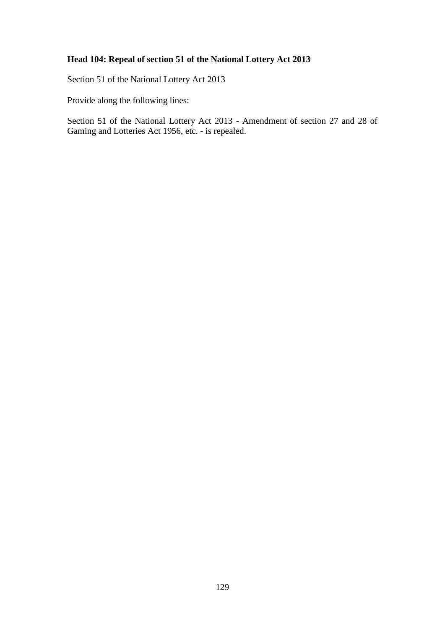## **Head 104: Repeal of section 51 of the National Lottery Act 2013**

Section 51 of the National Lottery Act 2013

Provide along the following lines:

Section 51 of the National Lottery Act 2013 - Amendment of section 27 and 28 of Gaming and Lotteries Act 1956, etc. - is repealed.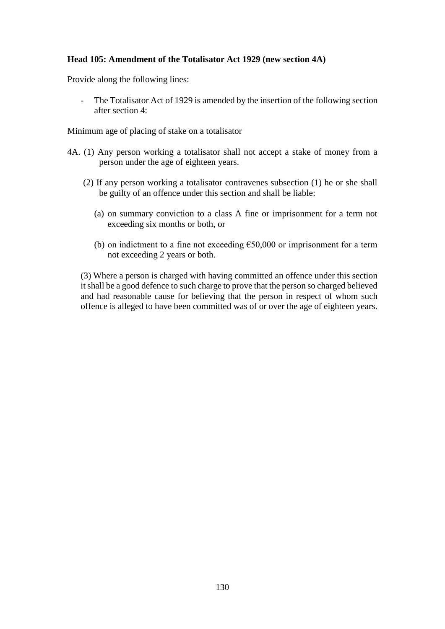#### **Head 105: Amendment of the Totalisator Act 1929 (new section 4A)**

Provide along the following lines:

The Totalisator Act of 1929 is amended by the insertion of the following section after section 4:

Minimum age of placing of stake on a totalisator

- 4A. (1) Any person working a totalisator shall not accept a stake of money from a person under the age of eighteen years.
	- (2) If any person working a totalisator contravenes subsection (1) he or she shall be guilty of an offence under this section and shall be liable:
		- (a) on summary conviction to a class A fine or imprisonment for a term not exceeding six months or both, or
		- (b) on indictment to a fine not exceeding  $€50,000$  or imprisonment for a term not exceeding 2 years or both.

(3) Where a person is charged with having committed an offence under this section it shall be a good defence to such charge to prove that the person so charged believed and had reasonable cause for believing that the person in respect of whom such offence is alleged to have been committed was of or over the age of eighteen years.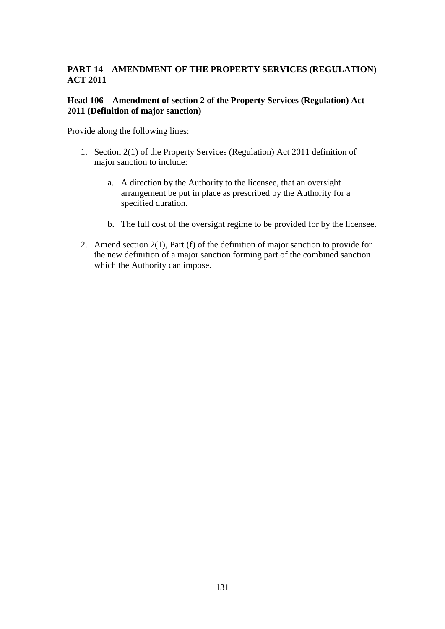## **PART 14 – AMENDMENT OF THE PROPERTY SERVICES (REGULATION) ACT 2011**

#### **Head 106 – Amendment of section 2 of the Property Services (Regulation) Act 2011 (Definition of major sanction)**

Provide along the following lines:

- 1. Section 2(1) of the Property Services (Regulation) Act 2011 definition of major sanction to include:
	- a. A direction by the Authority to the licensee, that an oversight arrangement be put in place as prescribed by the Authority for a specified duration.
	- b. The full cost of the oversight regime to be provided for by the licensee.
- 2. Amend section 2(1), Part (f) of the definition of major sanction to provide for the new definition of a major sanction forming part of the combined sanction which the Authority can impose.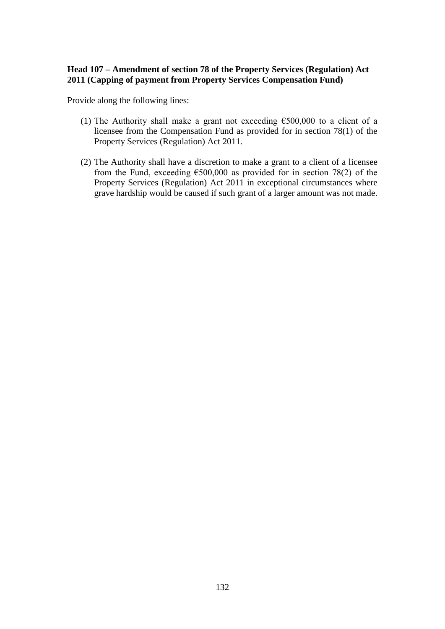### **Head 107 – Amendment of section 78 of the Property Services (Regulation) Act 2011 (Capping of payment from Property Services Compensation Fund)**

Provide along the following lines:

- (1) The Authority shall make a grant not exceeding  $\epsilon$ 500,000 to a client of a licensee from the Compensation Fund as provided for in section 78(1) of the Property Services (Regulation) Act 2011.
- (2) The Authority shall have a discretion to make a grant to a client of a licensee from the Fund, exceeding  $\epsilon$ 500,000 as provided for in section 78(2) of the Property Services (Regulation) Act 2011 in exceptional circumstances where grave hardship would be caused if such grant of a larger amount was not made.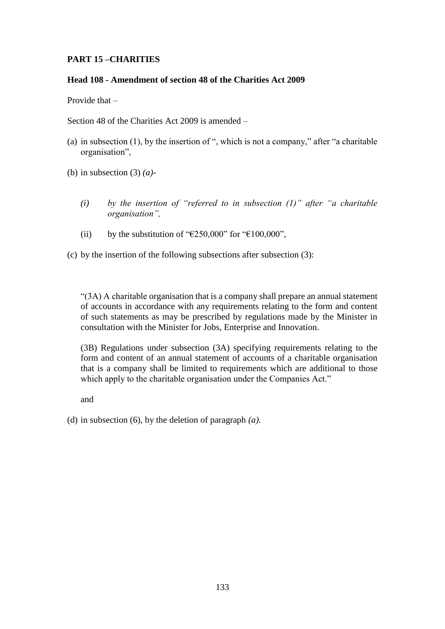## **PART 15 –CHARITIES**

#### **Head 108 - Amendment of section 48 of the Charities Act 2009**

Provide that –

Section 48 of the Charities Act 2009 is amended –

(a) in subsection (1), by the insertion of ", which is not a company," after "a charitable organisation",

(b) in subsection (3) *(a)-*

- *(i) by the insertion of "referred to in subsection (1)" after "a charitable organisation",*
- (ii) by the substitution of " $E250,000$ " for " $E100,000$ ",
- (c) by the insertion of the following subsections after subsection  $(3)$ :

"(3A) A charitable organisation that is a company shall prepare an annual statement of accounts in accordance with any requirements relating to the form and content of such statements as may be prescribed by regulations made by the Minister in consultation with the Minister for Jobs, Enterprise and Innovation.

(3B) Regulations under subsection (3A) specifying requirements relating to the form and content of an annual statement of accounts of a charitable organisation that is a company shall be limited to requirements which are additional to those which apply to the charitable organisation under the Companies Act."

and

(d) in subsection (6), by the deletion of paragraph *(a)*.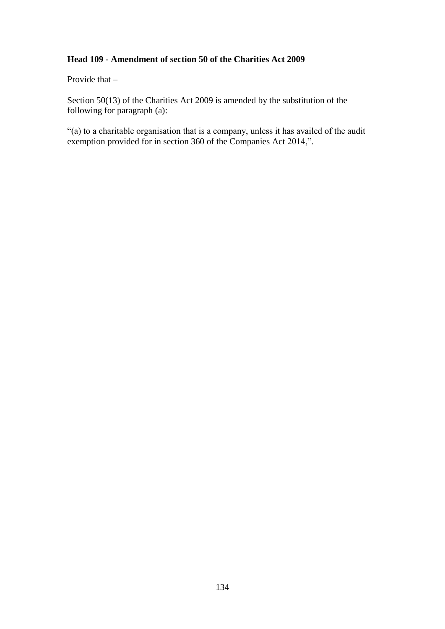## **Head 109 - Amendment of section 50 of the Charities Act 2009**

Provide that –

Section 50(13) of the Charities Act 2009 is amended by the substitution of the following for paragraph (a):

"(a) to a charitable organisation that is a company, unless it has availed of the audit exemption provided for in section 360 of the Companies Act 2014,".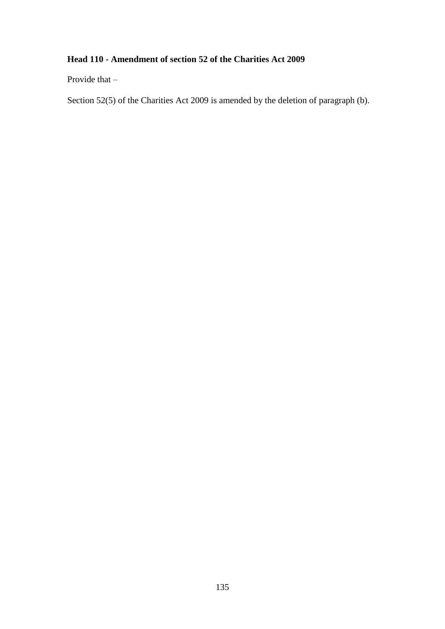## **Head 110 - Amendment of section 52 of the Charities Act 2009**

Provide that –

Section 52(5) of the Charities Act 2009 is amended by the deletion of paragraph (b).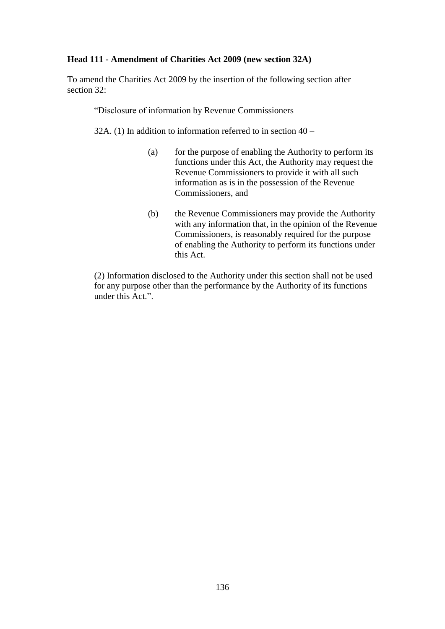#### **Head 111 - Amendment of Charities Act 2009 (new section 32A)**

To amend the Charities Act 2009 by the insertion of the following section after section 32:

"Disclosure of information by Revenue Commissioners

32A. (1) In addition to information referred to in section  $40 -$ 

- (a) for the purpose of enabling the Authority to perform its functions under this Act, the Authority may request the Revenue Commissioners to provide it with all such information as is in the possession of the Revenue Commissioners, and
- (b) the Revenue Commissioners may provide the Authority with any information that, in the opinion of the Revenue Commissioners, is reasonably required for the purpose of enabling the Authority to perform its functions under this Act.

(2) Information disclosed to the Authority under this section shall not be used for any purpose other than the performance by the Authority of its functions under this Act.".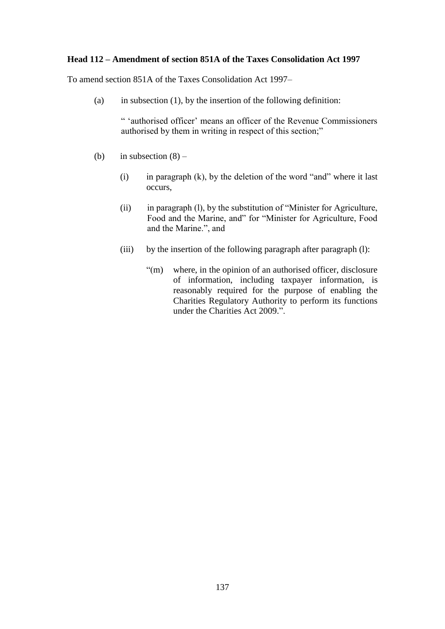#### **Head 112 – Amendment of section 851A of the Taxes Consolidation Act 1997**

To amend section 851A of the Taxes Consolidation Act 1997–

(a) in subsection  $(1)$ , by the insertion of the following definition:

" 'authorised officer' means an officer of the Revenue Commissioners authorised by them in writing in respect of this section;"

- (b) in subsection  $(8)$ 
	- (i) in paragraph  $(k)$ , by the deletion of the word "and" where it last occurs,
	- (ii) in paragraph (l), by the substitution of "Minister for Agriculture, Food and the Marine, and" for "Minister for Agriculture, Food and the Marine.", and
	- (iii) by the insertion of the following paragraph after paragraph (l):
		- "(m) where, in the opinion of an authorised officer, disclosure of information, including taxpayer information, is reasonably required for the purpose of enabling the Charities Regulatory Authority to perform its functions under the Charities Act 2009.".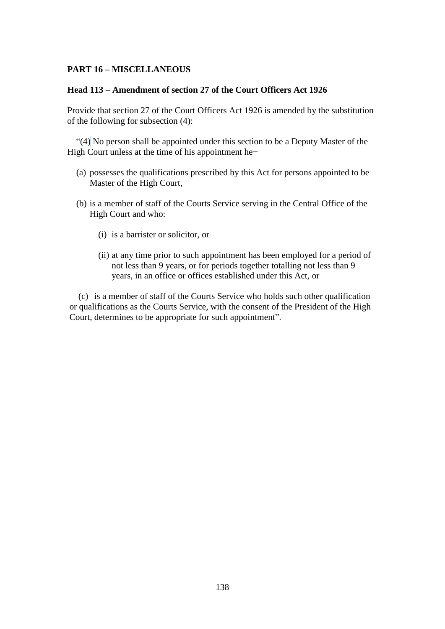#### **PART 16 – MISCELLANEOUS**

#### **Head 113 – Amendment of section 27 of the Court Officers Act 1926**

Provide that section 27 of the Court Officers Act 1926 is amended by the substitution of the following for subsection (4):

" $(4)$  No person shall be appointed under this section to be a Deputy Master of the High Court unless at the time of his appointment he−

- (a) possesses the qualifications prescribed by this Act for persons appointed to be Master of the High Court,
- (b) is a member of staff of the Courts Service serving in the Central Office of the High Court and who:
	- (i) is a barrister or solicitor, or
	- (ii) at any time prior to such appointment has been employed for a period of not less than 9 years, or for periods together totalling not less than 9 years, in an office or offices established under this Act, or

(c) is a member of staff of the Courts Service who holds such other qualification or qualifications as the Courts Service, with the consent of the President of the High Court, determines to be appropriate for such appointment".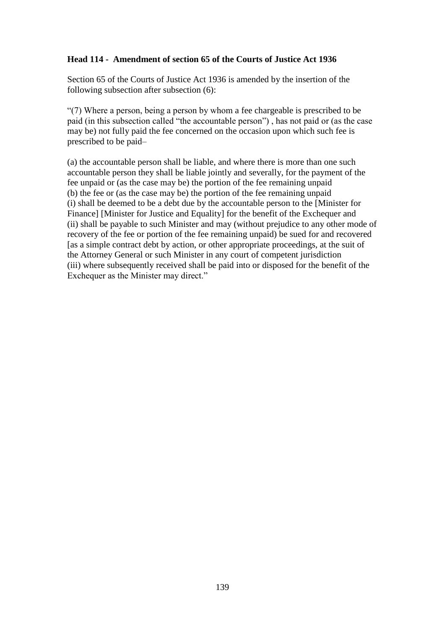### **Head 114 - Amendment of section 65 of the Courts of Justice Act 1936**

Section 65 of the Courts of Justice Act 1936 is amended by the insertion of the following subsection after subsection (6):

"(7) Where a person, being a person by whom a fee chargeable is prescribed to be paid (in this subsection called "the accountable person") , has not paid or (as the case may be) not fully paid the fee concerned on the occasion upon which such fee is prescribed to be paid–

(a) the accountable person shall be liable, and where there is more than one such accountable person they shall be liable jointly and severally, for the payment of the fee unpaid or (as the case may be) the portion of the fee remaining unpaid (b) the fee or (as the case may be) the portion of the fee remaining unpaid (i) shall be deemed to be a debt due by the accountable person to the [Minister for Finance] [Minister for Justice and Equality] for the benefit of the Exchequer and (ii) shall be payable to such Minister and may (without prejudice to any other mode of recovery of the fee or portion of the fee remaining unpaid) be sued for and recovered [as a simple contract debt by action, or other appropriate proceedings, at the suit of the Attorney General or such Minister in any court of competent jurisdiction (iii) where subsequently received shall be paid into or disposed for the benefit of the Exchequer as the Minister may direct."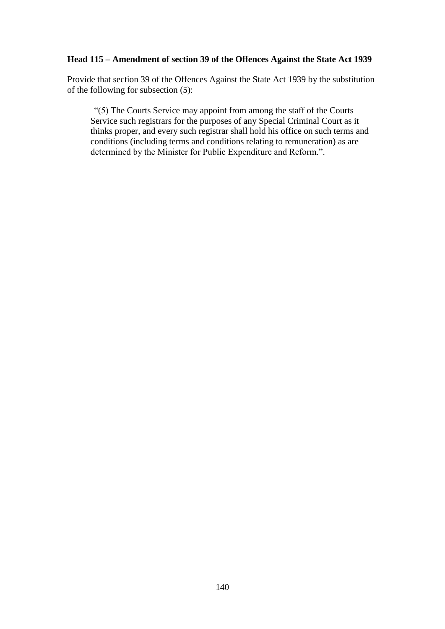#### **Head 115 – Amendment of section 39 of the Offences Against the State Act 1939**

Provide that section 39 of the Offences Against the State Act 1939 by the substitution of the following for subsection (5):

"(5) The Courts Service may appoint from among the staff of the Courts Service such registrars for the purposes of any Special Criminal Court as it thinks proper, and every such registrar shall hold his office on such terms and conditions (including terms and conditions relating to remuneration) as are determined by the Minister for Public Expenditure and Reform.".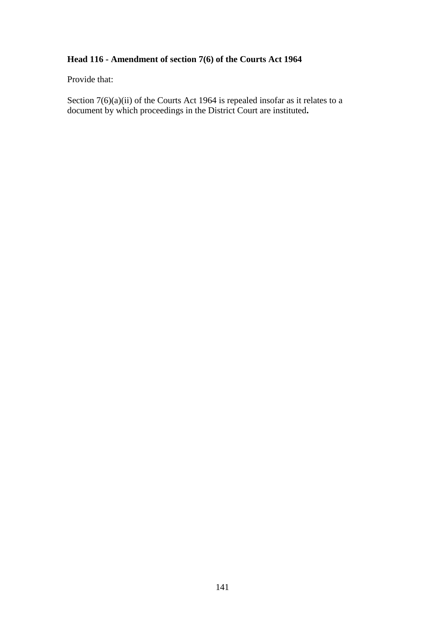## **Head 116 - Amendment of section 7(6) of the Courts Act 1964**

Provide that:

Section 7(6)(a)(ii) of the Courts Act 1964 is repealed insofar as it relates to a document by which proceedings in the District Court are instituted**.**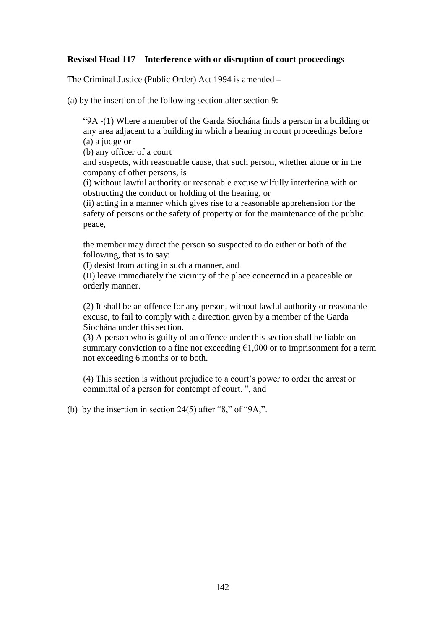#### **Revised Head 117 – Interference with or disruption of court proceedings**

The Criminal Justice (Public Order) Act 1994 is amended –

(a) by the insertion of the following section after section 9:

"9A -(1) Where a member of the Garda Síochána finds a person in a building or any area adjacent to a building in which a hearing in court proceedings before (a) a judge or

(b) any officer of a court

and suspects, with reasonable cause, that such person, whether alone or in the company of other persons, is

(i) without lawful authority or reasonable excuse wilfully interfering with or obstructing the conduct or holding of the hearing, or

(ii) acting in a manner which gives rise to a reasonable apprehension for the safety of persons or the safety of property or for the maintenance of the public peace,

the member may direct the person so suspected to do either or both of the following, that is to say:

(I) desist from acting in such a manner, and

(II) leave immediately the vicinity of the place concerned in a peaceable or orderly manner.

(2) It shall be an offence for any person, without lawful authority or reasonable excuse, to fail to comply with a direction given by a member of the Garda Síochána under this section.

(3) A person who is guilty of an offence under this section shall be liable on summary conviction to a fine not exceeding  $E1,000$  or to imprisonment for a term not exceeding 6 months or to both.

(4) This section is without prejudice to a court's power to order the arrest or committal of a person for contempt of court. ", and

(b) by the insertion in section  $24(5)$  after "8," of "9A,".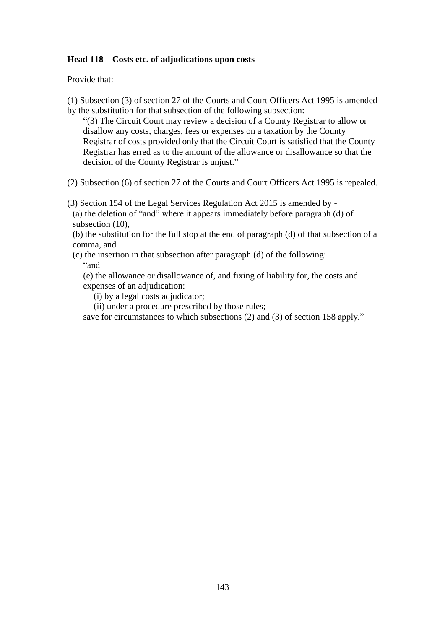#### **Head 118 – Costs etc. of adjudications upon costs**

Provide that:

(1) Subsection (3) of section 27 of the Courts and Court Officers Act 1995 is amended by the substitution for that subsection of the following subsection:

"(3) The Circuit Court may review a decision of a County Registrar to allow or disallow any costs, charges, fees or expenses on a taxation by the County Registrar of costs provided only that the Circuit Court is satisfied that the County Registrar has erred as to the amount of the allowance or disallowance so that the decision of the County Registrar is unjust."

(2) Subsection (6) of section 27 of the Courts and Court Officers Act 1995 is repealed.

(3) Section 154 of the Legal Services Regulation Act 2015 is amended by -

(a) the deletion of "and" where it appears immediately before paragraph (d) of subsection  $(10)$ ,

(b) the substitution for the full stop at the end of paragraph (d) of that subsection of a comma, and

(c) the insertion in that subsection after paragraph (d) of the following: "and

(e) the allowance or disallowance of, and fixing of liability for, the costs and expenses of an adjudication:

- (i) by a legal costs adjudicator;
- (ii) under a procedure prescribed by those rules;

save for circumstances to which subsections (2) and (3) of section 158 apply."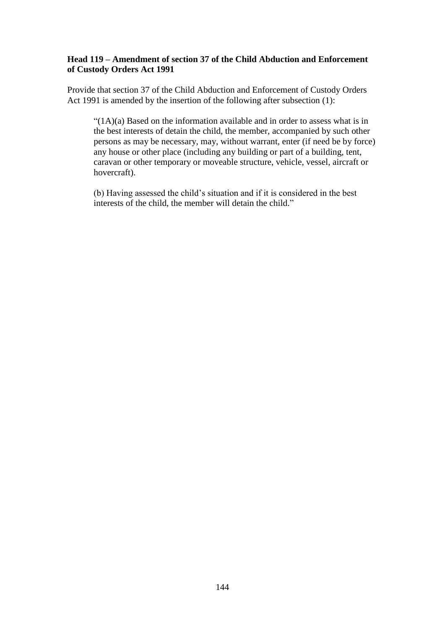#### **Head 119 – Amendment of section 37 of the Child Abduction and Enforcement of Custody Orders Act 1991**

Provide that section 37 of the Child Abduction and Enforcement of Custody Orders Act 1991 is amended by the insertion of the following after subsection (1):

 $"(1A)(a)$  Based on the information available and in order to assess what is in the best interests of detain the child, the member, accompanied by such other persons as may be necessary, may, without warrant, enter (if need be by force) any house or other place (including any building or part of a building, tent, caravan or other temporary or moveable structure, vehicle, vessel, aircraft or hovercraft).

(b) Having assessed the child's situation and if it is considered in the best interests of the child, the member will detain the child."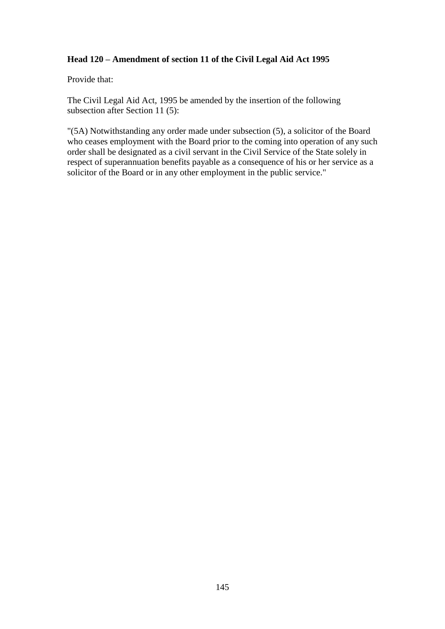## **Head 120 – Amendment of section 11 of the Civil Legal Aid Act 1995**

Provide that:

The Civil Legal Aid Act, 1995 be amended by the insertion of the following subsection after Section 11 (5):

"(5A) Notwithstanding any order made under subsection (5), a solicitor of the Board who ceases employment with the Board prior to the coming into operation of any such order shall be designated as a civil servant in the Civil Service of the State solely in respect of superannuation benefits payable as a consequence of his or her service as a solicitor of the Board or in any other employment in the public service."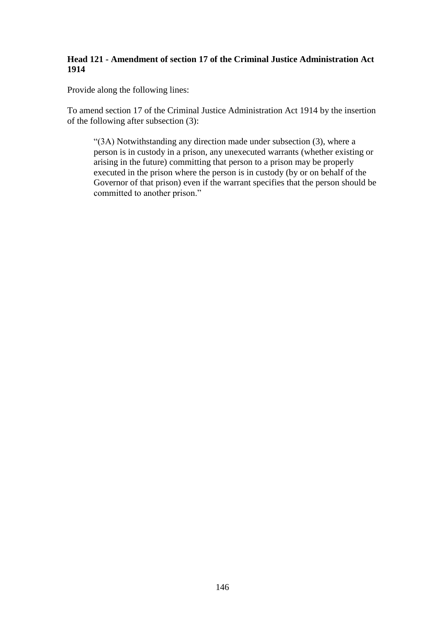## **Head 121 - Amendment of section 17 of the Criminal Justice Administration Act 1914**

Provide along the following lines:

To amend section 17 of the Criminal Justice Administration Act 1914 by the insertion of the following after subsection (3):

"(3A) Notwithstanding any direction made under subsection (3), where a person is in custody in a prison, any unexecuted warrants (whether existing or arising in the future) committing that person to a prison may be properly executed in the prison where the person is in custody (by or on behalf of the Governor of that prison) even if the warrant specifies that the person should be committed to another prison."